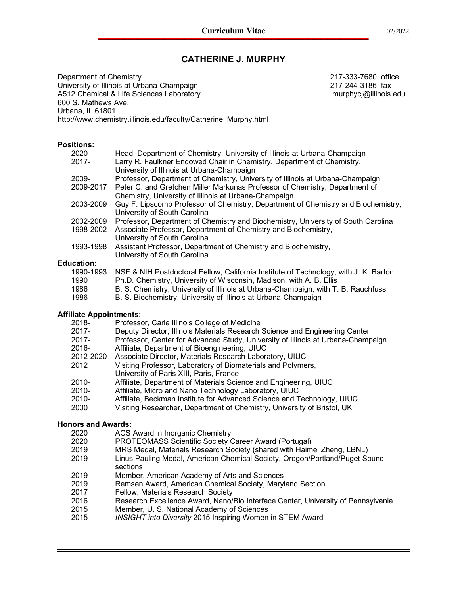# **CATHERINE J. MURPHY**

Department of Chemistry 217-333-7680 office University of Illinois at Urbana-Champaign 217-244-3186 fax A512 Chemical & Life Sciences Laboratory murphycj@illinois.edu 600 S. Mathews Ave. Urbana, IL 61801 http://www.chemistry.illinois.edu/faculty/Catherine\_Murphy.html

#### **Positions:**

| $2020 -$          | Head, Department of Chemistry, University of Illinois at Urbana-Champaign            |
|-------------------|--------------------------------------------------------------------------------------|
| $2017 -$          | Larry R. Faulkner Endowed Chair in Chemistry, Department of Chemistry,               |
|                   | University of Illinois at Urbana-Champaign                                           |
| 2009-             | Professor, Department of Chemistry, University of Illinois at Urbana-Champaign       |
| 2009-2017         | Peter C. and Gretchen Miller Markunas Professor of Chemistry, Department of          |
|                   | Chemistry, University of Illinois at Urbana-Champaign                                |
| 2003-2009         | Guy F. Lipscomb Professor of Chemistry, Department of Chemistry and Biochemistry,    |
|                   | University of South Carolina                                                         |
| 2002-2009         | Professor, Department of Chemistry and Biochemistry, University of South Carolina    |
| 1998-2002         | Associate Professor, Department of Chemistry and Biochemistry,                       |
|                   | University of South Carolina                                                         |
| 1993-1998         | Assistant Professor, Department of Chemistry and Biochemistry,                       |
|                   | University of South Carolina                                                         |
| <b>Education:</b> |                                                                                      |
| 1990-1993         | NSF & NIH Postdoctoral Fellow, California Institute of Technology, with J. K. Barton |

#### 1990-1993 NSF & NIH Postdoctoral Fellow, California Institute of Technology, with J. K. Barton 1990 Ph.D. Chemistry, University of Wisconsin, Madison, with A. B. Ellis 1986 B. S. Chemistry, University of Illinois at Urbana-Champaign, with T. B. Rauchfuss 1986 B. S. Biochemistry, University of Illinois at Urbana-Champaign

#### **Affiliate Appointments:**

| 2018-       | Professor, Carle Illinois College of Medicine       |
|-------------|-----------------------------------------------------|
| <b>2017</b> | Doputy Diroctor, Illinois Matoriale Possarch Scienc |

- 2017- Deputy Director, Illinois Materials Research Science and Engineering Center
- 2017- Professor, Center for Advanced Study, University of Illinois at Urbana-Champaign
- 2016- Affiliate, Department of Bioengineering, UIUC
- 2012-2020 Associate Director, Materials Research Laboratory, UIUC 2012 Visiting Professor, Laboratory of Biomaterials and Polymers,
- University of Paris XIII, Paris, France
- 2010- Affiliate, Department of Materials Science and Engineering, UIUC
- 2010- Affiliate, Micro and Nano Technology Laboratory, UIUC
- 2010- Affiliate, Beckman Institute for Advanced Science and Technology, UIUC
- 2000 Visiting Researcher, Department of Chemistry, University of Bristol, UK

#### **Honors and Awards:**

- 2020 ACS Award in Inorganic Chemistry
- 2020 PROTEOMASS Scientific Society Career Award (Portugal)
- 2019 MRS Medal, Materials Research Society (shared with Haimei Zheng, LBNL)
- 2019 Linus Pauling Medal, American Chemical Society, Oregon/Portland/Puget Sound sections
- 2019 Member, American Academy of Arts and Sciences
- 2019 Remsen Award, American Chemical Society, Maryland Section
- 2017 Fellow, Materials Research Society
- 2016 Research Excellence Award, Nano/Bio Interface Center, University of Pennsylvania
- 2015 Member, U. S. National Academy of Sciences
- 2015 *INSIGHT into Diversity* 2015 Inspiring Women in STEM Award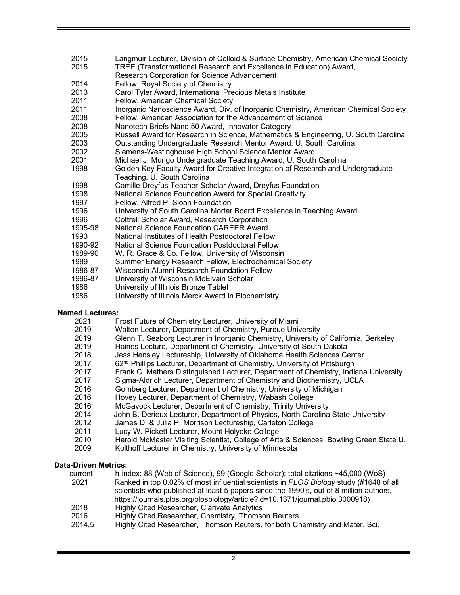- Langmuir Lecturer, Division of Colloid & Surface Chemistry, American Chemical Society
- 2015 TREE (Transformational Research and Excellence in Education) Award,
- Research Corporation for Science Advancement
- Fellow, Royal Society of Chemistry
- Carol Tyler Award, International Precious Metals Institute
- Fellow, American Chemical Society
- Inorganic Nanoscience Award, Div. of Inorganic Chemistry, American Chemical Society
- Fellow, American Association for the Advancement of Science
- Nanotech Briefs Nano 50 Award, Innovator Category
- Russell Award for Research in Science, Mathematics & Engineering, U. South Carolina
- Outstanding Undergraduate Research Mentor Award, U. South Carolina
- Siemens-Westinghouse High School Science Mentor Award
- Michael J. Mungo Undergraduate Teaching Award, U. South Carolina
- Golden Key Faculty Award for Creative Integration of Research and Undergraduate Teaching, U. South Carolina
- Camille Dreyfus Teacher-Scholar Award, Dreyfus Foundation
- National Science Foundation Award for Special Creativity
- Fellow, Alfred P. Sloan Foundation
- University of South Carolina Mortar Board Excellence in Teaching Award
- Cottrell Scholar Award, Research Corporation
- 1995-98 National Science Foundation CAREER Award
- National Institutes of Health Postdoctoral Fellow
- 1990-92 National Science Foundation Postdoctoral Fellow
- 1989-90 W. R. Grace & Co. Fellow, University of Wisconsin
- Summer Energy Research Fellow, Electrochemical Society
- 1986-87 Wisconsin Alumni Research Foundation Fellow
- 1986-87 University of Wisconsin McElvain Scholar
- University of Illinois Bronze Tablet
- University of Illinois Merck Award in Biochemistry

## **Named Lectures:**

- Frost Future of Chemistry Lecturer, University of Miami
- Walton Lecturer, Department of Chemistry, Purdue University
- Glenn T. Seaborg Lecturer in Inorganic Chemistry, University of California, Berkeley
- Haines Lecture, Department of Chemistry, University of South Dakota
- Jess Hensley Lectureship, University of Oklahoma Health Sciences Center
- 2017 62<sup>nd</sup> Phillips Lecturer, Department of Chemistry, University of Pittsburgh
- Frank C. Mathers Distinguished Lecturer, Department of Chemistry, Indiana University
- Sigma-Aldrich Lecturer, Department of Chemistry and Biochemistry, UCLA
- Gomberg Lecturer, Department of Chemistry, University of Michigan
- Hovey Lecturer, Department of Chemistry, Wabash College
- McGavock Lecturer, Department of Chemistry, Trinity University
- John B. Derieux Lecturer, Department of Physics, North Carolina State University
- James D. & Julia P. Morrison Lectureship, Carleton College
- Lucy W. Pickett Lecturer, Mount Holyoke College
- Harold McMaster Visiting Scientist, College of Arts & Sciences, Bowling Green State U.
- Kolthoff Lecturer in Chemistry, University of Minnesota

## **Data-Driven Metrics:**

current h-index: 88 (Web of Science), 99 (Google Scholar); total citations ~45,000 (WoS)

 Ranked in top 0.02% of most influential scientists in *PLOS Biology* study (#1648 of all scientists who published at least 5 papers since the 1990's, out of 8 million authors, https://journals.plos.org/plosbiology/article?id=10.1371/journal.pbio.3000918)

- Highly Cited Researcher, Clarivate Analytics
- Highly Cited Researcher, Chemistry, Thomson Reuters
- 2014,5 Highly Cited Researcher, Thomson Reuters, for both Chemistry and Mater. Sci.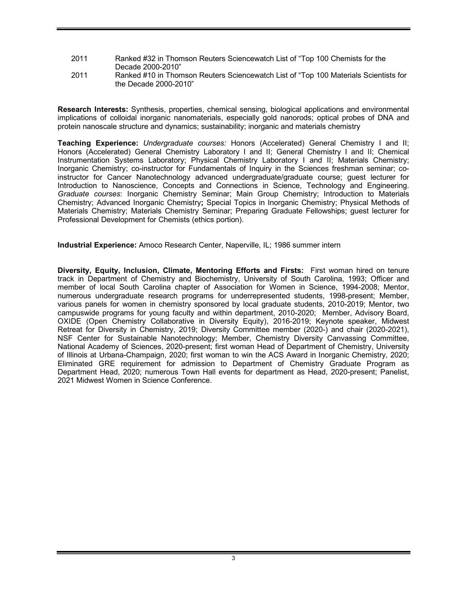- 2011 Ranked #32 in Thomson Reuters Sciencewatch List of "Top 100 Chemists for the Decade 2000-2010"
- 2011 Ranked #10 in Thomson Reuters Sciencewatch List of "Top 100 Materials Scientists for the Decade 2000-2010"

**Research Interests:** Synthesis, properties, chemical sensing, biological applications and environmental implications of colloidal inorganic nanomaterials, especially gold nanorods; optical probes of DNA and protein nanoscale structure and dynamics; sustainability; inorganic and materials chemistry

**Teaching Experience:** *Undergraduate courses:* Honors (Accelerated) General Chemistry I and II; Honors (Accelerated) General Chemistry Laboratory I and II; General Chemistry I and II; Chemical Instrumentation Systems Laboratory; Physical Chemistry Laboratory I and II; Materials Chemistry; Inorganic Chemistry; co-instructor for Fundamentals of Inquiry in the Sciences freshman seminar; coinstructor for Cancer Nanotechnology advanced undergraduate/graduate course; guest lecturer for Introduction to Nanoscience, Concepts and Connections in Science, Technology and Engineering. *Graduate courses*: Inorganic Chemistry Seminar; Main Group Chemistry; Introduction to Materials Chemistry; Advanced Inorganic Chemistry**;** Special Topics in Inorganic Chemistry; Physical Methods of Materials Chemistry; Materials Chemistry Seminar; Preparing Graduate Fellowships; guest lecturer for Professional Development for Chemists (ethics portion).

**Industrial Experience:** Amoco Research Center, Naperville, IL; 1986 summer intern

**Diversity, Equity, Inclusion, Climate, Mentoring Efforts and Firsts:** First woman hired on tenure track in Department of Chemistry and Biochemistry, University of South Carolina, 1993; Officer and member of local South Carolina chapter of Association for Women in Science, 1994-2008; Mentor, numerous undergraduate research programs for underrepresented students, 1998-present; Member, various panels for women in chemistry sponsored by local graduate students, 2010-2019; Mentor, two campuswide programs for young faculty and within department, 2010-2020; Member, Advisory Board, OXIDE (Open Chemistry Collaborative in Diversity Equity), 2016-2019; Keynote speaker, Midwest Retreat for Diversity in Chemistry, 2019; Diversity Committee member (2020-) and chair (2020-2021), NSF Center for Sustainable Nanotechnology; Member, Chemistry Diversity Canvassing Committee, National Academy of Sciences, 2020-present; first woman Head of Department of Chemistry, University of Illinois at Urbana-Champaign, 2020; first woman to win the ACS Award in Inorganic Chemistry, 2020; Eliminated GRE requirement for admission to Department of Chemistry Graduate Program as Department Head, 2020; numerous Town Hall events for department as Head, 2020-present; Panelist, 2021 Midwest Women in Science Conference.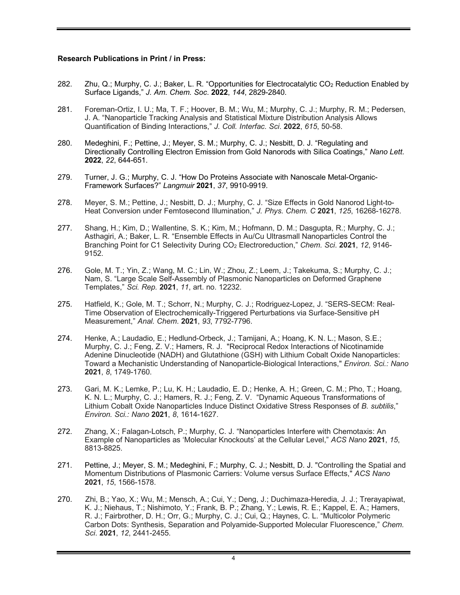#### **Research Publications in Print / in Press:**

- 282. Zhu, Q.; Murphy, C. J.; Baker, L. R. "Opportunities for Electrocatalytic CO<sub>2</sub> Reduction Enabled by Surface Ligands," *J. Am. Chem. Soc*. **2022**, *144*, 2829-2840.
- 281. Foreman-Ortiz, I. U.; Ma, T. F.; Hoover, B. M.; Wu, M.; Murphy, C. J.; Murphy, R. M.; Pedersen, J. A. "Nanoparticle Tracking Analysis and Statistical Mixture Distribution Analysis Allows Quantification of Binding Interactions," *J. Coll. Interfac. Sci*. **2022**, *615*, 50-58.
- 280. Medeghini, F.; Pettine, J.; Meyer, S. M.; Murphy, C. J.; Nesbitt, D. J. "Regulating and Directionally Controlling Electron Emission from Gold Nanorods with Silica Coatings," *Nano Lett.*  **2022**, *22*, 644-651.
- 279. Turner, J. G.; Murphy, C. J. "How Do Proteins Associate with Nanoscale Metal-Organic-Framework Surfaces?" *Langmuir* **2021**, *37*, 9910-9919.
- 278. Meyer, S. M.; Pettine, J.; Nesbitt, D. J.; Murphy, C. J. "Size Effects in Gold Nanorod Light-to-Heat Conversion under Femtosecond Illumination," *J. Phys. Chem. C* **2021**, *125*, 16268-16278.
- 277. Shang, H.; Kim, D.; Wallentine, S. K.; Kim, M.; Hofmann, D. M.; Dasgupta, R.; Murphy, C. J.; Asthagiri, A.; Baker, L. R. "Ensemble Effects in Au/Cu Ultrasmall Nanoparticles Control the Branching Point for C1 Selectivity During CO2 Electroreduction," *Chem. Sci*. **2021**, *12*, 9146- 9152.
- 276. Gole, M. T.; Yin, Z.; Wang, M. C.; Lin, W.; Zhou, Z.; Leem, J.; Takekuma, S.; Murphy, C. J.; Nam, S. "Large Scale Self-Assembly of Plasmonic Nanoparticles on Deformed Graphene Templates," *Sci. Rep.* **2021**, *11*, art. no. 12232.
- 275. Hatfield, K.; Gole, M. T.; Schorr, N.; Murphy, C. J.; Rodriguez-Lopez, J. "SERS-SECM: Real-Time Observation of Electrochemically-Triggered Perturbations via Surface-Sensitive pH Measurement," *Anal. Chem*. **2021**, *93*, 7792-7796.
- 274. Henke, A.; Laudadio, E.; Hedlund-Orbeck, J.; Tamijani, A.; Hoang, K. N. L.; Mason, S.E.; Murphy, C. J.; Feng, Z. V.; Hamers, R. J. "Reciprocal Redox Interactions of Nicotinamide Adenine Dinucleotide (NADH) and Glutathione (GSH) with Lithium Cobalt Oxide Nanoparticles: Toward a Mechanistic Understanding of Nanoparticle-Biological Interactions," *Environ. Sci.: Nano* **2021**, *8*, 1749-1760.
- 273. Gari, M. K.; Lemke, P.; Lu, K. H.; Laudadio, E. D.; Henke, A. H.; Green, C. M.; Pho, T.; Hoang, K. N. L.; Murphy, C. J.; Hamers, R. J.; Feng, Z. V. "Dynamic Aqueous Transformations of Lithium Cobalt Oxide Nanoparticles Induce Distinct Oxidative Stress Responses of *B. subtilis*," *Environ. Sci.: Nano* **2021**, *8*, 1614-1627.
- 272. Zhang, X.; Falagan-Lotsch, P.; Murphy, C. J. "Nanoparticles Interfere with Chemotaxis: An Example of Nanoparticles as 'Molecular Knockouts' at the Cellular Level," *ACS Nano* **2021**, *15*, 8813-8825.
- 271. Pettine, J.; Meyer, S. M.; Medeghini, F.; Murphy, C. J.; Nesbitt, D. J. "Controlling the Spatial and Momentum Distributions of Plasmonic Carriers: Volume versus Surface Effects," *ACS Nano* **2021**, *15*, 1566-1578.
- 270. Zhi, B.; Yao, X.; Wu, M.; Mensch, A.; Cui, Y.; Deng, J.; Duchimaza-Heredia, J. J.; Trerayapiwat, K. J.; Niehaus, T.; Nishimoto, Y.; Frank, B. P.; Zhang, Y.; Lewis, R. E.; Kappel, E. A.; Hamers, R. J.; Fairbrother, D. H.; Orr, G.; Murphy, C. J.; Cui, Q.; Haynes, C. L. "Multicolor Polymeric Carbon Dots: Synthesis, Separation and Polyamide-Supported Molecular Fluorescence," *Chem. Sci*. **2021**, *12*, 2441-2455.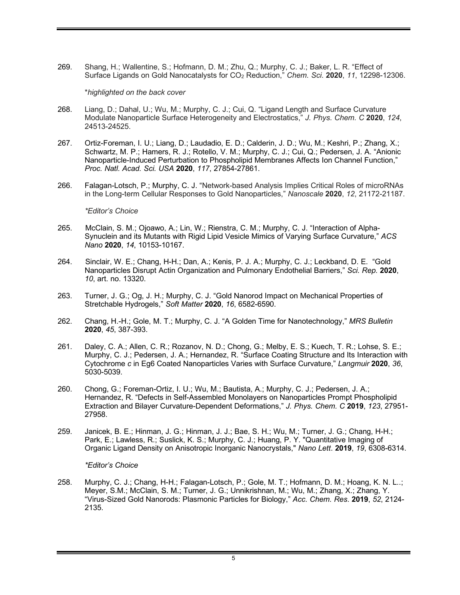269. Shang, H.; Wallentine, S.; Hofmann, D. M.; Zhu, Q.; Murphy, C. J.; Baker, L. R. "Effect of Surface Ligands on Gold Nanocatalysts for CO2 Reduction," *Chem. Sci*. **2020**, *11*, 12298-12306.

\**highlighted on the back cover*

- 268. Liang, D.; Dahal, U.; Wu, M.; Murphy, C. J.; Cui, Q. "Ligand Length and Surface Curvature Modulate Nanoparticle Surface Heterogeneity and Electrostatics," *J. Phys. Chem. C* **2020**, *124*, 24513-24525.
- 267. Ortiz-Foreman, I. U.; Liang, D.; Laudadio, E. D.; Calderin, J. D.; Wu, M.; Keshri, P.; Zhang, X.; Schwartz, M. P.; Hamers, R. J.; Rotello, V. M.; Murphy, C. J.; Cui, Q.; Pedersen, J. A. "Anionic Nanoparticle-Induced Perturbation to Phospholipid Membranes Affects Ion Channel Function," *Proc. Natl. Acad. Sci. USA* **2020**, *117*, 27854-27861.
- 266. Falagan-Lotsch, P.; Murphy, C. J. "Network-based Analysis Implies Critical Roles of microRNAs in the Long-term Cellular Responses to Gold Nanoparticles," *Nanoscale* **2020**, *12*, 21172-21187.

*\*Editor's Choice*

- 265. McClain, S. M.; Ojoawo, A.; Lin, W.; Rienstra, C. M.; Murphy, C. J. "Interaction of Alpha-Synuclein and its Mutants with Rigid Lipid Vesicle Mimics of Varying Surface Curvature," *ACS Nano* **2020**, *14*, 10153-10167.
- 264. Sinclair, W. E.; Chang, H-H.; Dan, A.; Kenis, P. J. A.; Murphy, C. J.; Leckband, D. E. "Gold Nanoparticles Disrupt Actin Organization and Pulmonary Endothelial Barriers," *Sci. Rep.* **2020**, *10*, art. no. 13320.
- 263. Turner, J. G.; Og, J. H.; Murphy, C. J. "Gold Nanorod Impact on Mechanical Properties of Stretchable Hydrogels," *Soft Matter* **2020**, *16*, 6582-6590.
- 262. Chang, H.-H.; Gole, M. T.; Murphy, C. J. "A Golden Time for Nanotechnology," *MRS Bulletin* **2020**, *45*, 387-393.
- 261. Daley, C. A.; Allen, C. R.; Rozanov, N. D.; Chong, G.; Melby, E. S.; Kuech, T. R.; Lohse, S. E.; Murphy, C. J.; Pedersen, J. A.; Hernandez, R. "Surface Coating Structure and Its Interaction with Cytochrome *c* in Eg6 Coated Nanoparticles Varies with Surface Curvature," *Langmuir* **2020**, *36*, 5030-5039.
- 260. Chong, G.; Foreman-Ortiz, I. U.; Wu, M.; Bautista, A.; Murphy, C. J.; Pedersen, J. A.; Hernandez, R. "Defects in Self-Assembled Monolayers on Nanoparticles Prompt Phospholipid Extraction and Bilayer Curvature-Dependent Deformations," *J. Phys. Chem. C* **2019**, *123*, 27951- 27958.
- 259. Janicek, B. E.; Hinman, J. G.; Hinman, J. J.; Bae, S. H.; Wu, M.; Turner, J. G.; Chang, H-H.; Park, E.; Lawless, R.; Suslick, K. S.; Murphy, C. J.; Huang, P. Y. "Quantitative Imaging of Organic Ligand Density on Anisotropic Inorganic Nanocrystals," *Nano Lett*. **2019**, *19*, 6308-6314.

*\*Editor's Choice*

258. Murphy, C. J.; Chang, H-H.; Falagan-Lotsch, P.; Gole, M. T.; Hofmann, D. M.; Hoang, K. N. L..; Meyer, S.M.; McClain, S. M.; Turner, J. G.; Unnikrishnan, M.; Wu, M.; Zhang, X.; Zhang, Y. "Virus-Sized Gold Nanorods: Plasmonic Particles for Biology," *Acc. Chem. Res*. **2019**, *52*, 2124- 2135.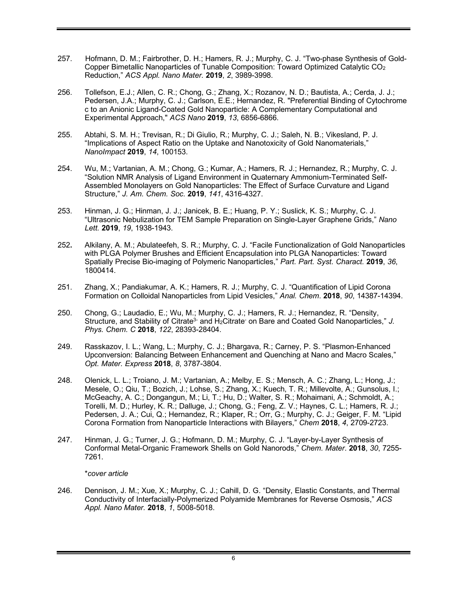- 257. Hofmann, D. M.; Fairbrother, D. H.; Hamers, R. J.; Murphy, C. J. "Two-phase Synthesis of Gold-Copper Bimetallic Nanoparticles of Tunable Composition: Toward Optimized Catalytic CO2 Reduction," *ACS Appl. Nano Mater.* **2019**, *2*, 3989-3998.
- 256. Tollefson, E.J.; Allen, C. R.; Chong, G.; Zhang, X.; Rozanov, N. D.; Bautista, A.; Cerda, J. J.; Pedersen, J.A.; Murphy, C. J.; Carlson, E.E.; Hernandez, R. "Preferential Binding of Cytochrome c to an Anionic Ligand-Coated Gold Nanoparticle: A Complementary Computational and Experimental Approach," *ACS Nano* **2019**, *13*, 6856-6866.
- 255. Abtahi, S. M. H.; Trevisan, R.; Di Giulio, R.; Murphy, C. J.; Saleh, N. B.; Vikesland, P. J. "Implications of Aspect Ratio on the Uptake and Nanotoxicity of Gold Nanomaterials," *NanoImpact* **2019**, *14*, 100153.
- 254. Wu, M.; Vartanian, A. M.; Chong, G.; Kumar, A.; Hamers, R. J.; Hernandez, R.; Murphy, C. J. "Solution NMR Analysis of Ligand Environment in Quaternary Ammonium-Terminated Self-Assembled Monolayers on Gold Nanoparticles: The Effect of Surface Curvature and Ligand Structure," *J. Am. Chem. Soc.* **2019**, *141*, 4316-4327.
- 253. Hinman, J. G.; Hinman, J. J.; Janicek, B. E.; Huang, P. Y.; Suslick, K. S.; Murphy, C. J. "Ultrasonic Nebulization for TEM Sample Preparation on Single-Layer Graphene Grids," *Nano Lett.* **2019**, *19*, 1938-1943.
- 252**.** Alkilany, A. M.; Abulateefeh, S. R.; Murphy, C. J. "Facile Functionalization of Gold Nanoparticles with PLGA Polymer Brushes and Efficient Encapsulation into PLGA Nanoparticles: Toward Spatially Precise Bio-imaging of Polymeric Nanoparticles," *Part. Part. Syst. Charact.* **2019**, *36*, 1800414.
- 251. Zhang, X.; Pandiakumar, A. K.; Hamers, R. J.; Murphy, C. J. "Quantification of Lipid Corona Formation on Colloidal Nanoparticles from Lipid Vesicles," *Anal. Chem*. **2018**, *90*, 14387-14394.
- 250. Chong, G.; Laudadio, E.; Wu, M.; Murphy, C. J.; Hamers, R. J.; Hernandez, R. "Density, Structure, and Stability of Citrate<sup>3-</sup> and H<sub>2</sub>Citrate<sup>-</sup> on Bare and Coated Gold Nanoparticles," *J. Phys. Chem. C* **2018**, *122*, 28393-28404.
- 249. Rasskazov, I. L.; Wang, L.; Murphy, C. J.; Bhargava, R.; Carney, P. S. "Plasmon-Enhanced Upconversion: Balancing Between Enhancement and Quenching at Nano and Macro Scales," *Opt. Mater. Express* **2018**, *8*, 3787-3804.
- 248. Olenick, L. L.; Troiano, J. M.; Vartanian, A.; Melby, E. S.; Mensch, A. C.; Zhang, L.; Hong, J.; Mesele, O.; Qiu, T.; Bozich, J.; Lohse, S.; Zhang, X.; Kuech, T. R.; Millevolte, A.; Gunsolus, I.; McGeachy, A. C.; Dongangun, M.; Li, T.; Hu, D.; Walter, S. R.; Mohaimani, A.; Schmoldt, A.; Torelli, M. D.; Hurley, K. R.; Dalluge, J.; Chong, G.; Feng, Z. V.; Haynes, C. L.; Hamers, R. J.; Pedersen, J. A.; Cui, Q.; Hernandez, R.; Klaper, R.; Orr, G.; Murphy, C. J.; Geiger, F. M. "Lipid Corona Formation from Nanoparticle Interactions with Bilayers," *Chem* **2018**, *4*, 2709-2723.
- 247. Hinman, J. G.; Turner, J. G.; Hofmann, D. M.; Murphy, C. J. "Layer-by-Layer Synthesis of Conformal Metal-Organic Framework Shells on Gold Nanorods," *Chem. Mater*. **2018**, *30*, 7255- 7261.

#### \**cover article*

246. Dennison, J. M.; Xue, X.; Murphy, C. J.; Cahill, D. G. "Density, Elastic Constants, and Thermal Conductivity of Interfacially-Polymerized Polyamide Membranes for Reverse Osmosis," *ACS Appl. Nano Mater.* **2018**, *1*, 5008-5018.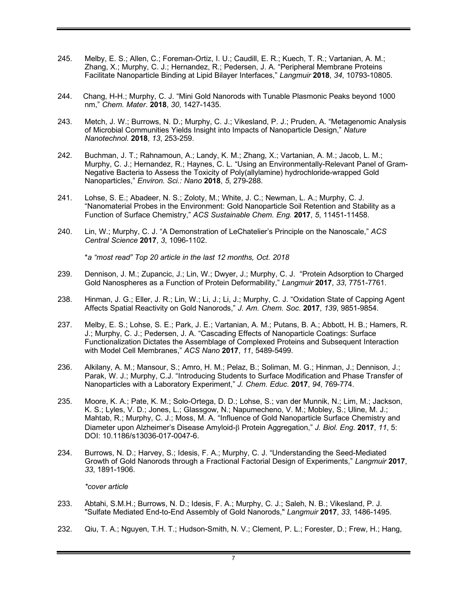- 245. Melby, E. S.; Allen, C.; Foreman-Ortiz, I. U.; Caudill, E. R.; Kuech, T. R.; Vartanian, A. M.; Zhang, X.; Murphy, C. J.; Hernandez, R.; Pedersen, J. A. "Peripheral Membrane Proteins Facilitate Nanoparticle Binding at Lipid Bilayer Interfaces," *Langmuir* **2018**, *34*, 10793-10805.
- 244. Chang, H-H.; Murphy, C. J. "Mini Gold Nanorods with Tunable Plasmonic Peaks beyond 1000 nm," *Chem. Mater*. **2018**, *30*, 1427-1435.
- 243. Metch, J. W.; Burrows, N. D.; Murphy, C. J.; Vikesland, P. J.; Pruden, A. "Metagenomic Analysis of Microbial Communities Yields Insight into Impacts of Nanoparticle Design," *Nature Nanotechnol.* **2018**, *13*, 253-259.
- 242. Buchman, J. T.; Rahnamoun, A.; Landy, K. M.; Zhang, X.; Vartanian, A. M.; Jacob, L. M.; Murphy, C. J.; Hernandez, R.; Haynes, C. L. "Using an Environmentally-Relevant Panel of Gram-Negative Bacteria to Assess the Toxicity of Poly(allylamine) hydrochloride-wrapped Gold Nanoparticles," *Environ. Sci.: Nano* **2018**, *5*, 279-288.
- 241. Lohse, S. E.; Abadeer, N. S.; Zoloty, M.; White, J. C.; Newman, L. A.; Murphy, C. J. "Nanomaterial Probes in the Environment: Gold Nanoparticle Soil Retention and Stability as a Function of Surface Chemistry," *ACS Sustainable Chem. Eng.* **2017**, *5*, 11451-11458.
- 240. Lin, W.; Murphy, C. J. "A Demonstration of LeChatelier's Principle on the Nanoscale," *ACS Central Science* **2017**, *3*, 1096-1102.

\**a "most read" Top 20 article in the last 12 months, Oct. 2018*

- 239. Dennison, J. M.; Zupancic, J.; Lin, W.; Dwyer, J.; Murphy, C. J. "Protein Adsorption to Charged Gold Nanospheres as a Function of Protein Deformability," *Langmuir* **2017**, *33*, 7751-7761.
- 238. Hinman, J. G.; Eller, J. R.; Lin, W.; Li, J.; Li, J.; Murphy, C. J. "Oxidation State of Capping Agent Affects Spatial Reactivity on Gold Nanorods," *J. Am. Chem. Soc*. **2017**, *139*, 9851-9854.
- 237. Melby, E. S.; Lohse, S. E.; Park, J. E.; Vartanian, A. M.; Putans, B. A.; Abbott, H. B.; Hamers, R. J.; Murphy, C. J.; Pedersen, J. A. "Cascading Effects of Nanoparticle Coatings: Surface Functionalization Dictates the Assemblage of Complexed Proteins and Subsequent Interaction with Model Cell Membranes," *ACS Nano* **2017**, *11*, 5489-5499.
- 236. Alkilany, A. M.; Mansour, S.; Amro, H. M.; Pelaz, B.; Soliman, M. G.; Hinman, J.; Dennison, J.; Parak, W. J.; Murphy, C.J. "Introducing Students to Surface Modification and Phase Transfer of Nanoparticles with a Laboratory Experiment," *J. Chem. Educ*. **2017**, *94*, 769-774.
- 235. Moore, K. A.; Pate, K. M.; Solo-Ortega, D. D.; Lohse, S.; van der Munnik, N.; Lim, M.; Jackson, K. S.; Lyles, V. D.; Jones, L.; Glassgow, N.; Napumecheno, V. M.; Mobley, S.; Uline, M. J.; Mahtab, R.; Murphy, C. J.; Moss, M. A. "Influence of Gold Nanoparticle Surface Chemistry and Diameter upon Alzheimer's Disease Amyloid-b Protein Aggregation," *J. Biol. Eng*. **2017**, *11*, 5: DOI: 10.1186/s13036-017-0047-6.
- 234. Burrows, N. D.; Harvey, S.; Idesis, F. A.; Murphy, C. J. "Understanding the Seed-Mediated Growth of Gold Nanorods through a Fractional Factorial Design of Experiments," *Langmuir* **2017**, *33*, 1891-1906.

*\*cover article*

- 233. Abtahi, S.M.H.; Burrows, N. D.; Idesis, F. A.; Murphy, C. J.; Saleh, N. B.; Vikesland, P. J. "Sulfate Mediated End-to-End Assembly of Gold Nanorods," *Langmuir* **2017**, *33*, 1486-1495.
- 232. Qiu, T. A.; Nguyen, T.H. T.; Hudson-Smith, N. V.; Clement, P. L.; Forester, D.; Frew, H.; Hang,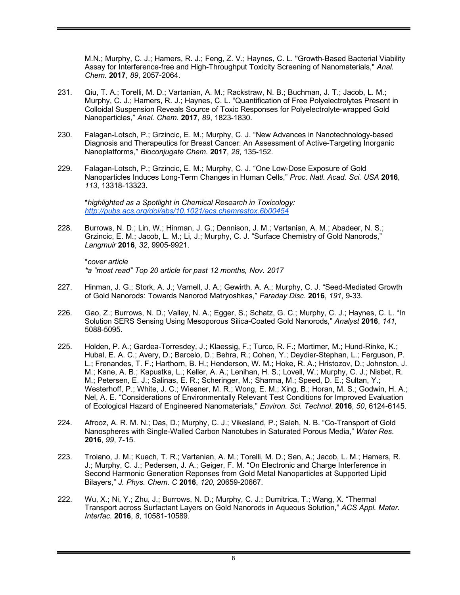M.N.; Murphy, C. J.; Hamers, R. J.; Feng, Z. V.; Haynes, C. L. "Growth-Based Bacterial Viability Assay for Interference-free and High-Throughput Toxicity Screening of Nanomaterials," *Anal. Chem.* **2017**, *89*, 2057-2064.

- 231. Qiu, T. A.; Torelli, M. D.; Vartanian, A. M.; Rackstraw, N. B.; Buchman, J. T.; Jacob, L. M.; Murphy, C. J.; Hamers, R. J.; Haynes, C. L. "Quantification of Free Polyelectrolytes Present in Colloidal Suspension Reveals Source of Toxic Responses for Polyelectrolyte-wrapped Gold Nanoparticles," *Anal. Chem*. **2017**, *89*, 1823-1830.
- 230. Falagan-Lotsch, P.; Grzincic, E. M.; Murphy, C. J. "New Advances in Nanotechnology-based Diagnosis and Therapeutics for Breast Cancer: An Assessment of Active-Targeting Inorganic Nanoplatforms," *Bioconjugate Chem.* **2017**, *28*, 135-152.
- 229. Falagan-Lotsch, P.; Grzincic, E. M.; Murphy, C. J. "One Low-Dose Exposure of Gold Nanoparticles Induces Long-Term Changes in Human Cells," *Proc. Natl. Acad. Sci. USA* **2016**, *113*, 13318-13323.

\**highlighted as a Spotlight in Chemical Research in Toxicology: http://pubs.acs.org/doi/abs/10.1021/acs.chemrestox.6b00454*

228. Burrows, N. D.; Lin, W.; Hinman, J. G.; Dennison, J. M.; Vartanian, A. M.; Abadeer, N. S.; Grzincic, E. M.; Jacob, L. M.; Li, J.; Murphy, C. J. "Surface Chemistry of Gold Nanorods," *Langmuir* **2016**, *32*, 9905-9921.

\**cover article \*a "most read" Top 20 article for past 12 months, Nov. 2017*

- 227. Hinman, J. G.; Stork, A. J.; Varnell, J. A.; Gewirth. A. A.; Murphy, C. J. "Seed-Mediated Growth of Gold Nanorods: Towards Nanorod Matryoshkas," *Faraday Disc*. **2016**, *191*, 9-33.
- 226. Gao, Z.; Burrows, N. D.; Valley, N. A.; Egger, S.; Schatz, G. C.; Murphy, C. J.; Haynes, C. L. "In Solution SERS Sensing Using Mesoporous Silica-Coated Gold Nanorods," *Analyst* **2016**, *141*, 5088-5095.
- 225. Holden, P. A.; Gardea-Torresdey, J.; Klaessig, F.; Turco, R. F.; Mortimer, M.; Hund-Rinke, K.; Hubal, E. A. C.; Avery, D.; Barcelo, D.; Behra, R.; Cohen, Y.; Deydier-Stephan, L.; Ferguson, P. L.; Frenandes, T. F.; Harthorn, B. H.; Henderson, W. M.; Hoke, R. A.; Hristozov, D.; Johnston, J. M.; Kane, A. B.; Kapustka, L.; Keller, A. A.; Lenihan, H. S.; Lovell, W.; Murphy, C. J.; Nisbet, R. M.; Petersen, E. J.; Salinas, E. R.; Scheringer, M.; Sharma, M.; Speed, D. E.; Sultan, Y.; Westerhoff, P.; White, J. C.; Wiesner, M. R.; Wong, E. M.; Xing, B.; Horan, M. S.; Godwin, H. A.; Nel, A. E. "Considerations of Environmentally Relevant Test Conditions for Improved Evaluation of Ecological Hazard of Engineered Nanomaterials," *Environ. Sci. Technol*. **2016**, *50*, 6124-6145.
- 224. Afrooz, A. R. M. N.; Das, D.; Murphy, C. J.; Vikesland, P.; Saleh, N. B. "Co-Transport of Gold Nanospheres with Single-Walled Carbon Nanotubes in Saturated Porous Media," *Water Res*. **2016**, *99*, 7-15.
- 223. Troiano, J. M.; Kuech, T. R.; Vartanian, A. M.; Torelli, M. D.; Sen, A.; Jacob, L. M.; Hamers, R. J.; Murphy, C. J.; Pedersen, J. A.; Geiger, F. M. "On Electronic and Charge Interference in Second Harmonic Generation Reponses from Gold Metal Nanoparticles at Supported Lipid Bilayers," *J. Phys. Chem. C* **2016**, *120*, 20659-20667.
- 222. Wu, X.; Ni, Y.; Zhu, J.; Burrows, N. D.; Murphy, C. J.; Dumitrica, T.; Wang, X. "Thermal Transport across Surfactant Layers on Gold Nanorods in Aqueous Solution," *ACS Appl. Mater. Interfac.* **2016**, *8*, 10581-10589.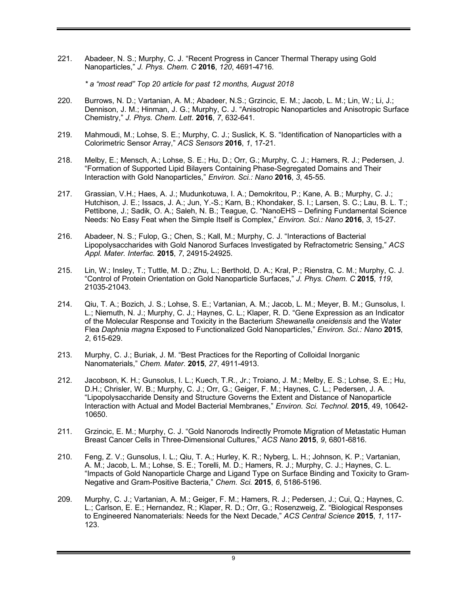221. Abadeer, N. S.; Murphy, C. J. "Recent Progress in Cancer Thermal Therapy using Gold Nanoparticles," *J. Phys. Chem. C* **2016**, *120*, 4691-4716.

*\* a "most read" Top 20 article for past 12 months, August 2018*

- 220. Burrows, N. D.; Vartanian, A. M.; Abadeer, N.S.; Grzincic, E. M.; Jacob, L. M.; Lin, W.; Li, J.; Dennison, J. M.; Hinman, J. G.; Murphy, C. J. "Anisotropic Nanoparticles and Anisotropic Surface Chemistry," *J. Phys. Chem. Lett*. **2016**, *7*, 632-641.
- 219. Mahmoudi, M.; Lohse, S. E.; Murphy, C. J.; Suslick, K. S. "Identification of Nanoparticles with a Colorimetric Sensor Array," *ACS Sensors* **2016**, *1*, 17-21.
- 218. Melby, E.; Mensch, A.; Lohse, S. E.; Hu, D.; Orr, G.; Murphy, C. J.; Hamers, R. J.; Pedersen, J. "Formation of Supported Lipid Bilayers Containing Phase-Segregated Domains and Their Interaction with Gold Nanoparticles," *Environ. Sci.: Nano* **2016**, *3*, 45-55.
- 217. Grassian, V.H.; Haes, A. J.; Mudunkotuwa, I. A.; Demokritou, P.; Kane, A. B.; Murphy, C. J.; Hutchison, J. E.; Issacs, J. A.; Jun, Y.-S.; Karn, B.; Khondaker, S. I.; Larsen, S. C.; Lau, B. L. T.; Pettibone, J.; Sadik, O. A.; Saleh, N. B.; Teague, C. "NanoEHS – Defining Fundamental Science Needs: No Easy Feat when the Simple Itself is Complex," *Environ. Sci.: Nano* **2016**, *3*, 15-27.
- 216. Abadeer, N. S.; Fulop, G.; Chen, S.; Kall, M.; Murphy, C. J. "Interactions of Bacterial Lipopolysaccharides with Gold Nanorod Surfaces Investigated by Refractometric Sensing," *ACS Appl. Mater. Interfac.* **2015**, *7*, 24915-24925.
- 215. Lin, W.; Insley, T.; Tuttle, M. D.; Zhu, L.; Berthold, D. A.; Kral, P.; Rienstra, C. M.; Murphy, C. J. "Control of Protein Orientation on Gold Nanoparticle Surfaces," *J. Phys. Chem. C* **2015**, *119*, 21035-21043.
- 214. Qiu, T. A.; Bozich, J. S.; Lohse, S. E.; Vartanian, A. M.; Jacob, L. M.; Meyer, B. M.; Gunsolus, I. L.; Niemuth, N. J.; Murphy, C. J.; Haynes, C. L.; Klaper, R. D. "Gene Expression as an Indicator of the Molecular Response and Toxicity in the Bacterium *Shewanella oneidensis* and the Water Flea *Daphnia magna* Exposed to Functionalized Gold Nanoparticles," *Environ. Sci.: Nano* **2015**, *2*, 615-629.
- 213. Murphy, C. J.; Buriak, J. M. "Best Practices for the Reporting of Colloidal Inorganic Nanomaterials," *Chem. Mater*. **2015**, *27*, 4911-4913.
- 212. Jacobson, K. H.; Gunsolus, I. L.; Kuech, T.R., Jr.; Troiano, J. M.; Melby, E. S.; Lohse, S. E.; Hu, D.H.; Chrisler, W. B.; Murphy, C. J.; Orr, G.; Geiger, F. M.; Haynes, C. L.; Pedersen, J. A. "Lipopolysaccharide Density and Structure Governs the Extent and Distance of Nanoparticle Interaction with Actual and Model Bacterial Membranes," *Environ. Sci. Technol*. **2015**, 49, 10642- 10650.
- 211. Grzincic, E. M.; Murphy, C. J. "Gold Nanorods Indirectly Promote Migration of Metastatic Human Breast Cancer Cells in Three-Dimensional Cultures," *ACS Nano* **2015**, *9*, 6801-6816.
- 210. Feng, Z. V.; Gunsolus, I. L.; Qiu, T. A.; Hurley, K. R.; Nyberg, L. H.; Johnson, K. P.; Vartanian, A. M.; Jacob, L. M.; Lohse, S. E.; Torelli, M. D.; Hamers, R. J.; Murphy, C. J.; Haynes, C. L. "Impacts of Gold Nanoparticle Charge and Ligand Type on Surface Binding and Toxicity to Gram-Negative and Gram-Positive Bacteria," *Chem. Sci.* **2015**, *6*, 5186-5196.
- 209. Murphy, C. J.; Vartanian, A. M.; Geiger, F. M.; Hamers, R. J.; Pedersen, J.; Cui, Q.; Haynes, C. L.; Carlson, E. E.; Hernandez, R.; Klaper, R. D.; Orr, G.; Rosenzweig, Z. "Biological Responses to Engineered Nanomaterials: Needs for the Next Decade," *ACS Central Science* **2015**, *1*, 117- 123.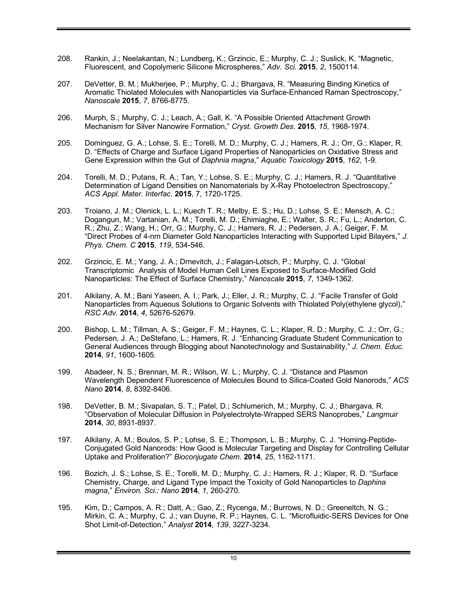- 208. Rankin, J.; Neelakantan, N.; Lundberg, K.; Grzincic, E.; Murphy, C. J.; Suslick, K. "Magnetic, Fluorescent, and Copolymeric Silicone Microspheres," *Adv. Sci.* **2015**, *2*, 1500114.
- 207. DeVetter, B. M.; Mukherjee, P.; Murphy, C. J.; Bhargava, R. "Measuring Binding Kinetics of Aromatic Thiolated Molecules with Nanoparticles via Surface-Enhanced Raman Spectroscopy," *Nanoscale* **2015**, *7*, 8766-8775.
- 206. Murph, S.; Murphy, C. J.; Leach, A.; Gall, K. "A Possible Oriented Attachment Growth Mechanism for Silver Nanowire Formation," *Cryst. Growth Des.* **2015**, *15*, 1968-1974.
- 205. Dominguez, G. A.; Lohse, S. E.; Torelli, M. D.; Murphy, C. J.; Hamers, R. J.; Orr, G.; Klaper, R. D. "Effects of Charge and Surface Ligand Properties of Nanoparticles on Oxidative Stress and Gene Expression within the Gut of *Daphnia magna*," *Aquatic Toxicology* **2015**, *162*, 1-9.
- 204. Torelli, M. D.; Putans, R. A.; Tan, Y.; Lohse, S. E.; Murphy, C. J.; Hamers, R. J. "Quantitative Determination of Ligand Densities on Nanomaterials by X-Ray Photoelectron Spectroscopy," *ACS Appl. Mater. Interfac.* **2015**, 7, 1720-1725.
- 203. Troiano, J. M.; Olenick, L. L.; Kuech T. R.; Melby, E. S.; Hu, D.; Lohse, S. E.; Mensch, A. C.; Dogangun, M.; Vartanian, A. M.; Torelli, M. D.; Ehimiaghe, E.; Walter, S. R.; Fu, L.; Anderton, C. R.; Zhu, Z.; Wang, H.; Orr, G.; Murphy, C. J.; Hamers, R. J.; Pedersen, J. A.; Geiger, F. M. "Direct Probes of 4-nm Diameter Gold Nanoparticles Interacting with Supported Lipid Bilayers," *J. Phys. Chem. C* **2015**, *119*, 534-546.
- 202. Grzincic, E. M.; Yang, J. A.; Drnevitch, J.; Falagan-Lotsch, P.; Murphy, C. J. "Global Transcriptomic Analysis of Model Human Cell Lines Exposed to Surface-Modified Gold Nanoparticles: The Effect of Surface Chemistry," *Nanoscale* **2015**, *7*, 1349-1362.
- 201. Alkilany, A. M.; Bani Yaseen, A. I.; Park, J.; Eller, J. R.; Murphy, C. J. "Facile Transfer of Gold Nanoparticles from Aqueous Solutions to Organic Solvents with Thiolated Poly(ethylene glycol)," *RSC Adv.* **2014**, *4*, 52676-52679.
- 200. Bishop, L. M.; Tillman, A. S.; Geiger, F. M.; Haynes, C. L.; Klaper, R. D.; Murphy, C. J.; Orr, G.; Pedersen, J. A.; DeStefano, L.; Hamers, R. J. "Enhancing Graduate Student Communication to General Audiences through Blogging about Nanotechnology and Sustainability," *J. Chem. Educ*. **2014**, *91*, 1600-1605.
- 199. Abadeer, N. S.; Brennan, M. R.; Wilson, W. L.; Murphy, C. J. "Distance and Plasmon Wavelength Dependent Fluorescence of Molecules Bound to Silica-Coated Gold Nanorods," *ACS Nano* **2014**, *8*, 8392-8406.
- 198. DeVetter, B. M.; Sivapalan, S. T.; Patel, D.; Schlumerich, M.; Murphy, C. J.; Bhargava, R. "Observation of Molecular Diffusion in Polyelectrolyte-Wrapped SERS Nanoprobes," *Langmuir* **2014**, *30*, 8931-8937.
- 197. Alkilany, A. M.; Boulos, S. P.; Lohse, S. E.; Thompson, L. B.; Murphy, C. J. "Homing-Peptide-Conjugated Gold Nanorods: How Good is Molecular Targeting and Display for Controlling Cellular Uptake and Proliferation?" *Bioconjugate Chem*. **2014**, *25*, 1162-1171.
- 196. Bozich, J. S.; Lohse, S. E.; Torelli, M. D.; Murphy, C. J.; Hamers, R. J.; Klaper, R. D. "Surface Chemistry, Charge, and Ligand Type Impact the Toxicity of Gold Nanoparticles to *Daphina magna*," *Environ. Sci.: Nano* **2014**, *1*, 260-270.
- 195. Kim, D.; Campos, A. R.; Datt, A.; Gao, Z.; Rycenga, M.; Burrows, N. D.; Greeneltch, N. G.; Mirkin, C. A.; Murphy, C. J.; van Duyne, R. P.; Haynes, C. L. "Microfluidic-SERS Devices for One Shot Limit-of-Detection," *Analyst* **2014**, *139*, 3227-3234.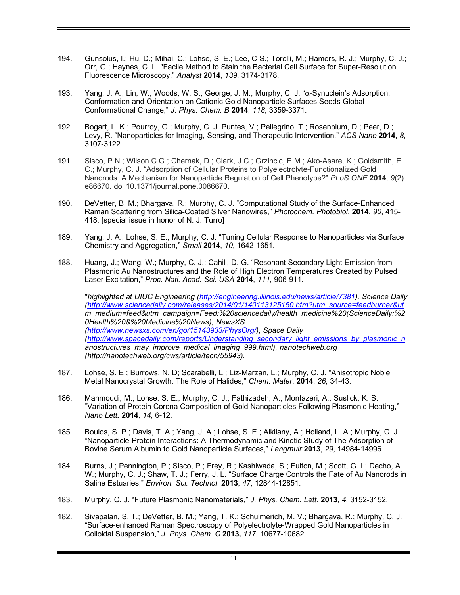- 194. Gunsolus, I.; Hu, D.; Mihai, C.; Lohse, S. E.; Lee, C-S.; Torelli, M.; Hamers, R. J.; Murphy, C. J.; Orr, G.; Haynes, C. L. "Facile Method to Stain the Bacterial Cell Surface for Super-Resolution Fluorescence Microscopy," *Analyst* **2014**, *139*, 3174-3178.
- 193. Yang, J. A.; Lin, W.; Woods, W. S.; George, J. M.; Murphy, C. J. "a-Synuclein's Adsorption, Conformation and Orientation on Cationic Gold Nanoparticle Surfaces Seeds Global Conformational Change," *J. Phys. Chem. B* **2014**, *118*, 3359-3371.
- 192. Bogart, L. K.; Pourroy, G.; Murphy, C. J. Puntes, V.; Pellegrino, T.; Rosenblum, D.; Peer, D.; Levy, R. "Nanoparticles for Imaging, Sensing, and Therapeutic Intervention," *ACS Nano* **2014**, *8*, 3107-3122.
- 191. Sisco, P.N.; Wilson C.G.; Chernak, D.; Clark, J.C.; Grzincic, E.M.; Ako-Asare, K.; Goldsmith, E. C.; Murphy, C. J. "Adsorption of Cellular Proteins to Polyelectrolyte-Functionalized Gold Nanorods: A Mechanism for Nanoparticle Regulation of Cell Phenotype?" *PLoS ONE* **2014**, *9*(2): e86670. doi:10.1371/journal.pone.0086670.
- 190. DeVetter, B. M.; Bhargava, R.; Murphy, C. J. "Computational Study of the Surface-Enhanced Raman Scattering from Silica-Coated Silver Nanowires," *Photochem. Photobiol*. **2014**, *90*, 415- 418. [special issue in honor of N. J. Turro]
- 189. Yang, J. A.; Lohse, S. E.; Murphy, C. J. "Tuning Cellular Response to Nanoparticles via Surface Chemistry and Aggregation," *Small* **2014**, *10*, 1642-1651.
- 188. Huang, J.; Wang, W.; Murphy, C. J.; Cahill, D. G. "Resonant Secondary Light Emission from Plasmonic Au Nanostructures and the Role of High Electron Temperatures Created by Pulsed Laser Excitation," *Proc. Natl. Acad. Sci. USA* **2014**, *111*, 906-911.

\**highlighted at UIUC Engineering (http://engineering.illinois.edu/news/article/7381), Science Daily (http://www.sciencedaily.com/releases/2014/01/140113125150.htm?utm\_source=feedburner&ut m\_medium=feed&utm\_campaign=Feed:%20sciencedaily/health\_medicine%20(ScienceDaily:%2 0Health%20&%20Medicine%20News), NewsXS (http://www.newsxs.com/en/go/15143933/PhysOrg/), Space Daily (http://www.spacedaily.com/reports/Understanding\_secondary\_light\_emissions\_by\_plasmonic\_n anostructures\_may\_improve\_medical\_imaging\_999.html), nanotechweb.org (http://nanotechweb.org/cws/article/tech/55943).*

- 187. Lohse, S. E.; Burrows, N. D; Scarabelli, L.; Liz-Marzan, L.; Murphy, C. J. "Anisotropic Noble Metal Nanocrystal Growth: The Role of Halides," *Chem. Mater*. **2014**, *26*, 34-43.
- 186. Mahmoudi, M.; Lohse, S. E.; Murphy, C. J.; Fathizadeh, A.; Montazeri, A.; Suslick, K. S. "Variation of Protein Corona Composition of Gold Nanoparticles Following Plasmonic Heating," *Nano Lett.* **2014**, *14*, 6-12.
- 185. Boulos, S. P.; Davis, T. A.; Yang, J. A.; Lohse, S. E.; Alkilany, A.; Holland, L. A.; Murphy, C. J. "Nanoparticle-Protein Interactions: A Thermodynamic and Kinetic Study of The Adsorption of Bovine Serum Albumin to Gold Nanoparticle Surfaces," *Langmuir* **2013**, *29*, 14984-14996.
- 184. Burns, J.; Pennington, P.; Sisco, P.; Frey, R.; Kashiwada, S.; Fulton, M.; Scott, G. I.; Decho, A. W.; Murphy, C. J.; Shaw, T. J.; Ferry, J. L. "Surface Charge Controls the Fate of Au Nanorods in Saline Estuaries," *Environ. Sci. Technol*. **2013**, *47*, 12844-12851.
- 183. Murphy, C. J. "Future Plasmonic Nanomaterials," *J. Phys. Chem. Lett*. **2013**, *4*, 3152-3152.
- 182. Sivapalan, S. T.; DeVetter, B. M.; Yang, T. K.; Schulmerich, M. V.; Bhargava, R.; Murphy, C. J. "Surface-enhanced Raman Spectroscopy of Polyelectrolyte-Wrapped Gold Nanoparticles in Colloidal Suspension," *J. Phys. Chem. C* **2013,** *117*, 10677-10682.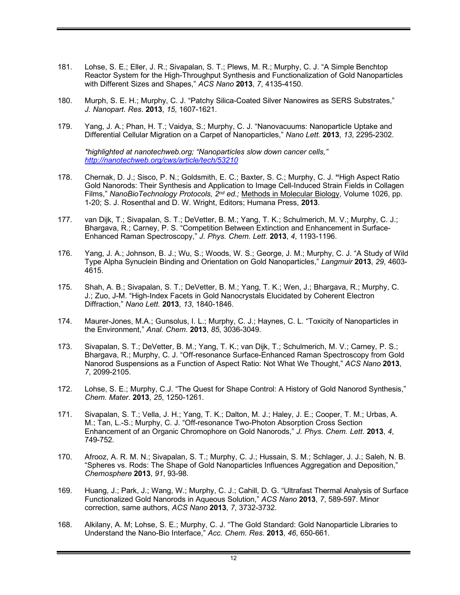- 181. Lohse, S. E.; Eller, J. R.; Sivapalan, S. T.; Plews, M. R.; Murphy, C. J. "A Simple Benchtop Reactor System for the High-Throughput Synthesis and Functionalization of Gold Nanoparticles with Different Sizes and Shapes," *ACS Nano* **2013**, *7*, 4135-4150.
- 180. Murph, S. E. H.; Murphy, C. J. "Patchy Silica-Coated Silver Nanowires as SERS Substrates," *J. Nanopart. Res*. **2013**, *15*, 1607-1621.
- 179. Yang, J. A.; Phan, H. T.; Vaidya, S.; Murphy, C. J. "Nanovacuums: Nanoparticle Uptake and Differential Cellular Migration on a Carpet of Nanoparticles," *Nano Lett.* **2013**, *13*, 2295-2302.

*\*highlighted at nanotechweb.org; "Nanoparticles slow down cancer cells," http://nanotechweb.org/cws/article/tech/53210*

- 178. Chernak, D. J.; Sisco, P. N.; Goldsmith, E. C.; Baxter, S. C.; Murphy, C. J. **"**High Aspect Ratio Gold Nanorods: Their Synthesis and Application to Image Cell-Induced Strain Fields in Collagen Films," *NanoBioTechnology Protocols, 2nd ed.;* Methods in Molecular Biology, Volume 1026, pp. 1-20; S. J. Rosenthal and D. W. Wright, Editors; Humana Press, **2013**.
- 177. van Dijk, T.; Sivapalan, S. T.; DeVetter, B. M.; Yang, T. K.; Schulmerich, M. V.; Murphy, C. J.; Bhargava, R.; Carney, P. S. "Competition Between Extinction and Enhancement in Surface-Enhanced Raman Spectroscopy," *J. Phys. Chem. Lett*. **2013**, *4*, 1193-1196.
- 176. Yang, J. A.; Johnson, B. J.; Wu, S.; Woods, W. S.; George, J. M.; Murphy, C. J. "A Study of Wild Type Alpha Synuclein Binding and Orientation on Gold Nanoparticles," *Langmuir* **2013**, *29*, 4603- 4615.
- 175. Shah, A. B.; Sivapalan, S. T.; DeVetter, B. M.; Yang, T. K.; Wen, J.; Bhargava, R.; Murphy, C. J.; Zuo, J-M. "High-Index Facets in Gold Nanocrystals Elucidated by Coherent Electron Diffraction," *Nano Lett.* **2013**, *13*, 1840-1846.
- 174. Maurer-Jones, M.A.; Gunsolus, I. L.; Murphy, C. J.; Haynes, C. L. "Toxicity of Nanoparticles in the Environment," *Anal. Chem*. **2013**, *85*, 3036-3049.
- 173. Sivapalan, S. T.; DeVetter, B. M.; Yang, T. K.; van Dijk, T.; Schulmerich, M. V.; Carney, P. S.; Bhargava, R.; Murphy, C. J. "Off-resonance Surface-Enhanced Raman Spectroscopy from Gold Nanorod Suspensions as a Function of Aspect Ratio: Not What We Thought," *ACS Nano* **2013**, *7*, 2099-2105.
- 172. Lohse, S. E.; Murphy, C.J. "The Quest for Shape Control: A History of Gold Nanorod Synthesis," *Chem. Mater*. **2013**, *25*, 1250-1261.
- 171. Sivapalan, S. T.; Vella, J. H.; Yang, T. K.; Dalton, M. J.; Haley, J. E.; Cooper, T. M.; Urbas, A. M.; Tan, L.-S.; Murphy, C. J. "Off-resonance Two-Photon Absorption Cross Section Enhancement of an Organic Chromophore on Gold Nanorods," *J. Phys. Chem. Lett*. **2013**, *4*, 749-752.
- 170. Afrooz, A. R. M. N.; Sivapalan, S. T.; Murphy, C. J.; Hussain, S. M.; Schlager, J. J.; Saleh, N. B. "Spheres vs. Rods: The Shape of Gold Nanoparticles Influences Aggregation and Deposition," *Chemosphere* **2013**, *91*, 93-98.
- 169. Huang, J.; Park, J.; Wang, W.; Murphy, C. J.; Cahill, D. G. "Ultrafast Thermal Analysis of Surface Functionalized Gold Nanorods in Aqueous Solution," *ACS Nano* **2013**, *7*, 589-597. Minor correction, same authors, *ACS Nano* **2013**, *7*, 3732-3732.
- 168. Alkilany, A. M; Lohse, S. E.; Murphy, C. J. "The Gold Standard: Gold Nanoparticle Libraries to Understand the Nano-Bio Interface," *Acc. Chem. Res*. **2013**, *46*, 650-661.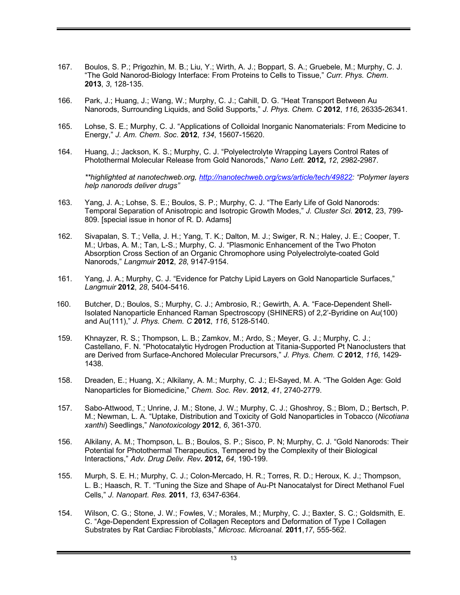- 167. Boulos, S. P.; Prigozhin, M. B.; Liu, Y.; Wirth, A. J.; Boppart, S. A.; Gruebele, M.; Murphy, C. J. "The Gold Nanorod-Biology Interface: From Proteins to Cells to Tissue," *Curr. Phys. Chem*. **2013**, *3*, 128-135.
- 166. Park, J.; Huang, J.; Wang, W.; Murphy, C. J.; Cahill, D. G. "Heat Transport Between Au Nanorods, Surrounding Liquids, and Solid Supports," *J. Phys. Chem. C* **2012**, *116*, 26335-26341.
- 165. Lohse, S. E.; Murphy, C. J. "Applications of Colloidal Inorganic Nanomaterials: From Medicine to Energy," *J. Am. Chem. Soc*. **2012**, *134*, 15607-15620.
- 164. Huang, J.; Jackson, K. S.; Murphy, C. J. "Polyelectrolyte Wrapping Layers Control Rates of Photothermal Molecular Release from Gold Nanorods," *Nano Lett.* **2012,** *12*, 2982-2987*.*

*\*\*highlighted at nanotechweb.org, http://nanotechweb.org/cws/article/tech/49822: "Polymer layers help nanorods deliver drugs"*

- 163. Yang, J. A.; Lohse, S. E.; Boulos, S. P.; Murphy, C. J. "The Early Life of Gold Nanorods: Temporal Separation of Anisotropic and Isotropic Growth Modes," *J. Cluster Sci*. **2012**, 23, 799- 809. [special issue in honor of R. D. Adams]
- 162. Sivapalan, S. T.; Vella, J. H.; Yang, T. K.; Dalton, M. J.; Swiger, R. N.; Haley, J. E.; Cooper, T. M.; Urbas, A. M.; Tan, L-S.; Murphy, C. J. "Plasmonic Enhancement of the Two Photon Absorption Cross Section of an Organic Chromophore using Polyelectrolyte-coated Gold Nanorods," *Langmuir* **2012**, *28*, 9147-9154.
- 161. Yang, J. A.; Murphy, C. J. "Evidence for Patchy Lipid Layers on Gold Nanoparticle Surfaces," *Langmuir* **2012**, *28*, 5404-5416.
- 160. Butcher, D.; Boulos, S.; Murphy, C. J.; Ambrosio, R.; Gewirth, A. A. "Face-Dependent Shell-Isolated Nanoparticle Enhanced Raman Spectroscopy (SHINERS) of 2,2'-Byridine on Au(100) and Au(111)," *J. Phys. Chem. C* **2012**, *116*, 5128-5140.
- 159. Khnayzer, R. S.; Thompson, L. B.; Zamkov, M.; Ardo, S.; Meyer, G. J.; Murphy, C. J.; Castellano, F. N. "Photocatalytic Hydrogen Production at Titania-Supported Pt Nanoclusters that are Derived from Surface-Anchored Molecular Precursors," *J. Phys. Chem. C* **2012**, *116*, 1429- 1438.
- 158. Dreaden, E.; Huang, X.; Alkilany, A. M.; Murphy, C. J.; El-Sayed, M. A. "The Golden Age: Gold Nanoparticles for Biomedicine," *Chem. Soc. Rev*. **2012**, *41*, 2740-2779.
- 157. Sabo-Attwood, T.; Unrine, J. M.; Stone, J. W.; Murphy, C. J.; Ghoshroy, S.; Blom, D.; Bertsch, P. M.; Newman, L. A. "Uptake, Distribution and Toxicity of Gold Nanoparticles in Tobacco (*Nicotiana xanthi*) Seedlings," *Nanotoxicology* **2012**, *6*, 361-370.
- 156. Alkilany, A. M.; Thompson, L. B.; Boulos, S. P.; Sisco, P. N; Murphy, C. J. "Gold Nanorods: Their Potential for Photothermal Therapeutics, Tempered by the Complexity of their Biological Interactions," *Adv. Drug Deliv. Rev***. 2012,** *64*, 190-199.
- 155. Murph, S. E. H.; Murphy, C. J.; Colon-Mercado, H. R.; Torres, R. D.; Heroux, K. J.; Thompson, L. B.; Haasch, R. T. "Tuning the Size and Shape of Au-Pt Nanocatalyst for Direct Methanol Fuel Cells," *J. Nanopart. Res.* **2011**, *13*, 6347-6364.
- 154. Wilson, C. G.; Stone, J. W.; Fowles, V.; Morales, M.; Murphy, C. J.; Baxter, S. C.; Goldsmith, E. C. "Age-Dependent Expression of Collagen Receptors and Deformation of Type I Collagen Substrates by Rat Cardiac Fibroblasts," *Microsc. Microanal.* **2011**,*17*, 555-562.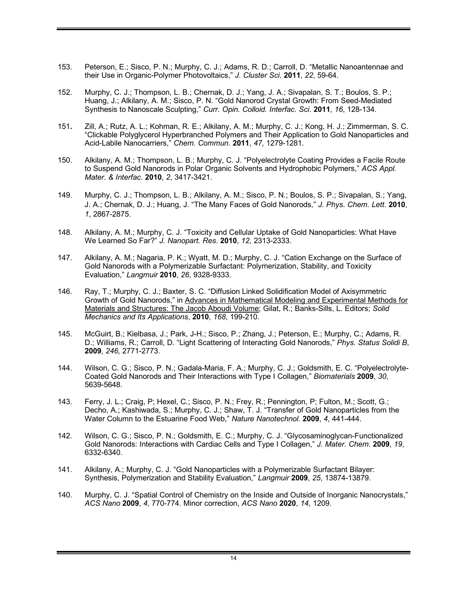- 153. Peterson, E.; Sisco, P. N.; Murphy, C. J.; Adams, R. D.; Carroll, D. "Metallic Nanoantennae and their Use in Organic-Polymer Photovoltaics," *J. Cluster Sci*. **2011**, *22*, 59-64.
- 152. Murphy, C. J.; Thompson, L. B.; Chernak, D. J.; Yang, J. A.; Sivapalan, S. T.; Boulos, S. P.; Huang, J.; Alkilany, A. M.; Sisco, P. N. "Gold Nanorod Crystal Growth: From Seed-Mediated Synthesis to Nanoscale Sculpting," *Curr. Opin. Colloid. Interfac. Sci*. **2011**, *16*, 128-134.
- 151**.** Zill, A.; Rutz, A. L.; Kohman, R. E.; Alkilany, A. M.; Murphy, C. J.; Kong, H. J.; Zimmerman, S. C. "Clickable Polyglycerol Hyperbranched Polymers and Their Application to Gold Nanoparticles and Acid-Labile Nanocarriers," *Chem. Commun.* **2011**, *47*, 1279-1281.
- 150. Alkilany, A. M.; Thompson, L. B.; Murphy, C. J. "Polyelectrolyte Coating Provides a Facile Route to Suspend Gold Nanorods in Polar Organic Solvents and Hydrophobic Polymers," *ACS Appl. Mater. & Interfac*. **2010**, *2*, 3417-3421.
- 149. Murphy, C. J.; Thompson, L. B.; Alkilany, A. M.; Sisco, P. N.; Boulos, S. P.; Sivapalan, S.; Yang, J. A.; Chernak, D. J.; Huang, J. "The Many Faces of Gold Nanorods," *J. Phys. Chem. Lett*. **2010**, *1*, 2867-2875.
- 148. Alkilany, A. M.; Murphy, C. J. "Toxicity and Cellular Uptake of Gold Nanoparticles: What Have We Learned So Far?" *J. Nanopart. Res*. **2010**, *12*, 2313-2333.
- 147. Alkilany, A. M.; Nagaria, P. K.; Wyatt, M. D.; Murphy, C. J. "Cation Exchange on the Surface of Gold Nanorods with a Polymerizable Surfactant: Polymerization, Stability, and Toxicity Evaluation," *Langmuir* **2010**, *26*, 9328-9333*.*
- 146. Ray, T.; Murphy, C. J.; Baxter, S. C. "Diffusion Linked Solidification Model of Axisymmetric Growth of Gold Nanorods," in Advances in Mathematical Modeling and Experimental Methods for Materials and Structures: The Jacob Aboudi Volume; Gilat, R.; Banks-Sills, L. Editors; *Solid Mechanics and Its Applications*, **2010**, *168*, 199-210.
- 145. McGuirt, B.; Kielbasa, J.; Park, J-H.; Sisco, P.; Zhang, J.; Peterson, E.; Murphy, C.; Adams, R. D.; Williams, R.; Carroll, D. "Light Scattering of Interacting Gold Nanorods," *Phys. Status Solidi B*, **2009**, *246*, 2771-2773.
- 144. Wilson, C. G.; Sisco, P. N.; Gadala-Maria, F. A.; Murphy, C. J.; Goldsmith, E. C. "Polyelectrolyte-Coated Gold Nanorods and Their Interactions with Type I Collagen," *Biomaterials* **2009**, *30*, 5639-5648.
- 143. Ferry, J. L.; Craig, P; Hexel, C.; Sisco, P. N.; Frey, R.; Pennington, P; Fulton, M.; Scott, G.; Decho, A.; Kashiwada, S.; Murphy, C. J.; Shaw, T. J. "Transfer of Gold Nanoparticles from the Water Column to the Estuarine Food Web," *Nature Nanotechnol.* **2009**, *4*, 441-444.
- 142. Wilson, C. G.; Sisco, P. N.; Goldsmith, E. C.; Murphy, C. J. "Glycosaminoglycan-Functionalized Gold Nanorods: Interactions with Cardiac Cells and Type I Collagen," *J. Mater. Chem*. **2009**, *19*, 6332-6340.
- 141. Alkilany, A.; Murphy, C. J. "Gold Nanoparticles with a Polymerizable Surfactant Bilayer: Synthesis, Polymerization and Stability Evaluation," *Langmuir* **2009**, *25*, 13874-13879.
- 140. Murphy, C. J. "Spatial Control of Chemistry on the Inside and Outside of Inorganic Nanocrystals," *ACS Nano* **2009**, *4*, 770-774. Minor correction, *ACS Nano* **2020**, *14*, 1209.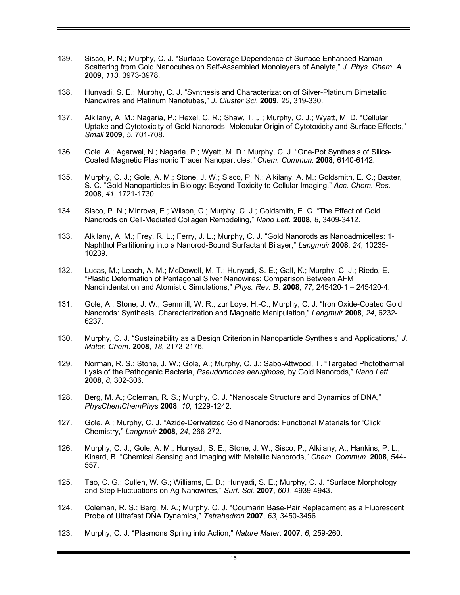- 139. Sisco, P. N.; Murphy, C. J. "Surface Coverage Dependence of Surface-Enhanced Raman Scattering from Gold Nanocubes on Self-Assembled Monolayers of Analyte," *J. Phys. Chem. A* **2009**, *113*, 3973-3978.
- 138. Hunyadi, S. E.; Murphy, C. J. "Synthesis and Characterization of Silver-Platinum Bimetallic Nanowires and Platinum Nanotubes," *J. Cluster Sci*. **2009**, *20*, 319-330.
- 137. Alkilany, A. M.; Nagaria, P.; Hexel, C. R.; Shaw, T. J.; Murphy, C. J.; Wyatt, M. D. "Cellular Uptake and Cytotoxicity of Gold Nanorods: Molecular Origin of Cytotoxicity and Surface Effects," *Small* **2009**, *5*, 701-708.
- 136. Gole, A.; Agarwal, N.; Nagaria, P.; Wyatt, M. D.; Murphy, C. J. "One-Pot Synthesis of Silica-Coated Magnetic Plasmonic Tracer Nanoparticles," *Chem. Commun*. **2008**, 6140-6142.
- 135. Murphy, C. J.; Gole, A. M.; Stone, J. W.; Sisco, P. N.; Alkilany, A. M.; Goldsmith, E. C.; Baxter, S. C. "Gold Nanoparticles in Biology: Beyond Toxicity to Cellular Imaging," *Acc. Chem. Res.* **2008**, *41*, 1721-1730.
- 134. Sisco, P. N.; Minrova, E.; Wilson, C.; Murphy, C. J.; Goldsmith, E. C. "The Effect of Gold Nanorods on Cell-Mediated Collagen Remodeling," *Nano Lett.* **2008**, *8*, 3409-3412.
- 133. Alkilany, A. M.; Frey, R. L.; Ferry, J. L.; Murphy, C. J. "Gold Nanorods as Nanoadmicelles: 1- Naphthol Partitioning into a Nanorod-Bound Surfactant Bilayer," *Langmuir* **2008**, *24*, 10235- 10239.
- 132. Lucas, M.; Leach, A. M.; McDowell, M. T.; Hunyadi, S. E.; Gall, K.; Murphy, C. J.; Riedo, E. "Plastic Deformation of Pentagonal Silver Nanowires: Comparison Between AFM Nanoindentation and Atomistic Simulations," *Phys. Rev. B*. **2008**, *77*, 245420-1 – 245420-4.
- 131. Gole, A.; Stone, J. W.; Gemmill, W. R.; zur Loye, H.-C.; Murphy, C. J. "Iron Oxide-Coated Gold Nanorods: Synthesis, Characterization and Magnetic Manipulation," *Langmuir* **2008**, *24*, 6232- 6237.
- 130. Murphy, C. J. "Sustainability as a Design Criterion in Nanoparticle Synthesis and Applications," *J. Mater. Chem*. **2008**, *18*, 2173-2176.
- 129. Norman, R. S.; Stone, J. W.; Gole, A.; Murphy, C. J.; Sabo-Attwood, T. "Targeted Photothermal Lysis of the Pathogenic Bacteria, *Pseudomonas aeruginosa,* by Gold Nanorods," *Nano Lett.* **2008**, *8*, 302-306.
- 128. Berg, M. A.; Coleman, R. S.; Murphy, C. J. "Nanoscale Structure and Dynamics of DNA," *PhysChemChemPhys* **2008**, *10*, 1229-1242.
- 127. Gole, A.; Murphy, C. J. "Azide-Derivatized Gold Nanorods: Functional Materials for 'Click' Chemistry," *Langmuir* **2008**, *24*, 266-272.
- 126. Murphy, C. J.; Gole, A. M.; Hunyadi, S. E.; Stone, J. W.; Sisco, P.; Alkilany, A.; Hankins, P. L.; Kinard, B. "Chemical Sensing and Imaging with Metallic Nanorods," *Chem. Commun*. **2008**, 544- 557.
- 125. Tao, C. G.; Cullen, W. G.; Williams, E. D.; Hunyadi, S. E.; Murphy, C. J. "Surface Morphology and Step Fluctuations on Ag Nanowires," *Surf. Sci.* **2007**, *601*, 4939-4943.
- 124. Coleman, R. S.; Berg, M. A.; Murphy, C. J. "Coumarin Base-Pair Replacement as a Fluorescent Probe of Ultrafast DNA Dynamics," *Tetrahedron* **2007**, *63*, 3450-3456.
- 123. Murphy, C. J. "Plasmons Spring into Action," *Nature Mater*. **2007**, *6*, 259-260.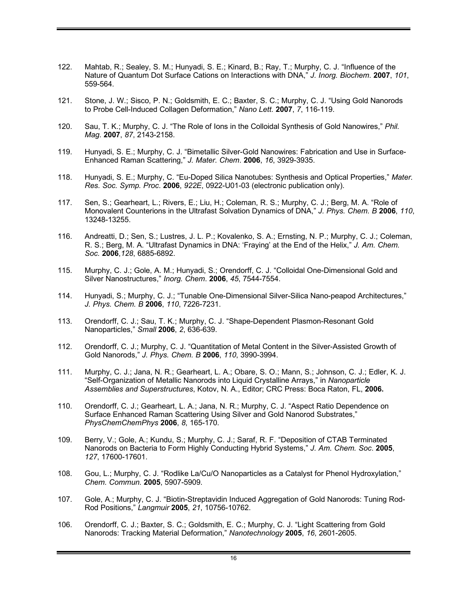- 122. Mahtab, R.; Sealey, S. M.; Hunyadi, S. E.; Kinard, B.; Ray, T.; Murphy, C. J. "Influence of the Nature of Quantum Dot Surface Cations on Interactions with DNA," *J. Inorg. Biochem*. **2007**, *101*, 559-564.
- 121. Stone, J. W.; Sisco, P. N.; Goldsmith, E. C.; Baxter, S. C.; Murphy, C. J. "Using Gold Nanorods to Probe Cell-Induced Collagen Deformation," *Nano Lett.* **2007**, *7*, 116-119.
- 120. Sau, T. K.; Murphy, C. J. "The Role of Ions in the Colloidal Synthesis of Gold Nanowires," *Phil. Mag*. **2007**, *87*, 2143-2158.
- 119. Hunyadi, S. E.; Murphy, C. J. "Bimetallic Silver-Gold Nanowires: Fabrication and Use in Surface-Enhanced Raman Scattering," *J. Mater. Chem*. **2006**, *16*, 3929-3935.
- 118. Hunyadi, S. E.; Murphy, C. "Eu-Doped Silica Nanotubes: Synthesis and Optical Properties," *Mater. Res. Soc. Symp. Proc*. **2006**, *922E*, 0922-U01-03 (electronic publication only).
- 117. Sen, S.; Gearheart, L.; Rivers, E.; Liu, H.; Coleman, R. S.; Murphy, C. J.; Berg, M. A. "Role of Monovalent Counterions in the Ultrafast Solvation Dynamics of DNA," *J. Phys. Chem. B* **2006**, *110*, 13248-13255.
- 116. Andreatti, D.; Sen, S.; Lustres, J. L. P.; Kovalenko, S. A.; Ernsting, N. P.; Murphy, C. J.; Coleman, R. S.; Berg, M. A. "Ultrafast Dynamics in DNA: 'Fraying' at the End of the Helix," *J. Am. Chem. Soc.* **2006**,*128*, 6885-6892.
- 115. Murphy, C. J.; Gole, A. M.; Hunyadi, S.; Orendorff, C. J. "Colloidal One-Dimensional Gold and Silver Nanostructures," *Inorg. Chem*. **2006**, *45*, 7544-7554.
- 114. Hunyadi, S.; Murphy, C. J.; "Tunable One-Dimensional Silver-Silica Nano-peapod Architectures," *J. Phys. Chem. B* **2006**, *110*, 7226-7231.
- 113. Orendorff, C. J.; Sau, T. K.; Murphy, C. J. "Shape-Dependent Plasmon-Resonant Gold Nanoparticles," *Small* **2006**, *2*, 636-639.
- 112. Orendorff, C. J.; Murphy, C. J. "Quantitation of Metal Content in the Silver-Assisted Growth of Gold Nanorods," *J. Phys. Chem. B* **2006**, *110*, 3990-3994.
- 111. Murphy, C. J.; Jana, N. R.; Gearheart, L. A.; Obare, S. O.; Mann, S.; Johnson, C. J.; Edler, K. J. "Self-Organization of Metallic Nanorods into Liquid Crystalline Arrays," in *Nanoparticle Assemblies and Superstructures*, Kotov, N. A., Editor; CRC Press: Boca Raton, FL, **2006.**
- 110. Orendorff, C. J.; Gearheart, L. A.; Jana, N. R.; Murphy, C. J. "Aspect Ratio Dependence on Surface Enhanced Raman Scattering Using Silver and Gold Nanorod Substrates," *PhysChemChemPhys* **2006**, *8*, 165-170.
- 109. Berry, V.; Gole, A.; Kundu, S.; Murphy, C. J.; Saraf, R. F. "Deposition of CTAB Terminated Nanorods on Bacteria to Form Highly Conducting Hybrid Systems," *J. Am. Chem. Soc*. **2005**, *127*, 17600-17601.
- 108. Gou, L.; Murphy, C. J. "Rodlike La/Cu/O Nanoparticles as a Catalyst for Phenol Hydroxylation," *Chem. Commun.* **2005**, 5907-5909.
- 107. Gole, A.; Murphy, C. J. "Biotin-Streptavidin Induced Aggregation of Gold Nanorods: Tuning Rod-Rod Positions," *Langmuir* **2005**, *21*, 10756-10762.
- 106. Orendorff, C. J.; Baxter, S. C.; Goldsmith, E. C.; Murphy, C. J. "Light Scattering from Gold Nanorods: Tracking Material Deformation," *Nanotechnology* **2005**, *16*, 2601-2605.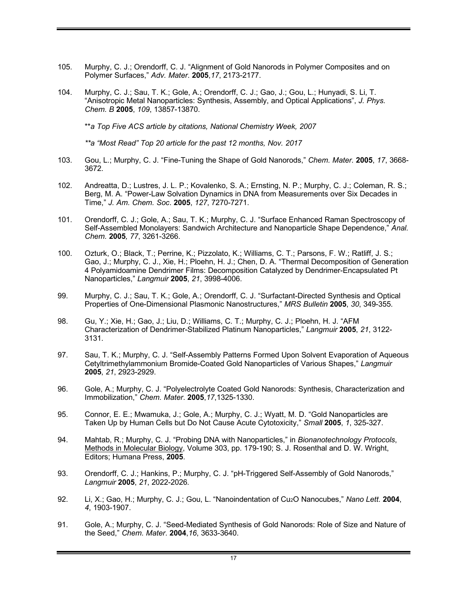- 105. Murphy, C. J.; Orendorff, C. J. "Alignment of Gold Nanorods in Polymer Composites and on Polymer Surfaces," *Adv. Mater*. **2005**,*17*, 2173-2177.
- 104. Murphy, C. J.; Sau, T. K.; Gole, A.; Orendorff, C. J.; Gao, J.; Gou, L.; Hunyadi, S. Li, T. "Anisotropic Metal Nanoparticles: Synthesis, Assembly, and Optical Applications", *J. Phys. Chem. B* **2005**, *109*, 13857-13870.

\*\**a Top Five ACS article by citations, National Chemistry Week, 2007*

*\*\*a "Most Read" Top 20 article for the past 12 months, Nov. 2017*

- 103. Gou, L.; Murphy, C. J. "Fine-Tuning the Shape of Gold Nanorods," *Chem. Mater.* **2005**, *17*, 3668- 3672.
- 102. Andreatta, D.; Lustres, J. L. P.; Kovalenko, S. A.; Ernsting, N. P.; Murphy, C. J.; Coleman, R. S.; Berg, M. A. "Power-Law Solvation Dynamics in DNA from Measurements over Six Decades in Time," *J. Am. Chem. Soc*. **2005**, *127*, 7270-7271.
- 101. Orendorff, C. J.; Gole, A.; Sau, T. K.; Murphy, C. J. "Surface Enhanced Raman Spectroscopy of Self-Assembled Monolayers: Sandwich Architecture and Nanoparticle Shape Dependence," *Anal. Chem.* **2005***, 77*, 3261-3266.
- 100. Ozturk, O.; Black, T.; Perrine, K.; Pizzolato, K.; Williams, C. T.; Parsons, F. W.; Ratliff, J. S.; Gao, J.; Murphy, C. J., Xie, H.; Ploehn, H. J.; Chen, D. A. "Thermal Decomposition of Generation 4 Polyamidoamine Dendrimer Films: Decomposition Catalyzed by Dendrimer-Encapsulated Pt Nanoparticles," *Langmuir* **2005**, *21*, 3998-4006.
- 99. Murphy, C. J.; Sau, T. K.; Gole, A.; Orendorff, C. J. "Surfactant-Directed Synthesis and Optical Properties of One-Dimensional Plasmonic Nanostructures," *MRS Bulletin* **2005**, *30*, 349-355.
- 98. Gu, Y.; Xie, H.; Gao, J.; Liu, D.; Williams, C. T.; Murphy, C. J.; Ploehn, H. J. "AFM Characterization of Dendrimer-Stabilized Platinum Nanoparticles," *Langmuir* **2005**, *21*, 3122- 3131.
- 97. Sau, T. K.; Murphy, C. J. "Self-Assembly Patterns Formed Upon Solvent Evaporation of Aqueous Cetyltrimethylammonium Bromide-Coated Gold Nanoparticles of Various Shapes," *Langmuir* **2005**, *21*, 2923-2929.
- 96. Gole, A.; Murphy, C. J. "Polyelectrolyte Coated Gold Nanorods: Synthesis, Characterization and Immobilization," *Chem. Mater*. **2005**,*17*,1325-1330.
- 95. Connor, E. E.; Mwamuka, J.; Gole, A.; Murphy, C. J.; Wyatt, M. D. "Gold Nanoparticles are Taken Up by Human Cells but Do Not Cause Acute Cytotoxicity," *Small* **2005**, *1*, 325-327.
- 94. Mahtab, R.; Murphy, C. J. "Probing DNA with Nanoparticles," in *Bionanotechnology Protocols*, Methods in Molecular Biology, Volume 303, pp. 179-190; S. J. Rosenthal and D. W. Wright, Editors; Humana Press, **2005**.
- 93. Orendorff, C. J.; Hankins, P.; Murphy, C. J. "pH-Triggered Self-Assembly of Gold Nanorods," *Langmuir* **2005**, *21*, 2022-2026*.*
- 92. Li, X.; Gao, H.; Murphy, C. J.; Gou, L. "Nanoindentation of Cu2O Nanocubes," *Nano Lett.* **2004**, *4*, 1903-1907.
- 91. Gole, A.; Murphy, C. J. "Seed-Mediated Synthesis of Gold Nanorods: Role of Size and Nature of the Seed," *Chem. Mater*. **2004**,*16*, 3633-3640.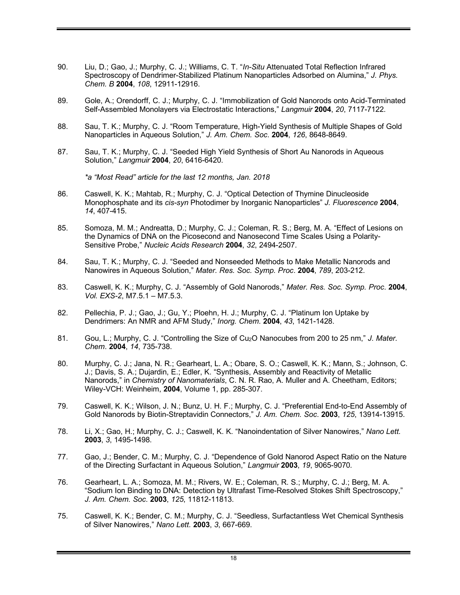- 90. Liu, D.; Gao, J.; Murphy, C. J.; Williams, C. T. "*In-Situ* Attenuated Total Reflection Infrared Spectroscopy of Dendrimer-Stabilized Platinum Nanoparticles Adsorbed on Alumina," *J. Phys. Chem. B* **2004**, *108*, 12911-12916.
- 89. Gole, A.; Orendorff, C. J.; Murphy, C. J. "Immobilization of Gold Nanorods onto Acid-Terminated Self-Assembled Monolayers via Electrostatic Interactions," *Langmuir* **2004**, *20*, 7117-7122.
- 88. Sau, T. K.; Murphy, C. J. "Room Temperature, High-Yield Synthesis of Multiple Shapes of Gold Nanoparticles in Aqueous Solution," *J. Am. Chem. Soc*. **2004**, *126*, 8648-8649.
- 87. Sau, T. K.; Murphy, C. J. "Seeded High Yield Synthesis of Short Au Nanorods in Aqueous Solution," *Langmuir* **2004**, *20*, 6416-6420.

*\*a "Most Read" article for the last 12 months, Jan. 2018*

- 86. Caswell, K. K.; Mahtab, R.; Murphy, C. J. "Optical Detection of Thymine Dinucleoside Monophosphate and its *cis-syn* Photodimer by Inorganic Nanoparticles" *J. Fluorescence* **2004**, *14*, 407-415.
- 85. Somoza, M. M.; Andreatta, D.; Murphy, C. J.; Coleman, R. S.; Berg, M. A. "Effect of Lesions on the Dynamics of DNA on the Picosecond and Nanosecond Time Scales Using a Polarity-Sensitive Probe," *Nucleic Acids Research* **2004**, *32*, 2494-2507.
- 84. Sau, T. K.; Murphy, C. J. "Seeded and Nonseeded Methods to Make Metallic Nanorods and Nanowires in Aqueous Solution," *Mater. Res. Soc. Symp. Proc*. **2004**, *789*, 203-212.
- 83. Caswell, K. K.; Murphy, C. J. "Assembly of Gold Nanorods," *Mater. Res. Soc. Symp. Proc*. **2004**, *Vol. EXS-2*, M7.5.1 – M7.5.3.
- 82. Pellechia, P. J.; Gao, J.; Gu, Y.; Ploehn, H. J.; Murphy, C. J. "Platinum Ion Uptake by Dendrimers: An NMR and AFM Study," *Inorg. Chem*. **2004**, *43*, 1421-1428.
- 81. Gou, L.; Murphy, C. J. "Controlling the Size of Cu2O Nanocubes from 200 to 25 nm," *J. Mater. Chem*. **2004**, *14*, 735-738.
- 80. Murphy, C. J.; Jana, N. R.; Gearheart, L. A.; Obare, S. O.; Caswell, K. K.; Mann, S.; Johnson, C. J.; Davis, S. A.; Dujardin, E.; Edler, K. "Synthesis, Assembly and Reactivity of Metallic Nanorods," in *Chemistry of Nanomaterials*, C. N. R. Rao, A. Muller and A. Cheetham, Editors; Wiley-VCH: Weinheim, **2004**, Volume 1, pp. 285-307.
- 79. Caswell, K. K.; Wilson, J. N.; Bunz, U. H. F.; Murphy, C. J. "Preferential End-to-End Assembly of Gold Nanorods by Biotin-Streptavidin Connectors," *J. Am. Chem. Soc*. **2003**, *125*, 13914-13915.
- 78. Li, X.; Gao, H.; Murphy, C. J.; Caswell, K. K. "Nanoindentation of Silver Nanowires," *Nano Lett.* **2003**, *3*, 1495-1498.
- 77. Gao, J.; Bender, C. M.; Murphy, C. J. "Dependence of Gold Nanorod Aspect Ratio on the Nature of the Directing Surfactant in Aqueous Solution," *Langmuir* **2003**, *19*, 9065-9070*.*
- 76. Gearheart, L. A.; Somoza, M. M.; Rivers, W. E.; Coleman, R. S.; Murphy, C. J.; Berg, M. A. "Sodium Ion Binding to DNA: Detection by Ultrafast Time-Resolved Stokes Shift Spectroscopy," *J. Am. Chem. Soc*. **2003**, *125*, 11812-11813.
- 75. Caswell, K. K.; Bender, C. M.; Murphy, C. J. "Seedless, Surfactantless Wet Chemical Synthesis of Silver Nanowires," *Nano Lett.* **2003**, *3*, 667-669.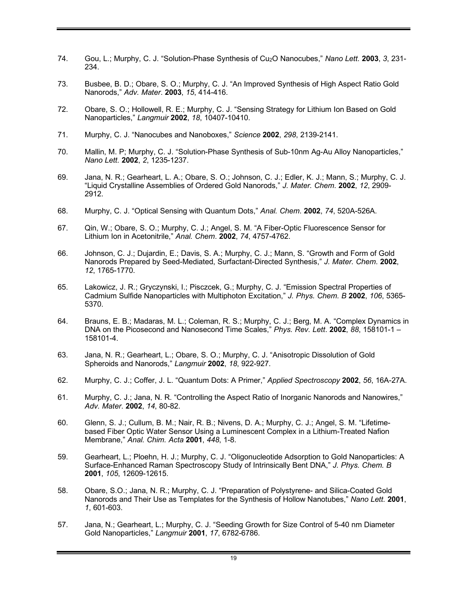- 74. Gou, L.; Murphy, C. J. "Solution-Phase Synthesis of Cu2O Nanocubes," *Nano Lett.* **2003**, *3*, 231- 234.
- 73. Busbee, B. D.; Obare, S. O.; Murphy, C. J. "An Improved Synthesis of High Aspect Ratio Gold Nanorods," *Adv. Mater*. **2003**, *15*, 414-416.
- 72. Obare, S. O.; Hollowell, R. E.; Murphy, C. J. "Sensing Strategy for Lithium Ion Based on Gold Nanoparticles," *Langmuir* **2002**, *18*, 10407-10410.
- 71. Murphy, C. J. "Nanocubes and Nanoboxes," *Science* **2002**, *298*, 2139-2141.
- 70. Mallin, M. P; Murphy, C. J. "Solution-Phase Synthesis of Sub-10nm Ag-Au Alloy Nanoparticles," *Nano Lett.* **2002**, *2*, 1235-1237.
- 69. Jana, N. R.; Gearheart, L. A.; Obare, S. O.; Johnson, C. J.; Edler, K. J.; Mann, S.; Murphy, C. J. "Liquid Crystalline Assemblies of Ordered Gold Nanorods," *J. Mater. Chem*. **2002**, *12*, 2909- 2912.
- 68. Murphy, C. J. "Optical Sensing with Quantum Dots," *Anal. Chem*. **2002**, *74*, 520A-526A.
- 67. Qin, W.; Obare, S. O.; Murphy, C. J.; Angel, S. M. "A Fiber-Optic Fluorescence Sensor for Lithium Ion in Acetonitrile," *Anal. Chem*. **2002**, *74*, 4757-4762.
- 66. Johnson, C. J.; Dujardin, E.; Davis, S. A.; Murphy, C. J.; Mann, S. "Growth and Form of Gold Nanorods Prepared by Seed-Mediated, Surfactant-Directed Synthesis," *J. Mater. Chem*. **2002**, *12*, 1765-1770.
- 65. Lakowicz, J. R.; Gryczynski, I.; Pisczcek, G.; Murphy, C. J. "Emission Spectral Properties of Cadmium Sulfide Nanoparticles with Multiphoton Excitation," *J. Phys. Chem. B* **2002**, *106*, 5365- 5370.
- 64. Brauns, E. B.; Madaras, M. L.; Coleman, R. S.; Murphy, C. J.; Berg, M. A. "Complex Dynamics in DNA on the Picosecond and Nanosecond Time Scales," *Phys. Rev. Lett*. **2002**, *88*, 158101-1 – 158101-4.
- 63. Jana, N. R.; Gearheart, L.; Obare, S. O.; Murphy, C. J. "Anisotropic Dissolution of Gold Spheroids and Nanorods," *Langmuir* **2002**, *18*, 922-927.
- 62. Murphy, C. J.; Coffer, J. L. "Quantum Dots: A Primer," *Applied Spectroscopy* **2002**, *56*, 16A-27A.
- 61. Murphy, C. J.; Jana, N. R. "Controlling the Aspect Ratio of Inorganic Nanorods and Nanowires," *Adv. Mater*. **2002**, *14*, 80-82.
- 60. Glenn, S. J.; Cullum, B. M.; Nair, R. B.; Nivens, D. A.; Murphy, C. J.; Angel, S. M. "Lifetimebased Fiber Optic Water Sensor Using a Luminescent Complex in a Lithium-Treated Nafion Membrane," *Anal. Chim. Acta* **2001**, *448*, 1-8.
- 59. Gearheart, L.; Ploehn, H. J.; Murphy, C. J. "Oligonucleotide Adsorption to Gold Nanoparticles: A Surface-Enhanced Raman Spectroscopy Study of Intrinsically Bent DNA," *J. Phys. Chem. B* **2001**, *105*, 12609-12615.
- 58. Obare, S.O.; Jana, N. R.; Murphy, C. J. "Preparation of Polystyrene- and Silica-Coated Gold Nanorods and Their Use as Templates for the Synthesis of Hollow Nanotubes," *Nano Lett.* **2001**, *1*, 601-603.
- 57. Jana, N.; Gearheart, L.; Murphy, C. J. "Seeding Growth for Size Control of 5-40 nm Diameter Gold Nanoparticles," *Langmuir* **2001**, *17*, 6782-6786.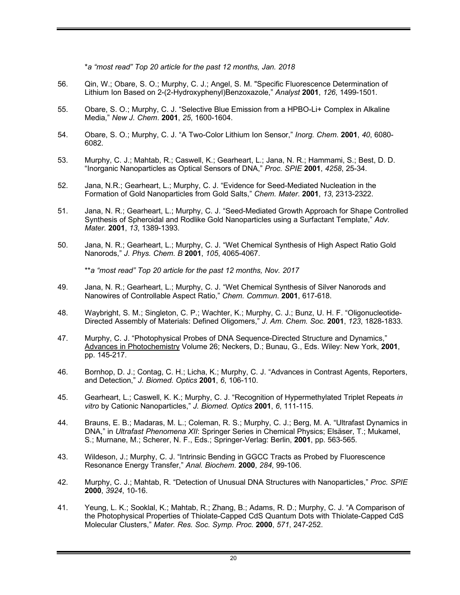\**a "most read" Top 20 article for the past 12 months, Jan. 2018*

- 56. Qin, W.; Obare, S. O.; Murphy, C. J.; Angel, S. M. "Specific Fluorescence Determination of Lithium Ion Based on 2-(2-Hydroxyphenyl)Benzoxazole," *Analyst* **2001**, *126*, 1499-1501*.*
- 55. Obare, S. O.; Murphy, C. J. "Selective Blue Emission from a HPBO-Li+ Complex in Alkaline Media," *New J. Chem*. **2001**, *25*, 1600-1604.
- 54. Obare, S. O.; Murphy, C. J. "A Two-Color Lithium Ion Sensor," *Inorg. Chem*. **2001**, *40*, 6080- 6082.
- 53. Murphy, C. J.; Mahtab, R.; Caswell, K.; Gearheart, L.; Jana, N. R.; Hammami, S.; Best, D. D. "Inorganic Nanoparticles as Optical Sensors of DNA," *Proc. SPIE* **2001**, *4258*, 25-34.
- 52. Jana, N.R.; Gearheart, L.; Murphy, C. J. "Evidence for Seed-Mediated Nucleation in the Formation of Gold Nanoparticles from Gold Salts," *Chem. Mater*. **2001**, *13*, 2313-2322.
- 51. Jana, N. R.; Gearheart, L.; Murphy, C. J. "Seed-Mediated Growth Approach for Shape Controlled Synthesis of Spheroidal and Rodlike Gold Nanoparticles using a Surfactant Template," *Adv. Mater.* **2001**, *13*, 1389-1393.
- 50. Jana, N. R.; Gearheart, L.; Murphy, C. J. "Wet Chemical Synthesis of High Aspect Ratio Gold Nanorods," *J. Phys. Chem. B* **2001**, *105*, 4065-4067.

\*\**a "most read" Top 20 article for the past 12 months, Nov. 2017*

- 49. Jana, N. R.; Gearheart, L.; Murphy, C. J. "Wet Chemical Synthesis of Silver Nanorods and Nanowires of Controllable Aspect Ratio," *Chem. Commun*. **2001**, 617-618.
- 48. Waybright, S. M.; Singleton, C. P.; Wachter, K.; Murphy, C. J.; Bunz, U. H. F. "Oligonucleotide-Directed Assembly of Materials: Defined Oligomers," *J. Am. Chem. Soc*. **2001**, *123*, 1828-1833.
- 47. Murphy, C. J. "Photophysical Probes of DNA Sequence-Directed Structure and Dynamics," Advances in Photochemistry Volume 26; Neckers, D.; Bunau, G., Eds. Wiley: New York, **2001**, pp. 145-217.
- 46. Bornhop, D. J.; Contag, C. H.; Licha, K.; Murphy, C. J. "Advances in Contrast Agents, Reporters, and Detection," *J. Biomed. Optics* **2001**, *6*, 106-110.
- 45. Gearheart, L.; Caswell, K. K.; Murphy, C. J. "Recognition of Hypermethylated Triplet Repeats *in vitro* by Cationic Nanoparticles," *J. Biomed. Optics* **2001**, *6*, 111-115.
- 44. Brauns, E. B.; Madaras, M. L.; Coleman, R. S.; Murphy, C. J.; Berg, M. A. "Ultrafast Dynamics in DNA," in *Ultrafast Phenomena XII*: Springer Series in Chemical Physics; Elsäser, T.; Mukamel, S.; Murnane, M.; Scherer, N. F., Eds.; Springer-Verlag: Berlin, **2001**, pp. 563-565.
- 43. Wildeson, J.; Murphy, C. J. "Intrinsic Bending in GGCC Tracts as Probed by Fluorescence Resonance Energy Transfer," *Anal. Biochem*. **2000**, *284*, 99-106.
- 42. Murphy, C. J.; Mahtab, R. "Detection of Unusual DNA Structures with Nanoparticles," *Proc. SPIE* **2000**, *3924*, 10-16.
- 41. Yeung, L. K.; Sooklal, K.; Mahtab, R.; Zhang, B.; Adams, R. D.; Murphy, C. J. "A Comparison of the Photophysical Properties of Thiolate-Capped CdS Quantum Dots with Thiolate-Capped CdS Molecular Clusters," *Mater. Res. Soc. Symp. Proc.* **2000**, *571*, 247-252.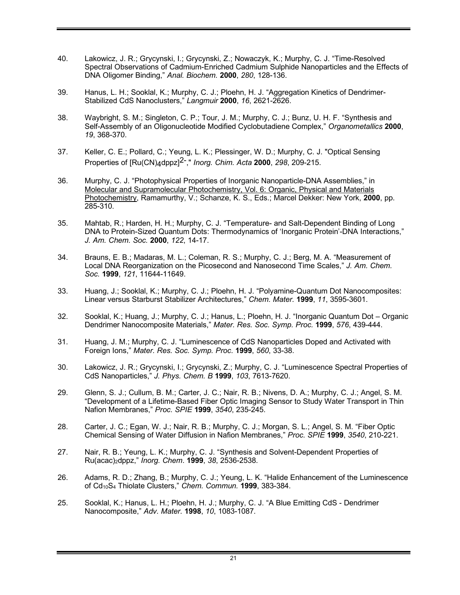- 40. Lakowicz, J. R.; Grycynski, I.; Grycynski, Z.; Nowaczyk, K.; Murphy, C. J. "Time-Resolved Spectral Observations of Cadmium-Enriched Cadmium Sulphide Nanoparticles and the Effects of DNA Oligomer Binding," *Anal. Biochem.* **2000**, *280*, 128-136.
- 39. Hanus, L. H.; Sooklal, K.; Murphy, C. J.; Ploehn, H. J. "Aggregation Kinetics of Dendrimer-Stabilized CdS Nanoclusters," *Langmuir* **2000**, *16*, 2621-2626.
- 38. Waybright, S. M.; Singleton, C. P.; Tour, J. M.; Murphy, C. J.; Bunz, U. H. F. "Synthesis and Self-Assembly of an Oligonucleotide Modified Cyclobutadiene Complex," *Organometallics* **2000**, *19*, 368-370.
- 37. Keller, C. E.; Pollard, C.; Yeung, L. K.; Plessinger, W. D.; Murphy, C. J. "Optical Sensing Properties of [Ru(CN)4dppz]2-," *Inorg. Chim. Acta* **2000**, *298*, 209-215.
- 36. Murphy, C. J. "Photophysical Properties of Inorganic Nanoparticle-DNA Assemblies," in Molecular and Supramolecular Photochemistry, Vol. 6: Organic, Physical and Materials Photochemistry, Ramamurthy, V.; Schanze, K. S., Eds.; Marcel Dekker: New York, **2000**, pp. 285-310.
- 35. Mahtab, R.; Harden, H. H.; Murphy, C. J. "Temperature- and Salt-Dependent Binding of Long DNA to Protein-Sized Quantum Dots: Thermodynamics of 'Inorganic Protein'-DNA Interactions," *J. Am. Chem. Soc.* **2000**, *122*, 14-17.
- 34. Brauns, E. B.; Madaras, M. L.; Coleman, R. S.; Murphy, C. J.; Berg, M. A. "Measurement of Local DNA Reorganization on the Picosecond and Nanosecond Time Scales," *J. Am. Chem. Soc.* **1999**, *121*, 11644-11649.
- 33. Huang, J.; Sooklal, K.; Murphy, C. J.; Ploehn, H. J. "Polyamine-Quantum Dot Nanocomposites: Linear versus Starburst Stabilizer Architectures," *Chem. Mater.* **1999**, *11*, 3595-3601.
- 32. Sooklal, K.; Huang, J.; Murphy, C. J.; Hanus, L.; Ploehn, H. J. "Inorganic Quantum Dot Organic Dendrimer Nanocomposite Materials," *Mater. Res. Soc. Symp. Proc.* **1999**, *576*, 439-444.
- 31. Huang, J. M.; Murphy, C. J. "Luminescence of CdS Nanoparticles Doped and Activated with Foreign Ions," *Mater. Res. Soc. Symp. Proc*. **1999**, *560*, 33-38.
- 30. Lakowicz, J. R.; Grycynski, I.; Grycynski, Z.; Murphy, C. J. "Luminescence Spectral Properties of CdS Nanoparticles," *J. Phys. Chem. B* **1999**, *103*, 7613-7620.
- 29. Glenn, S. J.; Cullum, B. M.; Carter, J. C.; Nair, R. B.; Nivens, D. A.; Murphy, C. J.; Angel, S. M. "Development of a Lifetime-Based Fiber Optic Imaging Sensor to Study Water Transport in Thin Nafion Membranes," *Proc. SPIE* **1999**, *3540*, 235-245.
- 28. Carter, J. C.; Egan, W. J.; Nair, R. B.; Murphy, C. J.; Morgan, S. L.; Angel, S. M. "Fiber Optic Chemical Sensing of Water Diffusion in Nafion Membranes," *Proc. SPIE* **1999**, *3540*, 210-221.
- 27. Nair, R. B.; Yeung, L. K.; Murphy, C. J. "Synthesis and Solvent-Dependent Properties of Ru(acac)2dppz," *Inorg. Chem*. **1999**, *38*, 2536-2538.
- 26. Adams, R. D.; Zhang, B.; Murphy, C. J.; Yeung, L. K. "Halide Enhancement of the Luminescence of Cd10S4 Thiolate Clusters," *Chem. Commun.* **1999**, 383-384.
- 25. Sooklal, K.; Hanus, L. H.; Ploehn, H. J.; Murphy, C. J. "A Blue Emitting CdS Dendrimer Nanocomposite," *Adv. Mater.* **1998**, *10*, 1083-1087*.*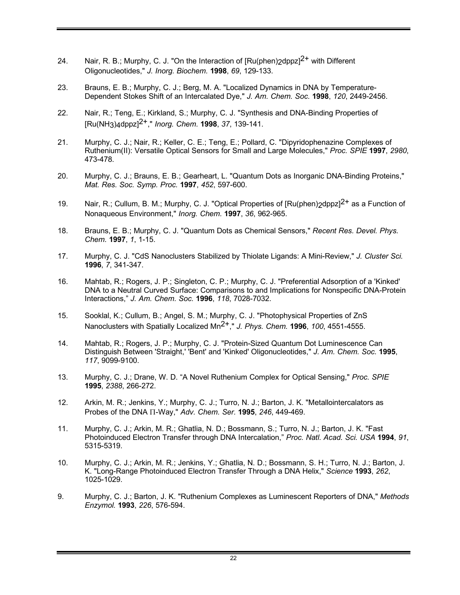- 24. Nair, R. B.; Murphy, C. J. "On the Interaction of  $[Ru(phen)2dppz]<sup>2+</sup>$  with Different Oligonucleotides," *J. Inorg. Biochem.* **1998**, *69*, 129-133.
- 23. Brauns, E. B.; Murphy, C. J.; Berg, M. A. "Localized Dynamics in DNA by Temperature-Dependent Stokes Shift of an Intercalated Dye," *J. Am. Chem. Soc.* **1998**, *120*, 2449-2456.
- 22. Nair, R.; Teng, E.; Kirkland, S.; Murphy, C. J. "Synthesis and DNA-Binding Properties of [Ru(NH3)4dppz]2+," *Inorg. Chem.* **1998**, *37*, 139-141.
- 21. Murphy, C. J.; Nair, R.; Keller, C. E.; Teng, E.; Pollard, C. "Dipyridophenazine Complexes of Ruthenium(II): Versatile Optical Sensors for Small and Large Molecules," *Proc. SPIE* **1997**, *2980*, 473-478.
- 20. Murphy, C. J.; Brauns, E. B.; Gearheart, L. "Quantum Dots as Inorganic DNA-Binding Proteins," *Mat. Res. Soc. Symp. Proc.* **1997**, *452*, 597-600.
- 19. Nair, R.; Cullum, B. M.; Murphy, C. J. "Optical Properties of  $[Ru(phen)$ <sub>2</sub>dppz $]^{2+}$  as a Function of Nonaqueous Environment," *Inorg. Chem.* **1997**, *36*, 962-965.
- 18. Brauns, E. B.; Murphy, C. J. "Quantum Dots as Chemical Sensors," *Recent Res. Devel. Phys. Chem.* **1997**, *1*, 1-15.
- 17. Murphy, C. J. "CdS Nanoclusters Stabilized by Thiolate Ligands: A Mini-Review," *J. Cluster Sci.*  **1996**, *7*, 341-347.
- 16. Mahtab, R.; Rogers, J. P.; Singleton, C. P.; Murphy, C. J. "Preferential Adsorption of a 'Kinked' DNA to a Neutral Curved Surface: Comparisons to and Implications for Nonspecific DNA-Protein Interactions," *J. Am. Chem. Soc.* **1996**, *118*, 7028-7032.
- 15. Sooklal, K.; Cullum, B.; Angel, S. M.; Murphy, C. J. "Photophysical Properties of ZnS Nanoclusters with Spatially Localized Mn2+," *J. Phys. Chem.* **1996**, *100*, 4551-4555.
- 14. Mahtab, R.; Rogers, J. P.; Murphy, C. J. "Protein-Sized Quantum Dot Luminescence Can Distinguish Between 'Straight,' 'Bent' and 'Kinked' Oligonucleotides," *J. Am. Chem. Soc.* **1995**, *117*, 9099-9100.
- 13. Murphy, C. J.; Drane, W. D. "A Novel Ruthenium Complex for Optical Sensing," *Proc. SPIE* **1995**, *2388*, 266-272.
- 12. Arkin, M. R.; Jenkins, Y.; Murphy, C. J.; Turro, N. J.; Barton, J. K. "Metallointercalators as Probes of the DNA  $\Pi$ -Way," *Adv. Chem. Ser.* **1995**, 246, 449-469.
- 11. Murphy, C. J.; Arkin, M. R.; Ghatlia, N. D.; Bossmann, S.; Turro, N. J.; Barton, J. K. "Fast Photoinduced Electron Transfer through DNA Intercalation," *Proc. Natl. Acad. Sci. USA* **1994**, *91*, 5315-5319.
- 10. Murphy, C. J.; Arkin, M. R.; Jenkins, Y.; Ghatlia, N. D.; Bossmann, S. H.; Turro, N. J.; Barton, J. K. "Long-Range Photoinduced Electron Transfer Through a DNA Helix," *Science* **1993**, *262*, 1025-1029.
- 9. Murphy, C. J.; Barton, J. K. "Ruthenium Complexes as Luminescent Reporters of DNA," *Methods Enzymol.* **1993**, *226*, 576-594.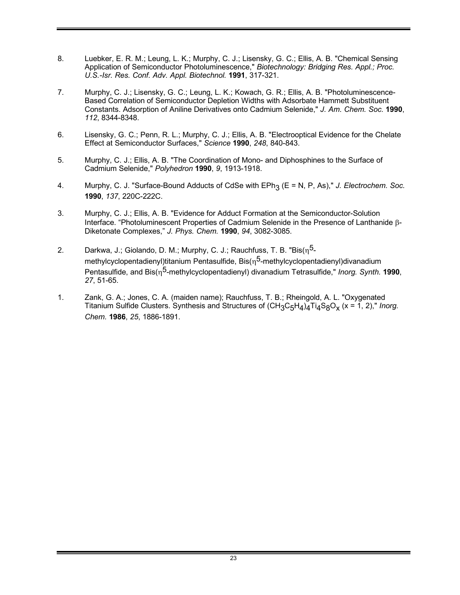- 8. Luebker, E. R. M.; Leung, L. K.; Murphy, C. J.; Lisensky, G. C.; Ellis, A. B. "Chemical Sensing Application of Semiconductor Photoluminescence," *Biotechnology: Bridging Res. Appl.; Proc. U.S.-Isr. Res. Conf. Adv. Appl. Biotechnol.* **1991**, 317-321.
- 7. Murphy, C. J.; Lisensky, G. C.; Leung, L. K.; Kowach, G. R.; Ellis, A. B. "Photoluminescence-Based Correlation of Semiconductor Depletion Widths with Adsorbate Hammett Substituent Constants. Adsorption of Aniline Derivatives onto Cadmium Selenide," *J. Am. Chem. Soc.* **1990**, *112*, 8344-8348.
- 6. Lisensky, G. C.; Penn, R. L.; Murphy, C. J.; Ellis, A. B. "Electrooptical Evidence for the Chelate Effect at Semiconductor Surfaces," *Science* **1990**, *248*, 840-843.
- 5. Murphy, C. J.; Ellis, A. B. "The Coordination of Mono- and Diphosphines to the Surface of Cadmium Selenide," *Polyhedron* **1990**, *9*, 1913-1918.
- 4. Murphy, C. J. "Surface-Bound Adducts of CdSe with EPh<sub>3</sub> (E = N, P, As)," *J. Electrochem. Soc.* **1990**, *137*, 220C-222C.
- 3. Murphy, C. J.; Ellis, A. B. "Evidence for Adduct Formation at the Semiconductor-Solution Interface. "Photoluminescent Properties of Cadmium Selenide in the Presence of Lanthanide b-Diketonate Complexes," *J. Phys. Chem.* **1990**, *94*, 3082-3085.
- 2. Darkwa, J.; Giolando, D. M.; Murphy, C. J.; Rauchfuss, T. B. "Bis( $\eta^5$ methylcyclopentadienyl)titanium Pentasulfide, Bis $(n^5$ -methylcyclopentadienyl)divanadium Pentasulfide, and Bis(n<sup>5</sup>-methylcyclopentadienyl) divanadium Tetrasulfide," *Inorg. Synth.* **1990**, *27*, 51-65.
- 1. Zank, G. A.; Jones, C. A. (maiden name); Rauchfuss, T. B.; Rheingold, A. L. "Oxygenated Titanium Sulfide Clusters. Synthesis and Structures of  $(CH_3C_5H_4)$ <sub>4</sub>Ti<sub>4</sub>S<sub>8</sub>O<sub>x</sub> (x = 1, 2)," *Inorg. Chem.* **1986**, *25*, 1886-1891.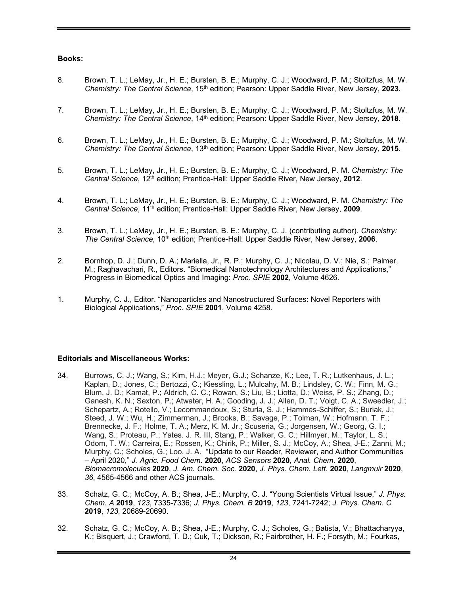## **Books:**

- 8. Brown, T. L.; LeMay, Jr., H. E.; Bursten, B. E.; Murphy, C. J.; Woodward, P. M.; Stoltzfus, M. W. *Chemistry: The Central Science*, 15th edition; Pearson: Upper Saddle River, New Jersey, **2023.**
- 7. Brown, T. L.; LeMay, Jr., H. E.; Bursten, B. E.; Murphy, C. J.; Woodward, P. M.; Stoltzfus, M. W. *Chemistry: The Central Science*, 14th edition; Pearson: Upper Saddle River, New Jersey, **2018.**
- 6. Brown, T. L.; LeMay, Jr., H. E.; Bursten, B. E.; Murphy, C. J.; Woodward, P. M.; Stoltzfus, M. W. *Chemistry: The Central Science*, 13th edition; Pearson: Upper Saddle River, New Jersey, **2015**.
- 5. Brown, T. L.; LeMay, Jr., H. E.; Bursten, B. E.; Murphy, C. J.; Woodward, P. M. *Chemistry: The Central Science*, 12th edition; Prentice-Hall: Upper Saddle River, New Jersey, **2012**.
- 4. Brown, T. L.; LeMay, Jr., H. E.; Bursten, B. E.; Murphy, C. J.; Woodward, P. M. *Chemistry: The Central Science*, 11th edition; Prentice-Hall: Upper Saddle River, New Jersey, **2009**.
- 3. Brown, T. L.; LeMay, Jr., H. E.; Bursten, B. E.; Murphy, C. J. (contributing author). *Chemistry: The Central Science*, 10th edition; Prentice-Hall: Upper Saddle River, New Jersey, **2006**.
- 2. Bornhop, D. J.; Dunn, D. A.; Mariella, Jr., R. P.; Murphy, C. J.; Nicolau, D. V.; Nie, S.; Palmer, M.; Raghavachari, R., Editors. "Biomedical Nanotechnology Architectures and Applications," Progress in Biomedical Optics and Imaging: *Proc. SPIE* **2002**, Volume 4626.
- 1. Murphy, C. J., Editor. "Nanoparticles and Nanostructured Surfaces: Novel Reporters with Biological Applications," *Proc. SPIE* **2001**, Volume 4258.

#### **Editorials and Miscellaneous Works:**

- 34. Burrows, C. J.; Wang, S.; Kim, H.J.; Meyer, G.J.; Schanze, K.; Lee, T. R.; Lutkenhaus, J. L.; Kaplan, D.; Jones, C.; Bertozzi, C.; Kiessling, L.; Mulcahy, M. B.; Lindsley, C. W.; Finn, M. G.; Blum, J. D.; Kamat, P.; Aldrich, C. C.; Rowan, S.; Liu, B.; Liotta, D.; Weiss, P. S.; Zhang, D.; Ganesh, K. N.; Sexton, P.; Atwater, H. A.; Gooding, J. J.; Allen, D. T.; Voigt, C. A.; Sweedler, J.; Schepartz, A.; Rotello, V.; Lecommandoux, S.; Sturla, S. J.; Hammes-Schiffer, S.; Buriak, J.; Steed, J. W.; Wu, H.; Zimmerman, J.; Brooks, B.; Savage, P.; Tolman, W.; Hofmann, T. F.; Brennecke, J. F.; Holme, T. A.; Merz, K. M. Jr.; Scuseria, G.; Jorgensen, W.; Georg, G. I.; Wang, S.; Proteau, P.; Yates. J. R. III, Stang, P.; Walker, G. C.; Hillmyer, M.; Taylor, L. S.; Odom, T. W.; Carreira, E.; Rossen, K.; Chirik, P.; Miller, S. J.; McCoy, A.; Shea, J-E.; Zanni, M.; Murphy, C.; Scholes, G.; Loo, J. A. "Update to our Reader, Reviewer, and Author Communities – April 2020," *J. Agric. Food Chem*. **2020**, *ACS Sensors* **2020**, *Anal. Chem*. **2020**, *Biomacromolecules* **2020**, *J. Am. Chem. Soc.* **2020**, *J. Phys. Chem. Lett*. **2020**, *Langmuir* **2020**, *36*, 4565-4566 and other ACS journals.
- 33. Schatz, G. C.; McCoy, A. B.; Shea, J-E.; Murphy, C. J. "Young Scientists Virtual Issue," *J. Phys. Chem. A* **2019**, *123*, 7335-7336; *J. Phys. Chem. B* **2019**, *123*, 7241-7242; *J. Phys. Chem. C* **2019**, *123*, 20689-20690.
- 32. Schatz, G. C.; McCoy, A. B.; Shea, J-E.; Murphy, C. J.; Scholes, G.; Batista, V.; Bhattacharyya, K.; Bisquert, J.; Crawford, T. D.; Cuk, T.; Dickson, R.; Fairbrother, H. F.; Forsyth, M.; Fourkas,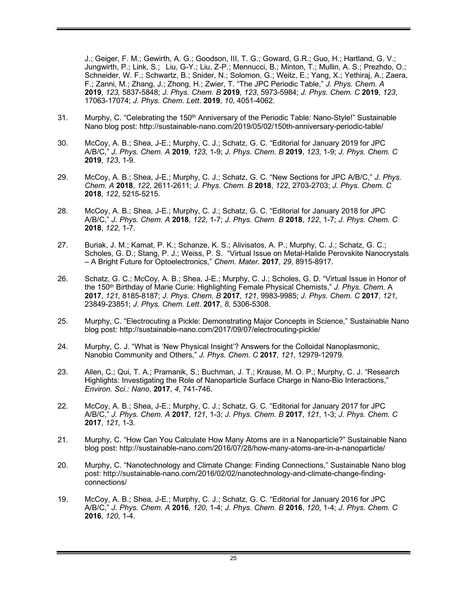J.; Geiger, F. M.; Gewirth, A. G.; Goodson, III, T. G.; Goward, G.R.; Guo, H.; Hartland, G. V.; Jungwirth, P.; Link, S.; Liu, G-Y.; Liu, Z-P.; Mennucci, B.; Minton, T.; Mullin, A. S.; Prezhdo, O.; Schneider, W. F.; Schwartz, B.; Snider, N.; Solomon, G.; Weitz, E.; Yang, X.; Yethiraj, A.; Zaera, F.; Zanni, M.; Zhang, J.; Zhong, H.; Zwier, T. "The JPC Periodic Table," *J. Phys. Chem. A* **2019**, *123,* 5837-5848; *J. Phys. Chem. B* **2019**, *123*, 5973-5984; *J. Phys. Chem. C* **2019**, *123*, 17063-17074; *J. Phys. Chem. Lett*. **2019**, *10*, 4051-4062.

- 31. Murphy, C. "Celebrating the 150<sup>th</sup> Anniversary of the Periodic Table: Nano-Style!" Sustainable Nano blog post: http://sustainable-nano.com/2019/05/02/150th-anniversary-periodic-table/
- 30. McCoy, A. B.; Shea, J-E.; Murphy, C. J.; Schatz, G. C. "Editorial for January 2019 for JPC A/B/C," *J. Phys. Chem. A* **2019**, *123*, 1-9; *J. Phys. Chem. B* **2019**, *123*, 1-9; *J. Phys. Chem. C* **2019**, *123*, 1-9.
- 29. McCoy, A. B.; Shea, J-E.; Murphy, C. J.; Schatz, G. C. "New Sections for JPC A/B/C," *J. Phys. Chem. A* **2018**, *122*, 2611-2611; *J. Phys. Chem. B* **2018**, *122*, 2703-2703; *J. Phys. Chem. C* **2018**, *122*, 5215-5215.
- 28. McCoy, A. B.; Shea, J-E.; Murphy, C. J.; Schatz, G. C. "Editorial for January 2018 for JPC A/B/C," *J. Phys. Chem. A* **2018**, *122*, 1-7; *J. Phys. Chem. B* **2018**, *122*, 1-7; *J. Phys. Chem. C* **2018**, *122*, 1-7.
- 27. Buriak, J. M.; Kamat, P. K.; Schanze, K. S.; Alivisatos, A. P.; Murphy, C. J.; Schatz, G. C.; Scholes, G. D.; Stang, P. J.; Weiss, P. S. "Virtual Issue on Metal-Halide Perovskite Nanocrystals – A Bright Future for Optoelectronics," *Chem. Mater.* **2017**, *29*, 8915-8917.
- 26. Schatz, G. C.; McCoy, A. B.; Shea, J-E.; Murphy, C. J.; Scholes, G. D. "Virtual Issue in Honor of the 150th Birthday of Marie Curie: Highlighting Female Physical Chemists," *J. Phys. Chem.* A **2017**, *121*, 8185-8187; *J. Phys. Chem. B* **2017**, *121*, 9983-9985; *J. Phys. Chem. C* **2017**, *121*, 23849-23851; *J. Phys. Chem. Lett*. **2017**, *8*, 5306-5308.
- 25. Murphy, C. "Electrocuting a Pickle: Demonstrating Major Concepts in Science," Sustainable Nano blog post: http://sustainable-nano.com/2017/09/07/electrocuting-pickle/
- 24. Murphy, C. J. "What is 'New Physical Insight'? Answers for the Colloidal Nanoplasmonic, Nanobio Community and Others," *J. Phys. Chem. C* **2017**, *121*, 12979-12979.
- 23. Allen, C.; Qui, T. A.; Pramanik, S.; Buchman, J. T.; Krause, M. O. P.; Murphy, C. J. "Research Highlights: Investigating the Role of Nanoparticle Surface Charge in Nano-Bio Interactions," *Environ. Sci.: Nano*, **2017**, *4*, 741-746.
- 22. McCoy, A. B.; Shea, J-E.; Murphy, C. J.; Schatz, G. C. "Editorial for January 2017 for JPC A/B/C," *J. Phys. Chem. A* **2017**, *121*, 1-3; *J. Phys. Chem. B* **2017**, *121*, 1-3; *J. Phys. Chem. C* **2017**, *121*, 1-3.
- 21. Murphy, C. "How Can You Calculate How Many Atoms are in a Nanoparticle?" Sustainable Nano blog post: http://sustainable-nano.com/2016/07/28/how-many-atoms-are-in-a-nanoparticle/
- 20. Murphy, C. "Nanotechnology and Climate Change: Finding Connections," Sustainable Nano blog post: http://sustainable-nano.com/2016/02/02/nanotechnology-and-climate-change-findingconnections/
- 19. McCoy, A. B.; Shea, J-E.; Murphy, C. J.; Schatz, G. C. "Editorial for January 2016 for JPC A/B/C," *J. Phys. Chem. A* **2016**, *120*, 1-4; *J. Phys. Chem. B* **2016**, *120*, 1-4; *J. Phys. Chem. C* **2016**, *120*, 1-4.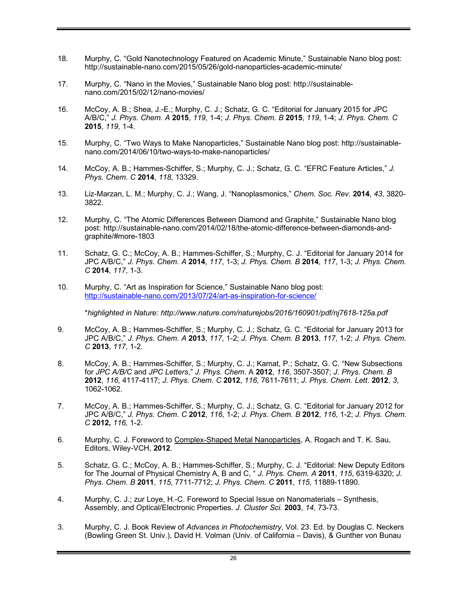- 18. Murphy, C. "Gold Nanotechnology Featured on Academic Minute," Sustainable Nano blog post: http://sustainable-nano.com/2015/05/26/gold-nanoparticles-academic-minute/
- 17. Murphy, C. "Nano in the Movies," Sustainable Nano blog post: http://sustainablenano.com/2015/02/12/nano-movies/
- 16. McCoy, A. B.; Shea, J.-E.; Murphy, C. J.; Schatz, G. C. "Editorial for January 2015 for JPC A/B/C," *J. Phys. Chem. A* **2015**, *119*, 1-4; *J. Phys. Chem. B* **2015**, *119*, 1-4; *J. Phys. Chem. C* **2015**, *119*, 1-4.
- 15. Murphy, C. "Two Ways to Make Nanoparticles," Sustainable Nano blog post: http://sustainablenano.com/2014/06/10/two-ways-to-make-nanoparticles/
- 14. McCoy, A. B.; Hammes-Schiffer, S.; Murphy, C. J.; Schatz, G. C. "EFRC Feature Articles," *J. Phys. Chem*. *C* **2014**, *118*, 13329.
- 13. Liz-Marzan, L. M.; Murphy, C. J.; Wang, J. "Nanoplasmonics," *Chem. Soc. Rev*. **2014**, *43*, 3820- 3822.
- 12. Murphy, C. "The Atomic Differences Between Diamond and Graphite," Sustainable Nano blog post: http://sustainable-nano.com/2014/02/18/the-atomic-difference-between-diamonds-andgraphite/#more-1803
- 11. Schatz, G. C.; McCoy, A. B.; Hammes-Schiffer, S.; Murphy, C. J. "Editorial for January 2014 for JPC A/B/C," *J. Phys. Chem. A* **2014**, *117*, 1-3; *J. Phys. Chem. B* **2014**, *117*, 1-3; *J. Phys. Chem. C* **2014**, *117*, 1-3.
- 10. Murphy, C. "Art as Inspiration for Science," Sustainable Nano blog post: http://sustainable-nano.com/2013/07/24/art-as-inspiration-for-science/

\**highlighted in Nature: http://www.nature.com/naturejobs/2016/160901/pdf/nj7618-125a.pdf*

- 9. McCoy, A. B.; Hammes-Schiffer, S.; Murphy, C. J.; Schatz, G. C. "Editorial for January 2013 for JPC A/B/C," *J. Phys. Chem. A* **2013**, *117*, 1-2; *J. Phys. Chem. B* **2013**, *117*, 1-2; *J. Phys. Chem. C* **2013**, *117*, 1-2.
- 8. McCoy, A. B.; Hammes-Schiffer, S.; Murphy, C. J.; Kamat, P.; Schatz, G. C. "New Subsections for *JPC A/B/C* and *JPC Letters*," *J. Phys. Chem*. A **2012**, *116*, 3507-3507; *J. Phys. Chem. B* **2012**, *116*, 4117-4117; *J. Phys. Chem. C* **2012**, *116*, 7611-7611; *J. Phys. Chem. Lett*. **2012**, *3*, 1062-1062.
- 7. McCoy, A. B.; Hammes-Schiffer, S.; Murphy, C. J.; Schatz, G. C. "Editorial for January 2012 for JPC A/B/C," *J. Phys. Chem. C* **2012**, *116*, 1-2; *J. Phys. Chem. B* **2012**, *116*, 1-2; *J. Phys. Chem. C* **2012,** *116,* 1-2.
- 6. Murphy, C. J. Foreword to Complex-Shaped Metal Nanoparticles, A. Rogach and T. K. Sau, Editors, Wiley-VCH, **2012**.
- 5. Schatz, G. C.; McCoy, A. B.; Hammes-Schiffer, S.; Murphy, C. J. "Editorial: New Deputy Editors for The Journal of Physical Chemistry A, B and C, " *J. Phys. Chem. A* **2011**, *115*, 6319-6320; *J. Phys. Chem. B* **2011**, *115*, 7711-7712; *J. Phys. Chem. C* **2011**, *115*, 11889-11890.
- 4. Murphy, C. J.; zur Loye, H.-C. Foreword to Special Issue on Nanomaterials Synthesis, Assembly, and Optical/Electronic Properties. *J. Cluster Sci.* **2003**, *14*, 73-73.
- 3. Murphy, C. J. Book Review of *Advances in Photochemistry*, Vol. 23. Ed. by Douglas C. Neckers (Bowling Green St. Univ.), David H. Volman (Univ. of California – Davis), & Gunther von Bunau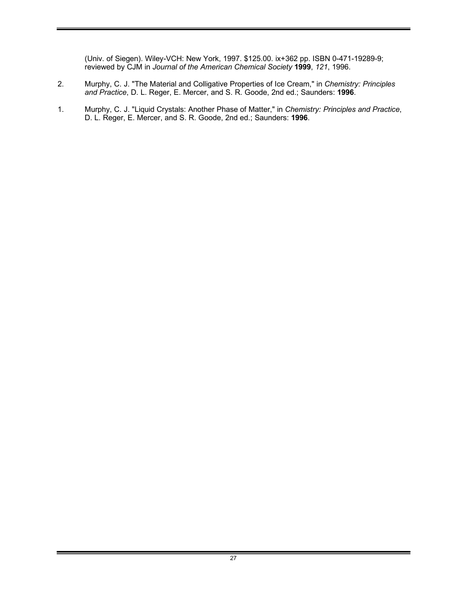(Univ. of Siegen). Wiley-VCH: New York, 1997. \$125.00. ix+362 pp. ISBN 0-471-19289-9; reviewed by CJM in *Journal of the American Chemical Society* **1999**, *121*, 1996.

- 2. Murphy, C. J. "The Material and Colligative Properties of Ice Cream," in *Chemistry: Principles and Practice*, D. L. Reger, E. Mercer, and S. R. Goode, 2nd ed.; Saunders: **1996**.
- 1. Murphy, C. J. "Liquid Crystals: Another Phase of Matter," in *Chemistry: Principles and Practice*, D. L. Reger, E. Mercer, and S. R. Goode, 2nd ed.; Saunders: **1996**.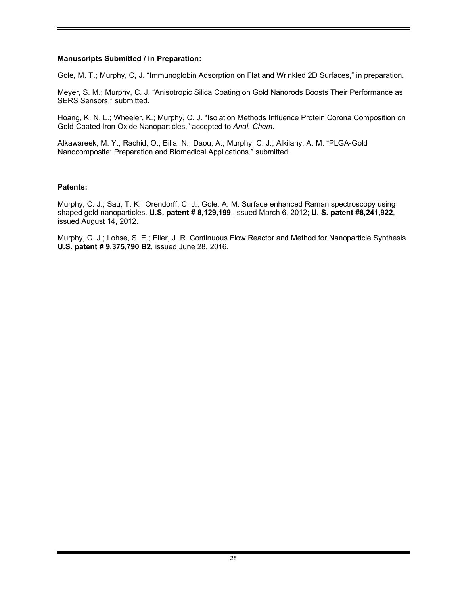## **Manuscripts Submitted / in Preparation:**

Gole, M. T.; Murphy, C, J. "Immunoglobin Adsorption on Flat and Wrinkled 2D Surfaces," in preparation.

Meyer, S. M.; Murphy, C. J. "Anisotropic Silica Coating on Gold Nanorods Boosts Their Performance as SERS Sensors," submitted.

Hoang, K. N. L.; Wheeler, K.; Murphy, C. J. "Isolation Methods Influence Protein Corona Composition on Gold-Coated Iron Oxide Nanoparticles," accepted to *Anal. Chem*.

Alkawareek, M. Y.; Rachid, O.; Billa, N.; Daou, A.; Murphy, C. J.; Alkilany, A. M. "PLGA-Gold Nanocomposite: Preparation and Biomedical Applications," submitted.

#### **Patents:**

Murphy, C. J.; Sau, T. K.; Orendorff, C. J.; Gole, A. M. Surface enhanced Raman spectroscopy using shaped gold nanoparticles. **U.S. patent # 8,129,199**, issued March 6, 2012; **U. S. patent #8,241,922**, issued August 14, 2012.

Murphy, C. J.; Lohse, S. E.; Eller, J. R. Continuous Flow Reactor and Method for Nanoparticle Synthesis. **U.S. patent # 9,375,790 B2**, issued June 28, 2016.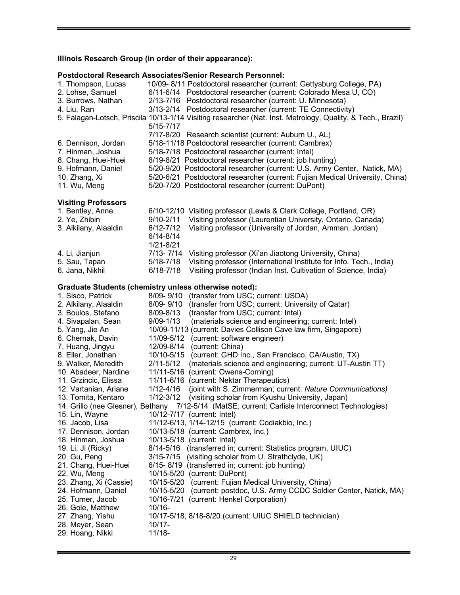# **Illinois Research Group (in order of their appearance):**

## **Postdoctoral Research Associates/Senior Research Personnel:**

| 1. Thompson, Lucas<br>2. Lohse, Samuel<br>3. Burrows, Nathan<br>4. Liu, Ran                                            | 10/09-8/11 Postdoctoral researcher (current: Gettysburg College, PA)<br>6/11-6/14 Postdoctoral researcher (current: Colorado Mesa U, CO)<br>2/13-7/16 Postdoctoral researcher (current: U. Minnesota)<br>3/13-2/14 Postdoctoral researcher (current: TE Connectivity)<br>5. Falagan-Lotsch, Priscila 10/13-1/14 Visiting researcher (Nat. Inst. Metrology, Quality, & Tech., Brazil)                                                                                   |
|------------------------------------------------------------------------------------------------------------------------|------------------------------------------------------------------------------------------------------------------------------------------------------------------------------------------------------------------------------------------------------------------------------------------------------------------------------------------------------------------------------------------------------------------------------------------------------------------------|
| 6. Dennison, Jordan<br>7. Hinman, Joshua<br>8. Chang, Huei-Huei<br>9. Hofmann, Daniel<br>10. Zhang, Xi<br>11. Wu, Meng | $5/15 - 7/17$<br>7/17-8/20 Research scientist (current: Auburn U., AL)<br>5/18-11/18 Postdoctoral researcher (current: Cambrex)<br>5/18-7/18 Postdoctoral researcher (current: Intel)<br>8/19-8/21 Postdoctoral researcher (current: job hunting)<br>5/20-9/20 Postdoctoral researcher (current: U.S. Army Center, Natick, MA)<br>5/20-6/21 Postdoctoral researcher (current: Fujian Medical University, China)<br>5/20-7/20 Postdoctoral researcher (current: DuPont) |
| <b>Visiting Professors</b>                                                                                             |                                                                                                                                                                                                                                                                                                                                                                                                                                                                        |
| 1. Bentley, Anne<br>2. Ye, Zhibin<br>3. Alkilany, Alaaldin                                                             | 6/10-12/10 Visiting professor (Lewis & Clark College, Portland, OR)<br>Visiting professor (Laurentian University, Ontario, Canada)<br>$9/10 - 2/11$<br>$6/12 - 7/12$<br>Visiting professor (University of Jordan, Amman, Jordan)<br>$6/14 - 8/14$<br>$1/21 - 8/21$                                                                                                                                                                                                     |
| 4. Li, Jianjun<br>5. Sau, Tapan<br>6. Jana, Nikhil                                                                     | $7/13 - 7/14$<br>Visiting professor (Xi'an Jiaotong University, China)<br>Visiting professor (International Institute for Info. Tech., India)<br>$5/18 - 7/18$<br>$6/18 - 7/18$<br>Visiting professor (Indian Inst. Cultivation of Science, India)                                                                                                                                                                                                                     |
|                                                                                                                        | <b>Graduate Students (chemistry unless otherwise noted):</b>                                                                                                                                                                                                                                                                                                                                                                                                           |
| 1. Sisco, Patrick                                                                                                      | 8/09-9/10<br>(transfer from USC; current: USDA)                                                                                                                                                                                                                                                                                                                                                                                                                        |
| 2. Alkilany, Alaaldin                                                                                                  | 8/09-9/10<br>(transfer from USC; current: University of Qatar)                                                                                                                                                                                                                                                                                                                                                                                                         |
| 3. Boulos, Stefano                                                                                                     | 8/09-8/13<br>(transfer from USC; current: Intel)                                                                                                                                                                                                                                                                                                                                                                                                                       |
| 4. Sivapalan, Sean                                                                                                     | $9/09 - 1/13$<br>(materials science and engineering; current: Intel)                                                                                                                                                                                                                                                                                                                                                                                                   |
| 5. Yang, Jie An                                                                                                        | 10/09-11/13 (current: Davies Collison Cave law firm, Singapore)                                                                                                                                                                                                                                                                                                                                                                                                        |
| 6. Chernak, Davin                                                                                                      | 11/09-5/12<br>(current: software engineer)                                                                                                                                                                                                                                                                                                                                                                                                                             |
| 7. Huang, Jingyu                                                                                                       | 12/09-8/14<br>(current: China)                                                                                                                                                                                                                                                                                                                                                                                                                                         |
| 8. Eller, Jonathan                                                                                                     | 10/10-5/15<br>(current: GHD Inc., San Francisco, CA/Austin, TX)                                                                                                                                                                                                                                                                                                                                                                                                        |
| 9. Walker, Meredith                                                                                                    | $2/11 - 5/12$<br>(materials science and engineering; current: UT-Austin TT)                                                                                                                                                                                                                                                                                                                                                                                            |
| 10. Abadeer, Nardine                                                                                                   | 11/11-5/16<br>(current: Owens-Corning)                                                                                                                                                                                                                                                                                                                                                                                                                                 |
| 11. Grzincic, Elissa                                                                                                   | 11/11-6/16 (current: Nektar Therapeutics)                                                                                                                                                                                                                                                                                                                                                                                                                              |
| 12. Vartanian, Ariane                                                                                                  | $1/12 - 4/16$<br>(joint with S. Zimmerman; current: Nature Communications)                                                                                                                                                                                                                                                                                                                                                                                             |
| 13. Tomita, Kentaro                                                                                                    | $1/12 - 3/12$<br>(visiting scholar from Kyushu University, Japan)                                                                                                                                                                                                                                                                                                                                                                                                      |
|                                                                                                                        | 14. Grillo (nee Glesner), Bethany 7/12-5/14 (MatSE; current: Carlisle Interconnect Technologies)                                                                                                                                                                                                                                                                                                                                                                       |
| 15. Lin, Wayne<br>16. Jacob, Lisa                                                                                      | 10/12-7/17 (current: Intel)<br>11/12-6/13, 1/14-12/15 (current: Codiakbio, Inc.)                                                                                                                                                                                                                                                                                                                                                                                       |
| 17. Dennison, Jordan                                                                                                   | 10/13-5/18 (current: Cambrex, Inc.)                                                                                                                                                                                                                                                                                                                                                                                                                                    |
| 18. Hinman, Joshua                                                                                                     | 10/13-5/18 (current: Intel)                                                                                                                                                                                                                                                                                                                                                                                                                                            |
| 19. Li, Ji (Ricky)                                                                                                     | 8/14-5/16<br>(transferred in; current: Statistics program, UIUC)                                                                                                                                                                                                                                                                                                                                                                                                       |
| 20. Gu, Peng                                                                                                           | (visiting scholar from U. Strathclyde, UK)<br>$3/15 - 7/15$                                                                                                                                                                                                                                                                                                                                                                                                            |
| 21. Chang, Huei-Huei                                                                                                   | 6/15-8/19 (transferred in; current: job hunting)                                                                                                                                                                                                                                                                                                                                                                                                                       |
| 22. Wu, Meng                                                                                                           | 10/15-5/20 (current: DuPont)                                                                                                                                                                                                                                                                                                                                                                                                                                           |
| 23. Zhang, Xi (Cassie)                                                                                                 | 10/15-5/20 (current: Fujian Medical University, China)                                                                                                                                                                                                                                                                                                                                                                                                                 |
| 24. Hofmann, Daniel                                                                                                    | (current: postdoc, U.S. Army CCDC Soldier Center, Natick, MA)<br>10/15-5/20                                                                                                                                                                                                                                                                                                                                                                                            |
| 25. Turner, Jacob                                                                                                      | 10/16-7/21 (current: Henkel Corporation)                                                                                                                                                                                                                                                                                                                                                                                                                               |
| 26. Gole, Matthew                                                                                                      | $10/16 -$                                                                                                                                                                                                                                                                                                                                                                                                                                                              |
| 27. Zhang, Yishu                                                                                                       | 10/17-5/18, 8/18-8/20 (current: UIUC SHIELD technician)                                                                                                                                                                                                                                                                                                                                                                                                                |
| 28. Meyer, Sean                                                                                                        | $10/17 -$                                                                                                                                                                                                                                                                                                                                                                                                                                                              |
| 29. Hoang, Nikki                                                                                                       | $11/18 -$                                                                                                                                                                                                                                                                                                                                                                                                                                                              |

**Contract Contract Contract Contract**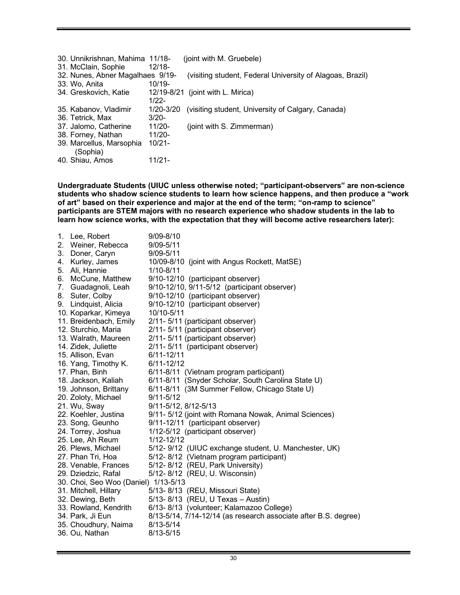| 30. Unnikrishnan, Mahima 11/18-  |           | (joint with M. Gruebele)                                  |
|----------------------------------|-----------|-----------------------------------------------------------|
| 31. McClain, Sophie              | $12/18-$  |                                                           |
| 32. Nunes, Abner Magalhaes 9/19- |           | (visiting student, Federal University of Alagoas, Brazil) |
| 33. Wo, Anita                    | $10/19 -$ |                                                           |
| 34. Greskovich, Katie            |           | $12/19 - 8/21$ (joint with L. Mirica)                     |
|                                  | $1/22 -$  |                                                           |
| 35. Kabanov, Vladimir            | 1/20-3/20 | (visiting student, University of Calgary, Canada)         |
| 36. Tetrick, Max                 | $3/20-$   |                                                           |
| 37. Jalomo, Catherine            | $11/20 -$ | (joint with S. Zimmerman)                                 |
| 38. Forney, Nathan               | $11/20 -$ |                                                           |
| 39. Marcellus, Marsophia         | 10/21-    |                                                           |
| (Sophia)                         |           |                                                           |
| 40. Shiau, Amos                  | 11/21-    |                                                           |

**Undergraduate Students (UIUC unless otherwise noted; "participant-observers" are non-science students who shadow science students to learn how science happens, and then produce a "work of art" based on their experience and major at the end of the term; "on-ramp to science" participants are STEM majors with no research experience who shadow students in the lab to learn how science works, with the expectation that they will become active researchers later):**

| 1.<br>2.<br>3.<br>4.<br>5.<br>6.<br>7.<br>9. | Lee, Robert<br>Weiner, Rebecca<br>Doner, Caryn<br>Kurley, James<br>Ali, Hannie<br>McCune, Matthew<br>Guadagnoli, Leah<br>8. Suter, Colby<br>Lindquist, Alicia<br>10. Koparkar, Kimeya<br>11. Breidenbach, Emily<br>12. Sturchio, Maria<br>13. Walrath, Maureen<br>14. Zidek, Juliette<br>15. Allison, Evan<br>16. Yang, Timothy K.<br>17. Phan, Binh<br>18. Jackson, Kaliah<br>19. Johnson, Brittany<br>20. Zoloty, Michael<br>21. Wu, Sway<br>22. Koehler, Justina | $9/09 - 8/10$<br>$9/09 - 5/11$<br>$9/09 - 5/11$<br>10/09-8/10 (joint with Angus Rockett, MatSE)<br>$1/10 - 8/11$<br>9/10-12/10 (participant observer)<br>9/10-12/10, 9/11-5/12 (participant observer)<br>9/10-12/10 (participant observer)<br>9/10-12/10 (participant observer)<br>10/10-5/11<br>2/11- 5/11 (participant observer)<br>2/11- 5/11 (participant observer)<br>2/11- 5/11 (participant observer)<br>2/11-5/11 (participant observer)<br>$6/11 - 12/11$<br>$6/11 - 12/12$<br>6/11-8/11 (Vietnam program participant)<br>6/11-8/11 (Snyder Scholar, South Carolina State U)<br>6/11-8/11 (3M Summer Fellow, Chicago State U)<br>$9/11 - 5/12$<br>9/11-5/12, 8/12-5/13<br>9/11- 5/12 (joint with Romana Nowak, Animal Sciences) |
|----------------------------------------------|---------------------------------------------------------------------------------------------------------------------------------------------------------------------------------------------------------------------------------------------------------------------------------------------------------------------------------------------------------------------------------------------------------------------------------------------------------------------|------------------------------------------------------------------------------------------------------------------------------------------------------------------------------------------------------------------------------------------------------------------------------------------------------------------------------------------------------------------------------------------------------------------------------------------------------------------------------------------------------------------------------------------------------------------------------------------------------------------------------------------------------------------------------------------------------------------------------------------|
|                                              | 23. Song, Geunho                                                                                                                                                                                                                                                                                                                                                                                                                                                    | 9/11-12/11 (participant observer)                                                                                                                                                                                                                                                                                                                                                                                                                                                                                                                                                                                                                                                                                                        |
|                                              | 24. Torrey, Joshua                                                                                                                                                                                                                                                                                                                                                                                                                                                  | 1/12-5/12 (participant observer)                                                                                                                                                                                                                                                                                                                                                                                                                                                                                                                                                                                                                                                                                                         |
|                                              | 25. Lee, Ah Reum<br>26. Plews, Michael                                                                                                                                                                                                                                                                                                                                                                                                                              | 1/12-12/12<br>5/12- 9/12 (UIUC exchange student, U. Manchester, UK)                                                                                                                                                                                                                                                                                                                                                                                                                                                                                                                                                                                                                                                                      |
|                                              | 27. Phan Tri, Hoa<br>28. Venable, Frances<br>29. Dziedzic, Rafal<br>30. Choi, Seo Woo (Daniel) 1/13-5/13                                                                                                                                                                                                                                                                                                                                                            | 5/12-8/12 (Vietnam program participant)<br>5/12-8/12 (REU, Park University)<br>5/12-8/12 (REU, U. Wisconsin)                                                                                                                                                                                                                                                                                                                                                                                                                                                                                                                                                                                                                             |
|                                              | 31. Mitchell, Hillary<br>32. Dewing, Beth<br>33. Rowland, Kendrith<br>34. Park, Ji Eun<br>35. Choudhury, Naima<br>36. Ou, Nathan                                                                                                                                                                                                                                                                                                                                    | 5/13-8/13 (REU, Missouri State)<br>5/13-8/13 (REU, U Texas - Austin)<br>6/13-8/13 (volunteer; Kalamazoo College)<br>8/13-5/14, 7/14-12/14 (as research associate after B.S. degree)<br>8/13-5/14<br>$8/13 - 5/15$                                                                                                                                                                                                                                                                                                                                                                                                                                                                                                                        |
|                                              |                                                                                                                                                                                                                                                                                                                                                                                                                                                                     |                                                                                                                                                                                                                                                                                                                                                                                                                                                                                                                                                                                                                                                                                                                                          |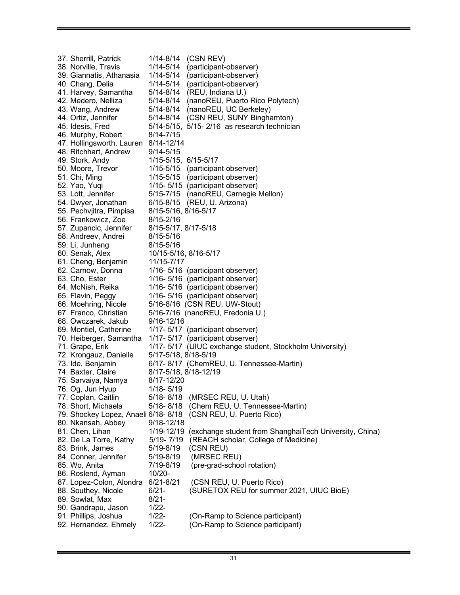37. Sherrill, Patrick 1/14-8/14 (CSN REV) 38. Norville, Travis 1/14-5/14 (participant-observer) 39. Giannatis, Athanasia 1/14-5/14 (participant-observer) 40. Chang, Delia 1/14-5/14 (participant-observer) 41. Harvey, Samantha 5/14-8/14 (REU, Indiana U.) 42. Medero, Nelliza 5/14-8/14 (nanoREU, Puerto Rico Polytech) 43. Wang, Andrew 5/14-8/14 (nanoREU, UC Berkeley) 44. Ortiz, Jennifer 5/14-8/14 (CSN REU, SUNY Binghamton) 45. Idesis, Fred 5/14-5/15, 5/15- 2/16 as research technician 46. Murphy, Robert 8/14-7/15 47. Hollingsworth, Lauren 8/14-12/14 48. Ritchhart, Andrew 9/14-5/15 49. Stork, Andy 1/15-5/15, 6/15-5/17 50. Moore, Trevor 1/15-5/15 (participant observer) 51. Chi, Ming 1/15-5/15 (participant observer) 52. Yao, Yuqi 1/15- 5/15 (participant observer) 53. Lott, Jennifer 5/15-7/15 (nanoREU, Carnegie Mellon) 54. Dwyer, Jonathan 6/15-8/15 (REU, U. Arizona) 55. Pechvjitra, Pimpisa 8/15-5/16, 8/16-5/17 56. Frankowicz, Zoe 8/15-2/16 57. Zupancic, Jennifer 8/15-5/17, 8/17-5/18 58. Andreev, Andrei 8/15-5/16 59. Li, Junheng 8/15-5/16 60. Senak, Alex 10/15-5/16, 8/16-5/17 61. Cheng, Benjamin 11/15-7/17 62. Carnow, Donna 1/16- 5/16 (participant observer) 63. Cho, Ester 1/16- 5/16 (participant observer) 64. McNish, Reika 1/16- 5/16 (participant observer) 65. Flavin, Peggy 1/16- 5/16 (participant observer) 66. Moehring, Nicole 5/16-8/16 (CSN REU, UW-Stout) 67. Franco, Christian 5/16-7/16 (nanoREU, Fredonia U.) 68. Owczarek, Jakub 9/16-12/16 69. Montiel, Catherine 1/17- 5/17 (participant observer) 70. Heiberger, Samantha 1/17- 5/17 (participant observer) 71. Grape, Erik 1/17- 5/17 (UIUC exchange student, Stockholm University)<br>72. Krongauz, Danielle 5/17-5/18, 8/18-5/19 72. Krongauz, Danielle 73. Ide, Benjamin 6/17- 8/17 (ChemREU, U. Tennessee-Martin) 74. Baxter, Claire 8/17-5/18, 8/18-12/19 75. Sarvaiya, Namya 8/17-12/20 76. Og, Jun Hyup 1/18- 5/19 77. Coplan, Caitlin 5/18- 8/18 (MRSEC REU, U. Utah) 78. Short, Michaela 5/18- 8/18 (Chem REU, U. Tennessee-Martin) 79. Shockey Lopez, Anaeli 6/18- 8/18 (CSN REU, U. Puerto Rico) 80. Nkansah, Abbey 9/18-12/18 81. Chen, Lihan 1/19-12/19 (exchange student from ShanghaiTech University, China) 82. De La Torre, Kathy 5/19- 7/19 (REACH scholar, College of Medicine) 83. Brink, James 5/19-8/19 (CSN REU) 84. Conner, Jennifer 5/19-8/19 (MRSEC REU) 85. Wo, Anita 7/19-8/19 (pre-grad-school rotation) 86. Roslend, Ayman 10/20- 87. Lopez-Colon, Alondra 6/21-8/21 (CSN REU, U. Puerto Rico) 88. Southey, Nicole 6/21- (SURETOX REU for summer 2021, UIUC BioE) 89. Sowlat, Max 8/21-90. Gandrapu, Jason 1/22-91. Phillips, Joshua 1/22- (On-Ramp to Science participant) 92. Hernandez, Ehmely 1/22- (On-Ramp to Science participant)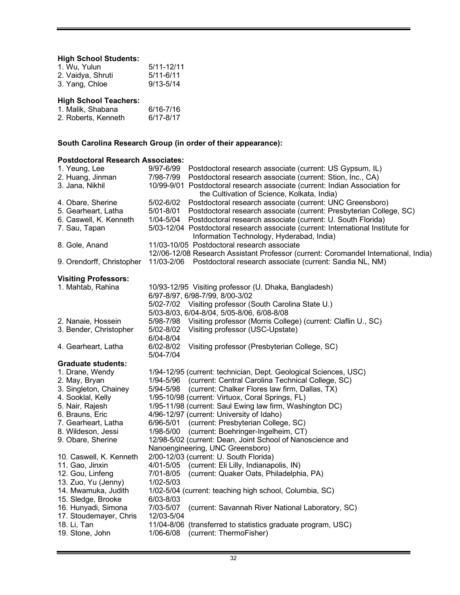## **High School Students:**

| 1. Wu, Yulun      | $5/11 - 12/11$ |
|-------------------|----------------|
| 2. Vaidya, Shruti | $5/11 - 6/11$  |
| 3. Yang, Chloe    | $9/13 - 5/14$  |

# **High School Teachers:**

| 1. Malik, Shabana   | $6/16 - 7/16$ |
|---------------------|---------------|
| 2. Roberts, Kenneth | 6/17-8/17     |

# **South Carolina Research Group (in order of their appearance):**

# **Postdoctoral Research Associates:**

| 9/97-6/99<br>Postdoctoral research associate (current: US Gypsum, IL)                                                                                  |
|--------------------------------------------------------------------------------------------------------------------------------------------------------|
| 7/98-7/99<br>Postdoctoral research associate (current: Stion, Inc., CA)<br>10/99-9/01 Postdoctoral research associate (current: Indian Association for |
| the Cultivation of Science, Kolkata, India)                                                                                                            |
| 5/02-6/02<br>Postdoctoral research associate (current: UNC Greensboro)                                                                                 |
| 5/01-8/01<br>Postdoctoral research associate (current: Presbyterian College, SC)                                                                       |
| 1/04-5/04<br>Postdoctoral research associate (current: U. South Florida)                                                                               |
| 5/03-12/04 Postdoctoral research associate (current: International Institute for                                                                       |
| Information Technology, Hyderabad, India)                                                                                                              |
| 11/03-10/05 Postdoctoral research associate                                                                                                            |
| 12//06-12/08 Research Assistant Professor (current: Coromandel International, India)                                                                   |
| Postdoctoral research associate (current: Sandia NL, NM)<br>11/03-2/06                                                                                 |
|                                                                                                                                                        |
| 10/93-12/95 Visiting professor (U. Dhaka, Bangladesh)                                                                                                  |
| 6/97-8/97, 6/98-7/99, 8/00-3/02                                                                                                                        |
| 5/02-7/02 Visiting professor (South Carolina State U.)                                                                                                 |
| 5/03-8/03, 6/04-8/04, 5/05-8/06, 6/08-8/08                                                                                                             |
| 5/98-7/98<br>Visiting professor (Morris College) (current: Claflin U., SC)                                                                             |
| 5/02-8/02<br>Visiting professor (USC-Upstate)                                                                                                          |
| 6/04-8/04                                                                                                                                              |
| 6/02-8/02<br>Visiting professor (Presbyterian College, SC)                                                                                             |
| 5/04-7/04                                                                                                                                              |
| 1/94-12/95 (current: technician, Dept. Geological Sciences, USC)                                                                                       |
| (current: Central Carolina Technical College, SC)<br>1/94-5/96                                                                                         |
| 5/94-5/98<br>(current: Chalker Flores law firm, Dallas, TX)                                                                                            |
| 1/95-10/98 (current: Virtuox, Coral Springs, FL)                                                                                                       |
| 1/95-11/98 (current: Saul Ewing law firm, Washington DC)                                                                                               |
| 4/96-12/97 (current: University of Idaho)                                                                                                              |
| 6/96-5/01<br>(current: Presbyterian College, SC)                                                                                                       |
| 1/98-5/00<br>(current: Boehringer-Ingelheim, CT)                                                                                                       |
| 12/98-5/02 (current: Dean, Joint School of Nanoscience and                                                                                             |
| Nanoengineering, UNC Greensboro)                                                                                                                       |
| 2/00-12/03 (current: U. South Florida)                                                                                                                 |
| 4/01-5/05<br>(current: Eli Lilly, Indianapolis, IN)                                                                                                    |
| 7/01-8/05<br>(current: Quaker Oats, Philadelphia, PA)                                                                                                  |
| 1/02-5/03                                                                                                                                              |
| 1/02-5/04 (current: teaching high school, Columbia, SC)                                                                                                |
| 6/03-8/03                                                                                                                                              |
| 7/03-5/07<br>(current: Savannah River National Laboratory, SC)                                                                                         |
| 12/03-5/04                                                                                                                                             |
| 11/04-8/06 (transferred to statistics graduate program, USC)                                                                                           |
| 1/06-6/08<br>(current: ThermoFisher)                                                                                                                   |
|                                                                                                                                                        |

÷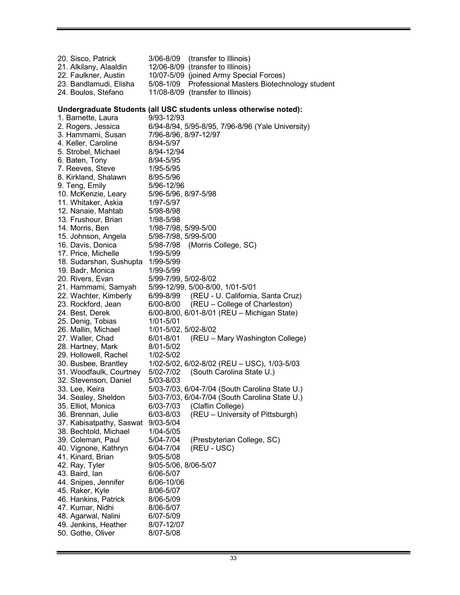20. Sisco, Patrick 3/06-8/09 (transfer to Illinois) 21. Alkilany, Alaaldin 12/06-8/09 (transfer to Illinois) 22. Faulkner, Austin 10/07-5/09 (joined Army Special Forces) 23. Bandlamudi, Elisha 5/08-1/09 Professional Masters Biotechnology student 24. Boulos, Stefano 11/08-8/09 (transfer to Illinois) **Undergraduate Students (all USC students unless otherwise noted):** 1. Barnette, Laura 9/93-12/93 2. Rogers, Jessica 6/94-8/94, 5/95-8/95, 7/96-8/96 (Yale University) 3. Hammami, Susan 7/96-8/96, 8/97-12/97 4. Keller, Caroline 8/94-5/97 5. Strobel, Michael 8/94-12/94 6. Baten, Tony 8/94-5/95 7. Reeves, Steve 1/95-5/95 8. Kirkland, Shalawn 8/95-5/96 9. Teng, Emily 5/96-12/96 10. McKenzie, Leary 5/96-5/96, 8/97-5/98 11. Whitaker, Askia 1/97-5/97 12. Nanaie, Mahtab 5/98-8/98 13. Frushour, Brian 1/98-5/98 14. Morris, Ben 1/98-7/98, 5/99-5/00 15. Johnson, Angela 5/98-7/98, 5/99-5/00 16. Davis, Donica 5/98-7/98 (Morris College, SC) 17. Price, Michelle 1/99-5/99 18. Sudarshan, Sushupta 1/99-5/99 19. Badr, Monica 1/99-5/99 20. Rivers, Evan 5/99-7/99, 5/02-8/02 21. Hammami, Samyah 5/99-12/99, 5/00-8/00, 1/01-5/01 22. Wachter, Kimberly 6/99-8/99 (REU - U. California, Santa Cruz) 23. Rockford, Jean 6/00-8/00 (REU – College of Charleston) 24. Best, Derek 6/00-8/00, 6/01-8/01 (REU – Michigan State) 25. Denig, Tobias 1/01-5/01 26. Mallin, Michael 1/01-5/02, 5/02-8/02 27. Waller, Chad 6/01-8/01 (REU – Mary Washington College) 28. Hartney, Mark 8/01-5/02 29. Hollowell, Rachel 1/02-5/02 30. Busbee, Brantley 1/02-5/02, 6/02-8/02 (REU – USC), 1/03-5/03 31. Woodfaulk, Courtney 5/02-7/02 (South Carolina State U.) 32. Stevenson, Daniel 5/03-8/03 33. Lee, Keira 5/03-7/03, 6/04-7/04 (South Carolina State U.) 34. Sealey, Sheldon 5/03-7/03, 6/04-7/04 (South Carolina State U.) 35. Elliot, Monica 6/03-7/03 (Claflin College) 36. Brennan, Julie 6/03-8/03 (REU – University of Pittsburgh) 37. Kabisatpathy, Saswat 9/03-5/04 38. Bechtold, Michael 1/04-5/05 39. Coleman, Paul 5/04-7/04 (Presbyterian College, SC) 40. Vignone, Kathryn 6/04-7/04 (REU - USC) 41. Kinard, Brian 9/05-5/08 42. Ray, Tyler 9/05-5/06, 8/06-5/07 43. Baird, Ian 6/06-5/07 44. Snipes, Jennifer 6/06-10/06 45. Raker, Kyle 8/06-5/07 46. Hankins, Patrick 8/06-5/09 47. Kumar, Nidhi 8/06-5/07 48. Agarwal, Nalini 6/07-5/09 49. Jenkins, Heather 8/07-12/07 50. Gothe, Oliver 8/07-5/08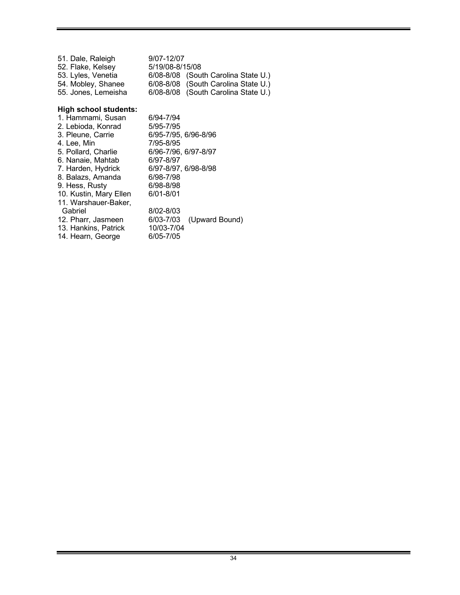| 51. Dale, Raleigh   | 9/07-12/07                          |  |
|---------------------|-------------------------------------|--|
| 52. Flake, Kelsey   | 5/19/08-8/15/08                     |  |
| 53. Lyles, Venetia  | 6/08-8/08 (South Carolina State U.) |  |
| 54. Mobley, Shanee  | 6/08-8/08 (South Carolina State U.) |  |
| 55. Jones, Lemeisha | 6/08-8/08 (South Carolina State U.) |  |

# **High school students:**

| 1. Hammami, Susan      | 6/94-7/94                   |
|------------------------|-----------------------------|
| 2. Lebioda, Konrad     | 5/95-7/95                   |
| 3. Pleune, Carrie      | 6/95-7/95, 6/96-8/96        |
| 4. Lee, Min            | 7/95-8/95                   |
| 5. Pollard, Charlie    | 6/96-7/96, 6/97-8/97        |
| 6. Nanaie, Mahtab      | 6/97-8/97                   |
| 7. Harden, Hydrick     | 6/97-8/97, 6/98-8/98        |
| 8. Balazs, Amanda      | 6/98-7/98                   |
| 9. Hess, Rusty         | 6/98-8/98                   |
| 10. Kustin, Mary Ellen | $6/01 - 8/01$               |
| 11. Warshauer-Baker,   |                             |
| Gabriel                | 8/02-8/03                   |
| 12. Pharr, Jasmeen     | (Upward Bound)<br>6/03-7/03 |
| 13. Hankins, Patrick   | 10/03-7/04                  |
| 14. Hearn, George      | 6/05-7/05                   |
|                        |                             |

٠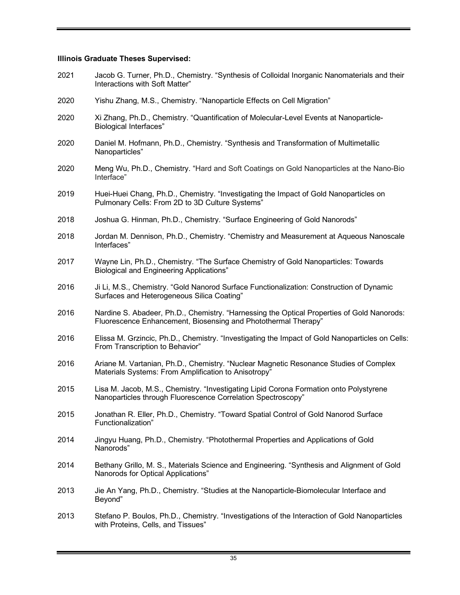#### **Illinois Graduate Theses Supervised:**

- 2021 Jacob G. Turner, Ph.D., Chemistry. "Synthesis of Colloidal Inorganic Nanomaterials and their Interactions with Soft Matter"
- 2020 Yishu Zhang, M.S., Chemistry. "Nanoparticle Effects on Cell Migration"
- 2020 Xi Zhang, Ph.D., Chemistry. "Quantification of Molecular-Level Events at Nanoparticle-Biological Interfaces"
- 2020 Daniel M. Hofmann, Ph.D., Chemistry. "Synthesis and Transformation of Multimetallic Nanoparticles"
- 2020 Meng Wu, Ph.D., Chemistry. "Hard and Soft Coatings on Gold Nanoparticles at the Nano-Bio Interface"
- 2019 Huei-Huei Chang, Ph.D., Chemistry. "Investigating the Impact of Gold Nanoparticles on Pulmonary Cells: From 2D to 3D Culture Systems"
- 2018 Joshua G. Hinman, Ph.D., Chemistry. "Surface Engineering of Gold Nanorods"
- 2018 Jordan M. Dennison, Ph.D., Chemistry. "Chemistry and Measurement at Aqueous Nanoscale Interfaces"
- 2017 Wayne Lin, Ph.D., Chemistry. "The Surface Chemistry of Gold Nanoparticles: Towards Biological and Engineering Applications"
- 2016 Ji Li, M.S., Chemistry. "Gold Nanorod Surface Functionalization: Construction of Dynamic Surfaces and Heterogeneous Silica Coating"
- 2016 Nardine S. Abadeer, Ph.D., Chemistry. "Harnessing the Optical Properties of Gold Nanorods: Fluorescence Enhancement, Biosensing and Photothermal Therapy"
- 2016 Elissa M. Grzincic, Ph.D., Chemistry. "Investigating the Impact of Gold Nanoparticles on Cells: From Transcription to Behavior"
- 2016 Ariane M. Vartanian, Ph.D., Chemistry. "Nuclear Magnetic Resonance Studies of Complex Materials Systems: From Amplification to Anisotropy"
- 2015 Lisa M. Jacob, M.S., Chemistry. "Investigating Lipid Corona Formation onto Polystyrene Nanoparticles through Fluorescence Correlation Spectroscopy"
- 2015 Jonathan R. Eller, Ph.D., Chemistry. "Toward Spatial Control of Gold Nanorod Surface Functionalization"
- 2014 Jingyu Huang, Ph.D., Chemistry. "Photothermal Properties and Applications of Gold Nanorods"
- 2014 Bethany Grillo, M. S., Materials Science and Engineering. "Synthesis and Alignment of Gold Nanorods for Optical Applications"
- 2013 Jie An Yang, Ph.D., Chemistry. "Studies at the Nanoparticle-Biomolecular Interface and Beyond"
- 2013 Stefano P. Boulos, Ph.D., Chemistry. "Investigations of the Interaction of Gold Nanoparticles with Proteins, Cells, and Tissues"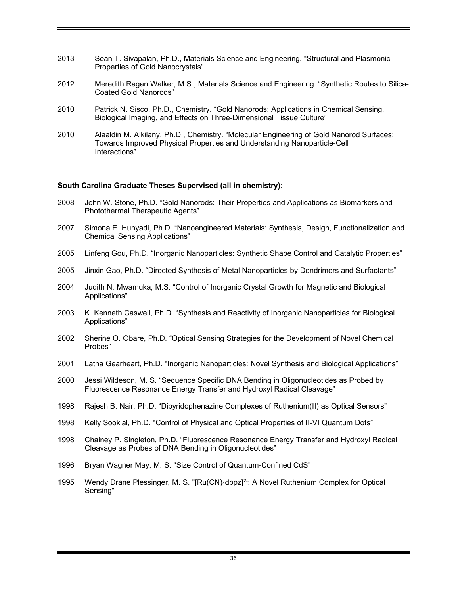- 2013 Sean T. Sivapalan, Ph.D., Materials Science and Engineering. "Structural and Plasmonic Properties of Gold Nanocrystals"
- 2012 Meredith Ragan Walker, M.S., Materials Science and Engineering. "Synthetic Routes to Silica-Coated Gold Nanorods"
- 2010 Patrick N. Sisco, Ph.D., Chemistry. "Gold Nanorods: Applications in Chemical Sensing, Biological Imaging, and Effects on Three-Dimensional Tissue Culture"
- 2010 Alaaldin M. Alkilany, Ph.D., Chemistry. "Molecular Engineering of Gold Nanorod Surfaces: Towards Improved Physical Properties and Understanding Nanoparticle-Cell Interactions"

#### **South Carolina Graduate Theses Supervised (all in chemistry):**

- 2008 John W. Stone, Ph.D. "Gold Nanorods: Their Properties and Applications as Biomarkers and Photothermal Therapeutic Agents"
- 2007 Simona E. Hunyadi, Ph.D. "Nanoengineered Materials: Synthesis, Design, Functionalization and Chemical Sensing Applications"
- 2005 Linfeng Gou, Ph.D. "Inorganic Nanoparticles: Synthetic Shape Control and Catalytic Properties"
- 2005 Jinxin Gao, Ph.D. "Directed Synthesis of Metal Nanoparticles by Dendrimers and Surfactants"
- 2004 Judith N. Mwamuka, M.S. "Control of Inorganic Crystal Growth for Magnetic and Biological Applications"
- 2003 K. Kenneth Caswell, Ph.D. "Synthesis and Reactivity of Inorganic Nanoparticles for Biological Applications"
- 2002 Sherine O. Obare, Ph.D. "Optical Sensing Strategies for the Development of Novel Chemical Probes"
- 2001 Latha Gearheart, Ph.D. "Inorganic Nanoparticles: Novel Synthesis and Biological Applications"
- 2000 Jessi Wildeson, M. S. "Sequence Specific DNA Bending in Oligonucleotides as Probed by Fluorescence Resonance Energy Transfer and Hydroxyl Radical Cleavage"
- 1998 Rajesh B. Nair, Ph.D. "Dipyridophenazine Complexes of Ruthenium(II) as Optical Sensors"
- 1998 Kelly Sooklal, Ph.D. "Control of Physical and Optical Properties of II-VI Quantum Dots"
- 1998 Chainey P. Singleton, Ph.D. "Fluorescence Resonance Energy Transfer and Hydroxyl Radical Cleavage as Probes of DNA Bending in Oligonucleotides"
- 1996 Bryan Wagner May, M. S. "Size Control of Quantum-Confined CdS"
- 1995 Wendy Drane Plessinger, M. S. "[Ru(CN)4dppz]<sup>2-</sup>: A Novel Ruthenium Complex for Optical Sensing"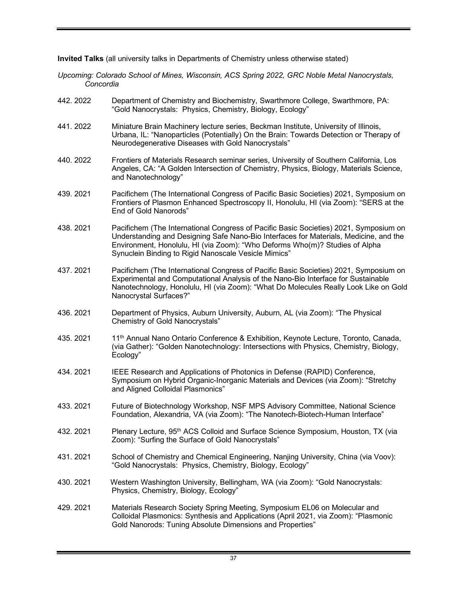**Invited Talks** (all university talks in Departments of Chemistry unless otherwise stated)

- *Upcoming: Colorado School of Mines, Wisconsin, ACS Spring 2022, GRC Noble Metal Nanocrystals, Concordia*
- 442. 2022 Department of Chemistry and Biochemistry, Swarthmore College, Swarthmore, PA: "Gold Nanocrystals: Physics, Chemistry, Biology, Ecology"
- 441. 2022 Miniature Brain Machinery lecture series, Beckman Institute, University of Illinois, Urbana, IL: "Nanoparticles (Potentially) On the Brain: Towards Detection or Therapy of Neurodegenerative Diseases with Gold Nanocrystals"
- 440. 2022 Frontiers of Materials Research seminar series, University of Southern California, Los Angeles, CA: "A Golden Intersection of Chemistry, Physics, Biology, Materials Science, and Nanotechnology"
- 439. 2021 Pacifichem (The International Congress of Pacific Basic Societies) 2021, Symposium on Frontiers of Plasmon Enhanced Spectroscopy II, Honolulu, HI (via Zoom): "SERS at the End of Gold Nanorods"
- 438. 2021 Pacifichem (The International Congress of Pacific Basic Societies) 2021, Symposium on Understanding and Designing Safe Nano-Bio Interfaces for Materials, Medicine, and the Environment, Honolulu, HI (via Zoom): "Who Deforms Who(m)? Studies of Alpha Synuclein Binding to Rigid Nanoscale Vesicle Mimics"
- 437. 2021 Pacifichem (The International Congress of Pacific Basic Societies) 2021, Symposium on Experimental and Computational Analysis of the Nano-Bio Interface for Sustainable Nanotechnology, Honolulu, HI (via Zoom): "What Do Molecules Really Look Like on Gold Nanocrystal Surfaces?"
- 436. 2021 Department of Physics, Auburn University, Auburn, AL (via Zoom): "The Physical Chemistry of Gold Nanocrystals"
- 435. 2021 11<sup>th</sup> Annual Nano Ontario Conference & Exhibition, Keynote Lecture, Toronto, Canada, (via Gather): "Golden Nanotechnology: Intersections with Physics, Chemistry, Biology, Ecology"
- 434. 2021 IEEE Research and Applications of Photonics in Defense (RAPID) Conference, Symposium on Hybrid Organic-Inorganic Materials and Devices (via Zoom): "Stretchy and Aligned Colloidal Plasmonics"
- 433. 2021 Future of Biotechnology Workshop, NSF MPS Advisory Committee, National Science Foundation, Alexandria, VA (via Zoom): "The Nanotech-Biotech-Human Interface"
- 432. 2021 Plenary Lecture, 95<sup>th</sup> ACS Colloid and Surface Science Symposium, Houston, TX (via Zoom): "Surfing the Surface of Gold Nanocrystals"
- 431. 2021 School of Chemistry and Chemical Engineering, Nanjing University, China (via Voov): "Gold Nanocrystals: Physics, Chemistry, Biology, Ecology"
- 430. 2021 Western Washington University, Bellingham, WA (via Zoom): "Gold Nanocrystals: Physics, Chemistry, Biology, Ecology"
- 429. 2021 Materials Research Society Spring Meeting, Symposium EL06 on Molecular and Colloidal Plasmonics: Synthesis and Applications (April 2021, via Zoom): "Plasmonic Gold Nanorods: Tuning Absolute Dimensions and Properties"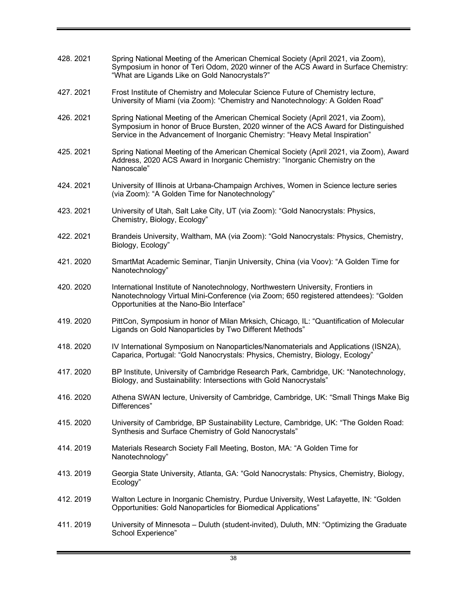| 428.2021 | Spring National Meeting of the American Chemical Society (April 2021, via Zoom),<br>Symposium in honor of Teri Odom, 2020 winner of the ACS Award in Surface Chemistry:<br>"What are Ligands Like on Gold Nanocrystals?"                                |
|----------|---------------------------------------------------------------------------------------------------------------------------------------------------------------------------------------------------------------------------------------------------------|
| 427.2021 | Frost Institute of Chemistry and Molecular Science Future of Chemistry lecture,<br>University of Miami (via Zoom): "Chemistry and Nanotechnology: A Golden Road"                                                                                        |
| 426.2021 | Spring National Meeting of the American Chemical Society (April 2021, via Zoom),<br>Symposium in honor of Bruce Bursten, 2020 winner of the ACS Award for Distinguished<br>Service in the Advancement of Inorganic Chemistry: "Heavy Metal Inspiration" |
| 425.2021 | Spring National Meeting of the American Chemical Society (April 2021, via Zoom), Award<br>Address, 2020 ACS Award in Inorganic Chemistry: "Inorganic Chemistry on the<br>Nanoscale"                                                                     |
| 424.2021 | University of Illinois at Urbana-Champaign Archives, Women in Science lecture series<br>(via Zoom): "A Golden Time for Nanotechnology"                                                                                                                  |
| 423.2021 | University of Utah, Salt Lake City, UT (via Zoom): "Gold Nanocrystals: Physics,<br>Chemistry, Biology, Ecology"                                                                                                                                         |
| 422.2021 | Brandeis University, Waltham, MA (via Zoom): "Gold Nanocrystals: Physics, Chemistry,<br>Biology, Ecology"                                                                                                                                               |
| 421.2020 | SmartMat Academic Seminar, Tianjin University, China (via Voov): "A Golden Time for<br>Nanotechnology"                                                                                                                                                  |
| 420.2020 | International Institute of Nanotechnology, Northwestern University, Frontiers in<br>Nanotechnology Virtual Mini-Conference (via Zoom; 650 registered attendees): "Golden<br>Opportunities at the Nano-Bio Interface"                                    |
| 419.2020 | PittCon, Symposium in honor of Milan Mrksich, Chicago, IL: "Quantification of Molecular<br>Ligands on Gold Nanoparticles by Two Different Methods"                                                                                                      |
| 418.2020 | IV International Symposium on Nanoparticles/Nanomaterials and Applications (ISN2A),<br>Caparica, Portugal: "Gold Nanocrystals: Physics, Chemistry, Biology, Ecology"                                                                                    |
| 417.2020 | BP Institute, University of Cambridge Research Park, Cambridge, UK: "Nanotechnology,<br>Biology, and Sustainability: Intersections with Gold Nanocrystals"                                                                                              |
| 416.2020 | Athena SWAN lecture, University of Cambridge, Cambridge, UK: "Small Things Make Big<br>Differences"                                                                                                                                                     |
| 415.2020 | University of Cambridge, BP Sustainability Lecture, Cambridge, UK: "The Golden Road:<br>Synthesis and Surface Chemistry of Gold Nanocrystals"                                                                                                           |
| 414.2019 | Materials Research Society Fall Meeting, Boston, MA: "A Golden Time for<br>Nanotechnology"                                                                                                                                                              |
| 413.2019 | Georgia State University, Atlanta, GA: "Gold Nanocrystals: Physics, Chemistry, Biology,<br>Ecology"                                                                                                                                                     |
| 412.2019 | Walton Lecture in Inorganic Chemistry, Purdue University, West Lafayette, IN: "Golden<br>Opportunities: Gold Nanoparticles for Biomedical Applications"                                                                                                 |
| 411.2019 | University of Minnesota – Duluth (student-invited), Duluth, MN: "Optimizing the Graduate<br>School Experience"                                                                                                                                          |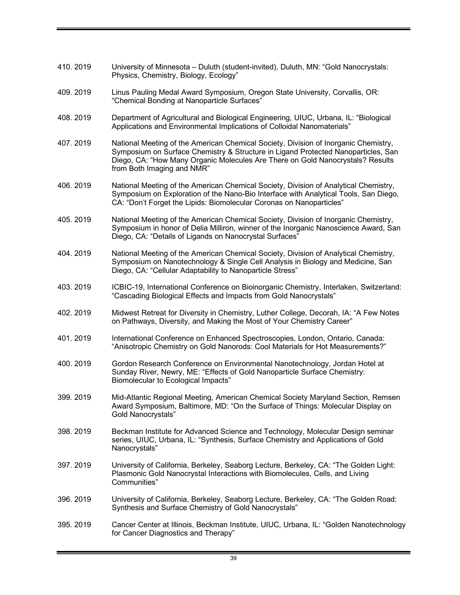410. 2019 University of Minnesota – Duluth (student-invited), Duluth, MN: "Gold Nanocrystals: Physics, Chemistry, Biology, Ecology" 409. 2019 Linus Pauling Medal Award Symposium, Oregon State University, Corvallis, OR: "Chemical Bonding at Nanoparticle Surfaces" 408. 2019 Department of Agricultural and Biological Engineering, UIUC, Urbana, IL: "Biological Applications and Environmental Implications of Colloidal Nanomaterials" 407. 2019 National Meeting of the American Chemical Society, Division of Inorganic Chemistry, Symposium on Surface Chemistry & Structure in Ligand Protected Nanoparticles, San Diego, CA: "How Many Organic Molecules Are There on Gold Nanocrystals? Results from Both Imaging and NMR" 406. 2019 National Meeting of the American Chemical Society, Division of Analytical Chemistry, Symposium on Exploration of the Nano-Bio Interface with Analytical Tools, San Diego, CA: "Don't Forget the Lipids: Biomolecular Coronas on Nanoparticles" 405. 2019 National Meeting of the American Chemical Society, Division of Inorganic Chemistry, Symposium in honor of Delia Milliron, winner of the Inorganic Nanoscience Award, San Diego, CA: "Details of Ligands on Nanocrystal Surfaces" 404. 2019 National Meeting of the American Chemical Society, Division of Analytical Chemistry, Symposium on Nanotechnology & Single Cell Analysis in Biology and Medicine, San Diego, CA: "Cellular Adaptability to Nanoparticle Stress" 403. 2019 ICBIC-19, International Conference on Bioinorganic Chemistry, Interlaken, Switzerland: "Cascading Biological Effects and Impacts from Gold Nanocrystals" 402. 2019 Midwest Retreat for Diversity in Chemistry, Luther College, Decorah, IA: "A Few Notes on Pathways, Diversity, and Making the Most of Your Chemistry Career" 401. 2019 International Conference on Enhanced Spectroscopies, London, Ontario, Canada: "Anisotropic Chemistry on Gold Nanorods: Cool Materials for Hot Measurements?" 400. 2019 Gordon Research Conference on Environmental Nanotechnology, Jordan Hotel at Sunday River, Newry, ME: "Effects of Gold Nanoparticle Surface Chemistry: Biomolecular to Ecological Impacts" 399. 2019 Mid-Atlantic Regional Meeting, American Chemical Society Maryland Section, Remsen Award Symposium, Baltimore, MD: "On the Surface of Things: Molecular Display on Gold Nanocrystals" 398. 2019 Beckman Institute for Advanced Science and Technology, Molecular Design seminar series, UIUC, Urbana, IL: "Synthesis, Surface Chemistry and Applications of Gold Nanocrystals" 397. 2019 University of California, Berkeley, Seaborg Lecture, Berkeley, CA: "The Golden Light: Plasmonic Gold Nanocrystal Interactions with Biomolecules, Cells, and Living Communities" 396. 2019 University of California, Berkeley, Seaborg Lecture, Berkeley, CA: "The Golden Road: Synthesis and Surface Chemistry of Gold Nanocrystals" 395. 2019 Cancer Center at Illinois, Beckman Institute, UIUC, Urbana, IL: "Golden Nanotechnology for Cancer Diagnostics and Therapy"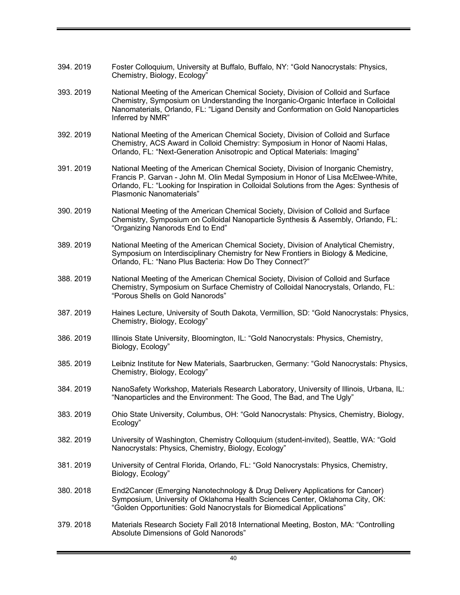| 394.2019  | Foster Colloquium, University at Buffalo, Buffalo, NY: "Gold Nanocrystals: Physics,<br>Chemistry, Biology, Ecology"                                                                                                                                                                             |
|-----------|-------------------------------------------------------------------------------------------------------------------------------------------------------------------------------------------------------------------------------------------------------------------------------------------------|
| 393.2019  | National Meeting of the American Chemical Society, Division of Colloid and Surface<br>Chemistry, Symposium on Understanding the Inorganic-Organic Interface in Colloidal<br>Nanomaterials, Orlando, FL: "Ligand Density and Conformation on Gold Nanoparticles<br>Inferred by NMR"              |
| 392.2019  | National Meeting of the American Chemical Society, Division of Colloid and Surface<br>Chemistry, ACS Award in Colloid Chemistry: Symposium in Honor of Naomi Halas,<br>Orlando, FL: "Next-Generation Anisotropic and Optical Materials: Imaging"                                                |
| 391.2019  | National Meeting of the American Chemical Society, Division of Inorganic Chemistry,<br>Francis P. Garvan - John M. Olin Medal Symposium in Honor of Lisa McElwee-White,<br>Orlando, FL: "Looking for Inspiration in Colloidal Solutions from the Ages: Synthesis of<br>Plasmonic Nanomaterials" |
| 390.2019  | National Meeting of the American Chemical Society, Division of Colloid and Surface<br>Chemistry, Symposium on Colloidal Nanoparticle Synthesis & Assembly, Orlando, FL:<br>"Organizing Nanorods End to End"                                                                                     |
| 389.2019  | National Meeting of the American Chemical Society, Division of Analytical Chemistry,<br>Symposium on Interdisciplinary Chemistry for New Frontiers in Biology & Medicine,<br>Orlando, FL: "Nano Plus Bacteria: How Do They Connect?"                                                            |
| 388.2019  | National Meeting of the American Chemical Society, Division of Colloid and Surface<br>Chemistry, Symposium on Surface Chemistry of Colloidal Nanocrystals, Orlando, FL:<br>"Porous Shells on Gold Nanorods"                                                                                     |
| 387.2019  | Haines Lecture, University of South Dakota, Vermillion, SD: "Gold Nanocrystals: Physics,<br>Chemistry, Biology, Ecology"                                                                                                                                                                        |
| 386.2019  | Illinois State University, Bloomington, IL: "Gold Nanocrystals: Physics, Chemistry,<br>Biology, Ecology"                                                                                                                                                                                        |
| 385, 2019 | Leibniz Institute for New Materials, Saarbrucken, Germany: "Gold Nanocrystals: Physics,<br>Chemistry, Biology, Ecology"                                                                                                                                                                         |
| 384.2019  | NanoSafety Workshop, Materials Research Laboratory, University of Illinois, Urbana, IL:<br>"Nanoparticles and the Environment: The Good, The Bad, and The Ugly"                                                                                                                                 |
| 383.2019  | Ohio State University, Columbus, OH: "Gold Nanocrystals: Physics, Chemistry, Biology,<br>Ecology"                                                                                                                                                                                               |
| 382.2019  | University of Washington, Chemistry Colloquium (student-invited), Seattle, WA: "Gold<br>Nanocrystals: Physics, Chemistry, Biology, Ecology"                                                                                                                                                     |
| 381.2019  | University of Central Florida, Orlando, FL: "Gold Nanocrystals: Physics, Chemistry,<br>Biology, Ecology"                                                                                                                                                                                        |
| 380.2018  | End2Cancer (Emerging Nanotechnology & Drug Delivery Applications for Cancer)<br>Symposium, University of Oklahoma Health Sciences Center, Oklahoma City, OK:<br>"Golden Opportunities: Gold Nanocrystals for Biomedical Applications"                                                           |
| 379.2018  | Materials Research Society Fall 2018 International Meeting, Boston, MA: "Controlling<br>Absolute Dimensions of Gold Nanorods"                                                                                                                                                                   |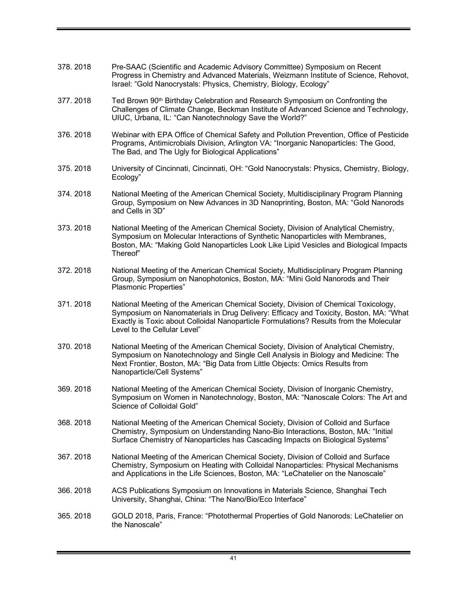| 378, 2018 | Pre-SAAC (Scientific and Academic Advisory Committee) Symposium on Recent<br>Progress in Chemistry and Advanced Materials, Weizmann Institute of Science, Rehovot,<br>Israel: "Gold Nanocrystals: Physics, Chemistry, Biology, Ecology"                                                                |
|-----------|--------------------------------------------------------------------------------------------------------------------------------------------------------------------------------------------------------------------------------------------------------------------------------------------------------|
| 377.2018  | Ted Brown 90 <sup>th</sup> Birthday Celebration and Research Symposium on Confronting the<br>Challenges of Climate Change, Beckman Institute of Advanced Science and Technology,<br>UIUC, Urbana, IL: "Can Nanotechnology Save the World?"                                                             |
| 376.2018  | Webinar with EPA Office of Chemical Safety and Pollution Prevention, Office of Pesticide<br>Programs, Antimicrobials Division, Arlington VA: "Inorganic Nanoparticles: The Good,<br>The Bad, and The Ugly for Biological Applications"                                                                 |
| 375.2018  | University of Cincinnati, Cincinnati, OH: "Gold Nanocrystals: Physics, Chemistry, Biology,<br>Ecology"                                                                                                                                                                                                 |
| 374.2018  | National Meeting of the American Chemical Society, Multidisciplinary Program Planning<br>Group, Symposium on New Advances in 3D Nanoprinting, Boston, MA: "Gold Nanorods<br>and Cells in 3D"                                                                                                           |
| 373.2018  | National Meeting of the American Chemical Society, Division of Analytical Chemistry,<br>Symposium on Molecular Interactions of Synthetic Nanoparticles with Membranes,<br>Boston, MA: "Making Gold Nanoparticles Look Like Lipid Vesicles and Biological Impacts<br>Thereof"                           |
| 372.2018  | National Meeting of the American Chemical Society, Multidisciplinary Program Planning<br>Group, Symposium on Nanophotonics, Boston, MA: "Mini Gold Nanorods and Their<br>Plasmonic Properties"                                                                                                         |
| 371.2018  | National Meeting of the American Chemical Society, Division of Chemical Toxicology,<br>Symposium on Nanomaterials in Drug Delivery: Efficacy and Toxicity, Boston, MA: "What<br>Exactly is Toxic about Colloidal Nanoparticle Formulations? Results from the Molecular<br>Level to the Cellular Level" |
| 370.2018  | National Meeting of the American Chemical Society, Division of Analytical Chemistry,<br>Symposium on Nanotechnology and Single Cell Analysis in Biology and Medicine: The<br>Next Frontier, Boston, MA: "Big Data from Little Objects: Omics Results from<br>Nanoparticle/Cell Systems"                |
| 369.2018  | National Meeting of the American Chemical Society, Division of Inorganic Chemistry,<br>Symposium on Women in Nanotechnology, Boston, MA: "Nanoscale Colors: The Art and<br>Science of Colloidal Gold"                                                                                                  |
| 368.2018  | National Meeting of the American Chemical Society, Division of Colloid and Surface<br>Chemistry, Symposium on Understanding Nano-Bio Interactions, Boston, MA: "Initial<br>Surface Chemistry of Nanoparticles has Cascading Impacts on Biological Systems"                                             |
| 367.2018  | National Meeting of the American Chemical Society, Division of Colloid and Surface<br>Chemistry, Symposium on Heating with Colloidal Nanoparticles: Physical Mechanisms<br>and Applications in the Life Sciences, Boston, MA: "LeChatelier on the Nanoscale"                                           |
| 366.2018  | ACS Publications Symposium on Innovations in Materials Science, Shanghai Tech<br>University, Shanghai, China: "The Nano/Bio/Eco Interface"                                                                                                                                                             |
| 365.2018  | GOLD 2018, Paris, France: "Photothermal Properties of Gold Nanorods: LeChatelier on<br>the Nanoscale"                                                                                                                                                                                                  |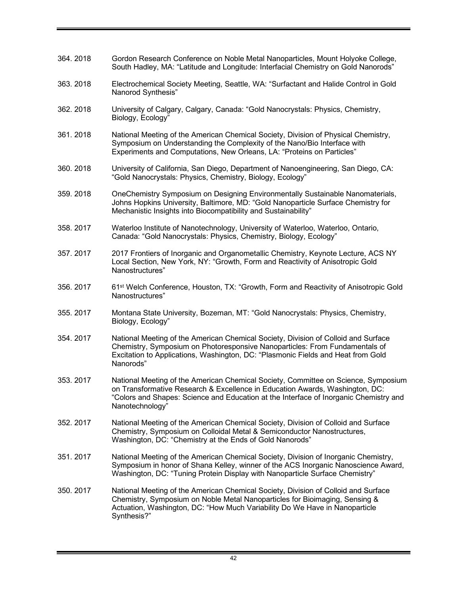| 364.2018 | Gordon Research Conference on Noble Metal Nanoparticles, Mount Holyoke College,<br>South Hadley, MA: "Latitude and Longitude: Interfacial Chemistry on Gold Nanorods"                                                                                                          |
|----------|--------------------------------------------------------------------------------------------------------------------------------------------------------------------------------------------------------------------------------------------------------------------------------|
| 363.2018 | Electrochemical Society Meeting, Seattle, WA: "Surfactant and Halide Control in Gold<br>Nanorod Synthesis"                                                                                                                                                                     |
| 362.2018 | University of Calgary, Calgary, Canada: "Gold Nanocrystals: Physics, Chemistry,<br>Biology, Ecology"                                                                                                                                                                           |
| 361.2018 | National Meeting of the American Chemical Society, Division of Physical Chemistry,<br>Symposium on Understanding the Complexity of the Nano/Bio Interface with<br>Experiments and Computations, New Orleans, LA: "Proteins on Particles"                                       |
| 360.2018 | University of California, San Diego, Department of Nanoengineering, San Diego, CA:<br>"Gold Nanocrystals: Physics, Chemistry, Biology, Ecology"                                                                                                                                |
| 359.2018 | OneChemistry Symposium on Designing Environmentally Sustainable Nanomaterials,<br>Johns Hopkins University, Baltimore, MD: "Gold Nanoparticle Surface Chemistry for<br>Mechanistic Insights into Biocompatibility and Sustainability"                                          |
| 358.2017 | Waterloo Institute of Nanotechnology, University of Waterloo, Waterloo, Ontario,<br>Canada: "Gold Nanocrystals: Physics, Chemistry, Biology, Ecology"                                                                                                                          |
| 357.2017 | 2017 Frontiers of Inorganic and Organometallic Chemistry, Keynote Lecture, ACS NY<br>Local Section, New York, NY: "Growth, Form and Reactivity of Anisotropic Gold<br>Nanostructures"                                                                                          |
| 356.2017 | 61 <sup>st</sup> Welch Conference, Houston, TX: "Growth, Form and Reactivity of Anisotropic Gold<br>Nanostructures"                                                                                                                                                            |
| 355.2017 | Montana State University, Bozeman, MT: "Gold Nanocrystals: Physics, Chemistry,<br>Biology, Ecology"                                                                                                                                                                            |
| 354.2017 | National Meeting of the American Chemical Society, Division of Colloid and Surface<br>Chemistry, Symposium on Photoresponsive Nanoparticles: From Fundamentals of<br>Excitation to Applications, Washington, DC: "Plasmonic Fields and Heat from Gold<br>Nanorods"             |
| 353.2017 | National Meeting of the American Chemical Society, Committee on Science, Symposium<br>on Transformative Research & Excellence in Education Awards, Washington, DC:<br>"Colors and Shapes: Science and Education at the Interface of Inorganic Chemistry and<br>Nanotechnology" |
| 352.2017 | National Meeting of the American Chemical Society, Division of Colloid and Surface<br>Chemistry, Symposium on Colloidal Metal & Semiconductor Nanostructures,<br>Washington, DC: "Chemistry at the Ends of Gold Nanorods"                                                      |
| 351.2017 | National Meeting of the American Chemical Society, Division of Inorganic Chemistry,<br>Symposium in honor of Shana Kelley, winner of the ACS Inorganic Nanoscience Award,<br>Washington, DC: "Tuning Protein Display with Nanoparticle Surface Chemistry"                      |
| 350.2017 | National Meeting of the American Chemical Society, Division of Colloid and Surface<br>Chemistry, Symposium on Noble Metal Nanoparticles for Bioimaging, Sensing &<br>Actuation, Washington, DC: "How Much Variability Do We Have in Nanoparticle<br>Synthesis?"                |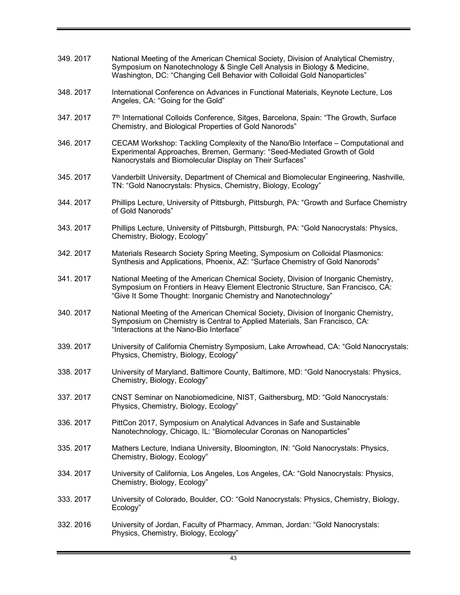349. 2017 National Meeting of the American Chemical Society, Division of Analytical Chemistry, Symposium on Nanotechnology & Single Cell Analysis in Biology & Medicine, Washington, DC: "Changing Cell Behavior with Colloidal Gold Nanoparticles" 348. 2017 International Conference on Advances in Functional Materials, Keynote Lecture, Los Angeles, CA: "Going for the Gold" 347. 2017 T<sup>th</sup> International Colloids Conference, Sitges, Barcelona, Spain: "The Growth, Surface Chemistry, and Biological Properties of Gold Nanorods" 346. 2017 CECAM Workshop: Tackling Complexity of the Nano/Bio Interface – Computational and Experimental Approaches, Bremen, Germany: "Seed-Mediated Growth of Gold Nanocrystals and Biomolecular Display on Their Surfaces" 345. 2017 Vanderbilt University, Department of Chemical and Biomolecular Engineering, Nashville, TN: "Gold Nanocrystals: Physics, Chemistry, Biology, Ecology" 344. 2017 Phillips Lecture, University of Pittsburgh, Pittsburgh, PA: "Growth and Surface Chemistry of Gold Nanorods" 343. 2017 Phillips Lecture, University of Pittsburgh, Pittsburgh, PA: "Gold Nanocrystals: Physics, Chemistry, Biology, Ecology" 342. 2017 Materials Research Society Spring Meeting, Symposium on Colloidal Plasmonics: Synthesis and Applications, Phoenix, AZ: "Surface Chemistry of Gold Nanorods" 341. 2017 National Meeting of the American Chemical Society, Division of Inorganic Chemistry, Symposium on Frontiers in Heavy Element Electronic Structure, San Francisco, CA: "Give It Some Thought: Inorganic Chemistry and Nanotechnology" 340. 2017 National Meeting of the American Chemical Society, Division of Inorganic Chemistry, Symposium on Chemistry is Central to Applied Materials, San Francisco, CA: "Interactions at the Nano-Bio Interface" 339. 2017 University of California Chemistry Symposium, Lake Arrowhead, CA: "Gold Nanocrystals: Physics, Chemistry, Biology, Ecology" 338. 2017 University of Maryland, Baltimore County, Baltimore, MD: "Gold Nanocrystals: Physics, Chemistry, Biology, Ecology" 337. 2017 CNST Seminar on Nanobiomedicine, NIST, Gaithersburg, MD: "Gold Nanocrystals: Physics, Chemistry, Biology, Ecology" 336. 2017 PittCon 2017, Symposium on Analytical Advances in Safe and Sustainable Nanotechnology, Chicago, IL: "Biomolecular Coronas on Nanoparticles" 335. 2017 Mathers Lecture, Indiana University, Bloomington, IN: "Gold Nanocrystals: Physics, Chemistry, Biology, Ecology" 334. 2017 University of California, Los Angeles, Los Angeles, CA: "Gold Nanocrystals: Physics, Chemistry, Biology, Ecology" 333. 2017 University of Colorado, Boulder, CO: "Gold Nanocrystals: Physics, Chemistry, Biology, Ecology" 332. 2016 University of Jordan, Faculty of Pharmacy, Amman, Jordan: "Gold Nanocrystals: Physics, Chemistry, Biology, Ecology"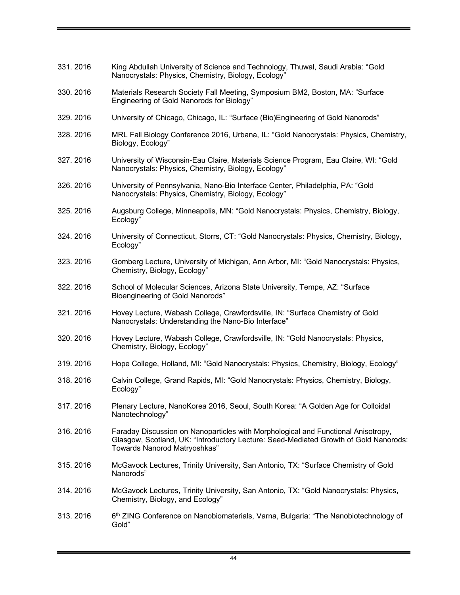| 331.2016 | King Abdullah University of Science and Technology, Thuwal, Saudi Arabia: "Gold<br>Nanocrystals: Physics, Chemistry, Biology, Ecology"                                                                    |
|----------|-----------------------------------------------------------------------------------------------------------------------------------------------------------------------------------------------------------|
| 330.2016 | Materials Research Society Fall Meeting, Symposium BM2, Boston, MA: "Surface<br>Engineering of Gold Nanorods for Biology"                                                                                 |
| 329.2016 | University of Chicago, Chicago, IL: "Surface (Bio) Engineering of Gold Nanorods"                                                                                                                          |
| 328.2016 | MRL Fall Biology Conference 2016, Urbana, IL: "Gold Nanocrystals: Physics, Chemistry,<br>Biology, Ecology"                                                                                                |
| 327.2016 | University of Wisconsin-Eau Claire, Materials Science Program, Eau Claire, WI: "Gold<br>Nanocrystals: Physics, Chemistry, Biology, Ecology"                                                               |
| 326.2016 | University of Pennsylvania, Nano-Bio Interface Center, Philadelphia, PA: "Gold<br>Nanocrystals: Physics, Chemistry, Biology, Ecology"                                                                     |
| 325.2016 | Augsburg College, Minneapolis, MN: "Gold Nanocrystals: Physics, Chemistry, Biology,<br>Ecology"                                                                                                           |
| 324.2016 | University of Connecticut, Storrs, CT: "Gold Nanocrystals: Physics, Chemistry, Biology,<br>Ecology"                                                                                                       |
| 323.2016 | Gomberg Lecture, University of Michigan, Ann Arbor, MI: "Gold Nanocrystals: Physics,<br>Chemistry, Biology, Ecology"                                                                                      |
| 322.2016 | School of Molecular Sciences, Arizona State University, Tempe, AZ: "Surface<br><b>Bioengineering of Gold Nanorods"</b>                                                                                    |
| 321.2016 | Hovey Lecture, Wabash College, Crawfordsville, IN: "Surface Chemistry of Gold<br>Nanocrystals: Understanding the Nano-Bio Interface"                                                                      |
| 320.2016 | Hovey Lecture, Wabash College, Crawfordsville, IN: "Gold Nanocrystals: Physics,<br>Chemistry, Biology, Ecology"                                                                                           |
| 319.2016 | Hope College, Holland, MI: "Gold Nanocrystals: Physics, Chemistry, Biology, Ecology"                                                                                                                      |
| 318.2016 | Calvin College, Grand Rapids, MI: "Gold Nanocrystals: Physics, Chemistry, Biology,<br>Ecology"                                                                                                            |
| 317.2016 | Plenary Lecture, NanoKorea 2016, Seoul, South Korea: "A Golden Age for Colloidal<br>Nanotechnology"                                                                                                       |
| 316.2016 | Faraday Discussion on Nanoparticles with Morphological and Functional Anisotropy,<br>Glasgow, Scotland, UK: "Introductory Lecture: Seed-Mediated Growth of Gold Nanorods:<br>Towards Nanorod Matryoshkas" |
| 315.2016 | McGavock Lectures, Trinity University, San Antonio, TX: "Surface Chemistry of Gold<br>Nanorods"                                                                                                           |
| 314.2016 | McGavock Lectures, Trinity University, San Antonio, TX: "Gold Nanocrystals: Physics,<br>Chemistry, Biology, and Ecology"                                                                                  |
| 313.2016 | 6 <sup>th</sup> ZING Conference on Nanobiomaterials, Varna, Bulgaria: "The Nanobiotechnology of<br>Gold"                                                                                                  |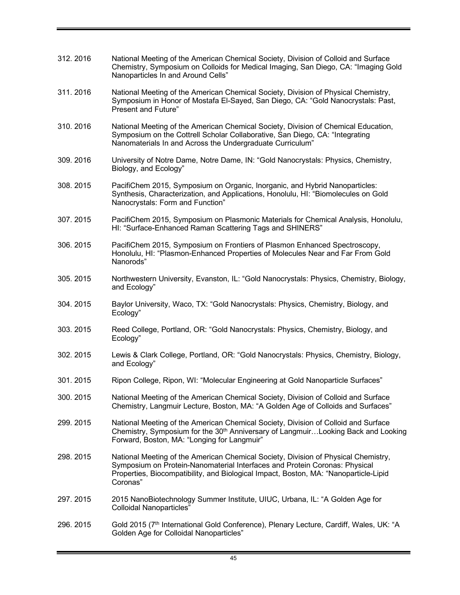| 312.2016 | National Meeting of the American Chemical Society, Division of Colloid and Surface<br>Chemistry, Symposium on Colloids for Medical Imaging, San Diego, CA: "Imaging Gold<br>Nanoparticles In and Around Cells"                                                       |
|----------|----------------------------------------------------------------------------------------------------------------------------------------------------------------------------------------------------------------------------------------------------------------------|
| 311.2016 | National Meeting of the American Chemical Society, Division of Physical Chemistry,<br>Symposium in Honor of Mostafa El-Sayed, San Diego, CA: "Gold Nanocrystals: Past,<br><b>Present and Future"</b>                                                                 |
| 310.2016 | National Meeting of the American Chemical Society, Division of Chemical Education,<br>Symposium on the Cottrell Scholar Collaborative, San Diego, CA: "Integrating<br>Nanomaterials In and Across the Undergraduate Curriculum"                                      |
| 309.2016 | University of Notre Dame, Notre Dame, IN: "Gold Nanocrystals: Physics, Chemistry,<br>Biology, and Ecology"                                                                                                                                                           |
| 308.2015 | PacifiChem 2015, Symposium on Organic, Inorganic, and Hybrid Nanoparticles:<br>Synthesis, Characterization, and Applications, Honolulu, HI: "Biomolecules on Gold<br>Nanocrystals: Form and Function"                                                                |
| 307.2015 | PacifiChem 2015, Symposium on Plasmonic Materials for Chemical Analysis, Honolulu,<br>HI: "Surface-Enhanced Raman Scattering Tags and SHINERS"                                                                                                                       |
| 306.2015 | PacifiChem 2015, Symposium on Frontiers of Plasmon Enhanced Spectroscopy,<br>Honolulu, HI: "Plasmon-Enhanced Properties of Molecules Near and Far From Gold<br>Nanorods"                                                                                             |
| 305.2015 | Northwestern University, Evanston, IL: "Gold Nanocrystals: Physics, Chemistry, Biology,<br>and Ecology"                                                                                                                                                              |
| 304.2015 | Baylor University, Waco, TX: "Gold Nanocrystals: Physics, Chemistry, Biology, and<br>Ecology"                                                                                                                                                                        |
| 303.2015 | Reed College, Portland, OR: "Gold Nanocrystals: Physics, Chemistry, Biology, and<br>Ecology"                                                                                                                                                                         |
| 302.2015 | Lewis & Clark College, Portland, OR: "Gold Nanocrystals: Physics, Chemistry, Biology,<br>and Ecology"                                                                                                                                                                |
| 301.2015 | Ripon College, Ripon, WI: "Molecular Engineering at Gold Nanoparticle Surfaces"                                                                                                                                                                                      |
| 300.2015 | National Meeting of the American Chemical Society, Division of Colloid and Surface<br>Chemistry, Langmuir Lecture, Boston, MA: "A Golden Age of Colloids and Surfaces"                                                                                               |
| 299.2015 | National Meeting of the American Chemical Society, Division of Colloid and Surface<br>Chemistry, Symposium for the 30 <sup>th</sup> Anniversary of LangmuirLooking Back and Looking<br>Forward, Boston, MA: "Longing for Langmuir"                                   |
| 298.2015 | National Meeting of the American Chemical Society, Division of Physical Chemistry,<br>Symposium on Protein-Nanomaterial Interfaces and Protein Coronas: Physical<br>Properties, Biocompatibility, and Biological Impact, Boston, MA: "Nanoparticle-Lipid<br>Coronas" |
| 297.2015 | 2015 NanoBiotechnology Summer Institute, UIUC, Urbana, IL: "A Golden Age for<br><b>Colloidal Nanoparticles"</b>                                                                                                                                                      |
| 296.2015 | Gold 2015 (7 <sup>th</sup> International Gold Conference), Plenary Lecture, Cardiff, Wales, UK: "A<br>Golden Age for Colloidal Nanoparticles"                                                                                                                        |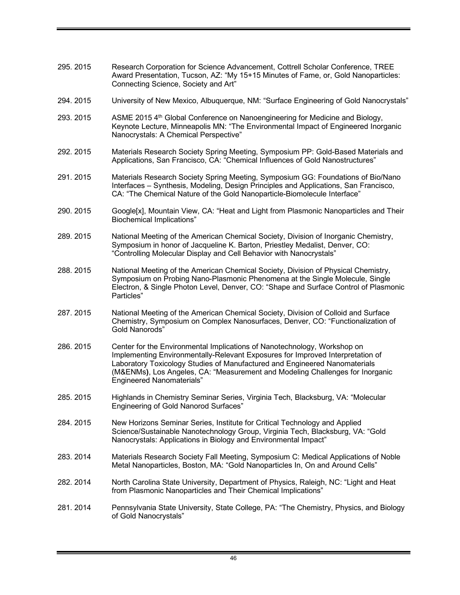- 295. 2015 Research Corporation for Science Advancement, Cottrell Scholar Conference, TREE Award Presentation, Tucson, AZ: "My 15+15 Minutes of Fame, or, Gold Nanoparticles: Connecting Science, Society and Art"
- 294. 2015 University of New Mexico, Albuquerque, NM: "Surface Engineering of Gold Nanocrystals"
- 293. 2015 ASME 2015 4th Global Conference on Nanoengineering for Medicine and Biology, Keynote Lecture, Minneapolis MN: "The Environmental Impact of Engineered Inorganic Nanocrystals: A Chemical Perspective"
- 292. 2015 Materials Research Society Spring Meeting, Symposium PP: Gold-Based Materials and Applications, San Francisco, CA: "Chemical Influences of Gold Nanostructures"
- 291. 2015 Materials Research Society Spring Meeting, Symposium GG: Foundations of Bio/Nano Interfaces – Synthesis, Modeling, Design Principles and Applications, San Francisco, CA: "The Chemical Nature of the Gold Nanoparticle-Biomolecule Interface"
- 290. 2015 Google[x], Mountain View, CA: "Heat and Light from Plasmonic Nanoparticles and Their Biochemical Implications"
- 289. 2015 National Meeting of the American Chemical Society, Division of Inorganic Chemistry, Symposium in honor of Jacqueline K. Barton, Priestley Medalist, Denver, CO: "Controlling Molecular Display and Cell Behavior with Nanocrystals"
- 288. 2015 National Meeting of the American Chemical Society, Division of Physical Chemistry, Symposium on Probing Nano-Plasmonic Phenomena at the Single Molecule, Single Electron, & Single Photon Level, Denver, CO: "Shape and Surface Control of Plasmonic Particles"
- 287. 2015 National Meeting of the American Chemical Society, Division of Colloid and Surface Chemistry, Symposium on Complex Nanosurfaces, Denver, CO: "Functionalization of Gold Nanorods"
- 286. 2015 Center for the Environmental Implications of Nanotechnology, Workshop on Implementing Environmentally-Relevant Exposures for Improved Interpretation of Laboratory Toxicology Studies of Manufactured and Engineered Nanomaterials (M&ENMs**)**, Los Angeles, CA: "Measurement and Modeling Challenges for Inorganic Engineered Nanomaterials"
- 285. 2015 Highlands in Chemistry Seminar Series, Virginia Tech, Blacksburg, VA: "Molecular Engineering of Gold Nanorod Surfaces"
- 284. 2015 New Horizons Seminar Series, Institute for Critical Technology and Applied Science/Sustainable Nanotechnology Group, Virginia Tech, Blacksburg, VA: "Gold Nanocrystals: Applications in Biology and Environmental Impact"
- 283. 2014 Materials Research Society Fall Meeting, Symposium C: Medical Applications of Noble Metal Nanoparticles, Boston, MA: "Gold Nanoparticles In, On and Around Cells"
- 282. 2014 North Carolina State University, Department of Physics, Raleigh, NC: "Light and Heat from Plasmonic Nanoparticles and Their Chemical Implications"
- 281. 2014 Pennsylvania State University, State College, PA: "The Chemistry, Physics, and Biology of Gold Nanocrystals"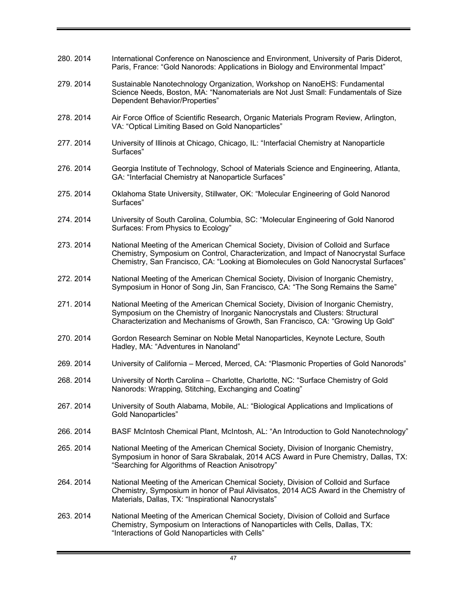280. 2014 International Conference on Nanoscience and Environment, University of Paris Diderot, Paris, France: "Gold Nanorods: Applications in Biology and Environmental Impact" 279. 2014 Sustainable Nanotechnology Organization, Workshop on NanoEHS: Fundamental Science Needs, Boston, MA: "Nanomaterials are Not Just Small: Fundamentals of Size Dependent Behavior/Properties" 278. 2014 Air Force Office of Scientific Research, Organic Materials Program Review, Arlington, VA: "Optical Limiting Based on Gold Nanoparticles" 277. 2014 University of Illinois at Chicago, Chicago, IL: "Interfacial Chemistry at Nanoparticle Surfaces" 276. 2014 Georgia Institute of Technology, School of Materials Science and Engineering, Atlanta, GA: "Interfacial Chemistry at Nanoparticle Surfaces" 275. 2014 Oklahoma State University, Stillwater, OK: "Molecular Engineering of Gold Nanorod Surfaces" 274. 2014 University of South Carolina, Columbia, SC: "Molecular Engineering of Gold Nanorod Surfaces: From Physics to Ecology" 273. 2014 National Meeting of the American Chemical Society, Division of Colloid and Surface Chemistry, Symposium on Control, Characterization, and Impact of Nanocrystal Surface Chemistry, San Francisco, CA: "Looking at Biomolecules on Gold Nanocrystal Surfaces" 272. 2014 National Meeting of the American Chemical Society, Division of Inorganic Chemistry, Symposium in Honor of Song Jin, San Francisco, CA: "The Song Remains the Same" 271. 2014 National Meeting of the American Chemical Society, Division of Inorganic Chemistry, Symposium on the Chemistry of Inorganic Nanocrystals and Clusters: Structural Characterization and Mechanisms of Growth, San Francisco, CA: "Growing Up Gold" 270. 2014 Gordon Research Seminar on Noble Metal Nanoparticles, Keynote Lecture, South Hadley, MA: "Adventures in Nanoland" 269. 2014 University of California – Merced, Merced, CA: "Plasmonic Properties of Gold Nanorods" 268. 2014 University of North Carolina – Charlotte, Charlotte, NC: "Surface Chemistry of Gold Nanorods: Wrapping, Stitching, Exchanging and Coating" 267. 2014 University of South Alabama, Mobile, AL: "Biological Applications and Implications of Gold Nanoparticles" 266. 2014 BASF McIntosh Chemical Plant, McIntosh, AL: "An Introduction to Gold Nanotechnology" 265. 2014 National Meeting of the American Chemical Society, Division of Inorganic Chemistry, Symposium in honor of Sara Skrabalak, 2014 ACS Award in Pure Chemistry, Dallas, TX: "Searching for Algorithms of Reaction Anisotropy" 264. 2014 National Meeting of the American Chemical Society, Division of Colloid and Surface Chemistry, Symposium in honor of Paul Alivisatos, 2014 ACS Award in the Chemistry of Materials, Dallas, TX: "Inspirational Nanocrystals" 263. 2014 National Meeting of the American Chemical Society, Division of Colloid and Surface Chemistry, Symposium on Interactions of Nanoparticles with Cells, Dallas, TX: "Interactions of Gold Nanoparticles with Cells"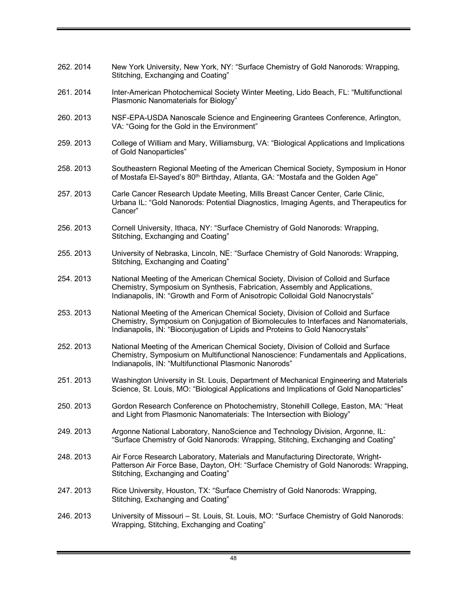262. 2014 New York University, New York, NY: "Surface Chemistry of Gold Nanorods: Wrapping, Stitching, Exchanging and Coating" 261. 2014 Inter-American Photochemical Society Winter Meeting, Lido Beach, FL: "Multifunctional Plasmonic Nanomaterials for Biology" 260. 2013 NSF-EPA-USDA Nanoscale Science and Engineering Grantees Conference, Arlington, VA: "Going for the Gold in the Environment" 259. 2013 College of William and Mary, Williamsburg, VA: "Biological Applications and Implications of Gold Nanoparticles" 258. 2013 Southeastern Regional Meeting of the American Chemical Society, Symposium in Honor of Mostafa El-Sayed's 80<sup>th</sup> Birthday, Atlanta, GA: "Mostafa and the Golden Age" 257. 2013 Carle Cancer Research Update Meeting, Mills Breast Cancer Center, Carle Clinic, Urbana IL: "Gold Nanorods: Potential Diagnostics, Imaging Agents, and Therapeutics for Cancer" 256. 2013 Cornell University, Ithaca, NY: "Surface Chemistry of Gold Nanorods: Wrapping, Stitching, Exchanging and Coating" 255. 2013 University of Nebraska, Lincoln, NE: "Surface Chemistry of Gold Nanorods: Wrapping, Stitching, Exchanging and Coating" 254. 2013 National Meeting of the American Chemical Society, Division of Colloid and Surface Chemistry, Symposium on Synthesis, Fabrication, Assembly and Applications, Indianapolis, IN: "Growth and Form of Anisotropic Colloidal Gold Nanocrystals" 253. 2013 National Meeting of the American Chemical Society, Division of Colloid and Surface Chemistry, Symposium on Conjugation of Biomolecules to Interfaces and Nanomaterials, Indianapolis, IN: "Bioconjugation of Lipids and Proteins to Gold Nanocrystals" 252. 2013 National Meeting of the American Chemical Society, Division of Colloid and Surface Chemistry, Symposium on Multifunctional Nanoscience: Fundamentals and Applications, Indianapolis, IN: "Multifunctional Plasmonic Nanorods" 251. 2013 Washington University in St. Louis, Department of Mechanical Engineering and Materials Science, St. Louis, MO: "Biological Applications and Implications of Gold Nanoparticles" 250. 2013 Gordon Research Conference on Photochemistry, Stonehill College, Easton, MA: "Heat and Light from Plasmonic Nanomaterials: The Intersection with Biology" 249. 2013 Argonne National Laboratory, NanoScience and Technology Division, Argonne, IL: "Surface Chemistry of Gold Nanorods: Wrapping, Stitching, Exchanging and Coating" 248. 2013 Air Force Research Laboratory, Materials and Manufacturing Directorate, Wright-Patterson Air Force Base, Dayton, OH: "Surface Chemistry of Gold Nanorods: Wrapping, Stitching, Exchanging and Coating" 247. 2013 Rice University, Houston, TX: "Surface Chemistry of Gold Nanorods: Wrapping, Stitching, Exchanging and Coating" 246. 2013 University of Missouri – St. Louis, St. Louis, MO: "Surface Chemistry of Gold Nanorods: Wrapping, Stitching, Exchanging and Coating"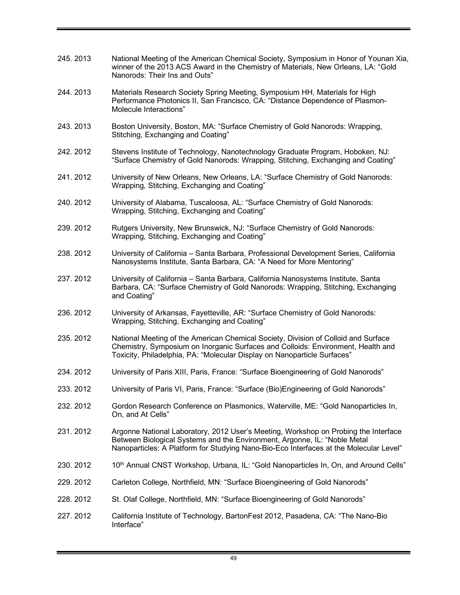| 245.2013  | National Meeting of the American Chemical Society, Symposium in Honor of Younan Xia,<br>winner of the 2013 ACS Award in the Chemistry of Materials, New Orleans, LA: "Gold<br>Nanorods: Their Ins and Outs"                                                |
|-----------|------------------------------------------------------------------------------------------------------------------------------------------------------------------------------------------------------------------------------------------------------------|
| 244.2013  | Materials Research Society Spring Meeting, Symposium HH, Materials for High<br>Performance Photonics II, San Francisco, CA: "Distance Dependence of Plasmon-<br>Molecule Interactions"                                                                     |
| 243.2013  | Boston University, Boston, MA: "Surface Chemistry of Gold Nanorods: Wrapping,<br>Stitching, Exchanging and Coating"                                                                                                                                        |
| 242. 2012 | Stevens Institute of Technology, Nanotechnology Graduate Program, Hoboken, NJ:<br>"Surface Chemistry of Gold Nanorods: Wrapping, Stitching, Exchanging and Coating"                                                                                        |
| 241.2012  | University of New Orleans, New Orleans, LA: "Surface Chemistry of Gold Nanorods:<br>Wrapping, Stitching, Exchanging and Coating"                                                                                                                           |
| 240.2012  | University of Alabama, Tuscaloosa, AL: "Surface Chemistry of Gold Nanorods:<br>Wrapping, Stitching, Exchanging and Coating"                                                                                                                                |
| 239.2012  | Rutgers University, New Brunswick, NJ: "Surface Chemistry of Gold Nanorods:<br>Wrapping, Stitching, Exchanging and Coating"                                                                                                                                |
| 238.2012  | University of California - Santa Barbara, Professional Development Series, California<br>Nanosystems Institute, Santa Barbara, CA: "A Need for More Mentoring"                                                                                             |
| 237.2012  | University of California - Santa Barbara, California Nanosystems Institute, Santa<br>Barbara, CA: "Surface Chemistry of Gold Nanorods: Wrapping, Stitching, Exchanging<br>and Coating"                                                                     |
| 236.2012  | University of Arkansas, Fayetteville, AR: "Surface Chemistry of Gold Nanorods:<br>Wrapping, Stitching, Exchanging and Coating"                                                                                                                             |
| 235.2012  | National Meeting of the American Chemical Society, Division of Colloid and Surface<br>Chemistry, Symposium on Inorganic Surfaces and Colloids: Environment, Health and<br>Toxicity, Philadelphia, PA: "Molecular Display on Nanoparticle Surfaces"         |
| 234.2012  | University of Paris XIII, Paris, France: "Surface Bioengineering of Gold Nanorods"                                                                                                                                                                         |
| 233.2012  | University of Paris VI, Paris, France: "Surface (Bio)Engineering of Gold Nanorods"                                                                                                                                                                         |
| 232.2012  | Gordon Research Conference on Plasmonics, Waterville, ME: "Gold Nanoparticles In,<br>On, and At Cells"                                                                                                                                                     |
| 231.2012  | Argonne National Laboratory, 2012 User's Meeting, Workshop on Probing the Interface<br>Between Biological Systems and the Environment, Argonne, IL: "Noble Metal<br>Nanoparticles: A Platform for Studying Nano-Bio-Eco Interfaces at the Molecular Level" |
| 230.2012  | 10th Annual CNST Workshop, Urbana, IL: "Gold Nanoparticles In, On, and Around Cells"                                                                                                                                                                       |
| 229.2012  | Carleton College, Northfield, MN: "Surface Bioengineering of Gold Nanorods"                                                                                                                                                                                |
| 228.2012  | St. Olaf College, Northfield, MN: "Surface Bioengineering of Gold Nanorods"                                                                                                                                                                                |
| 227.2012  | California Institute of Technology, BartonFest 2012, Pasadena, CA: "The Nano-Bio<br>Interface"                                                                                                                                                             |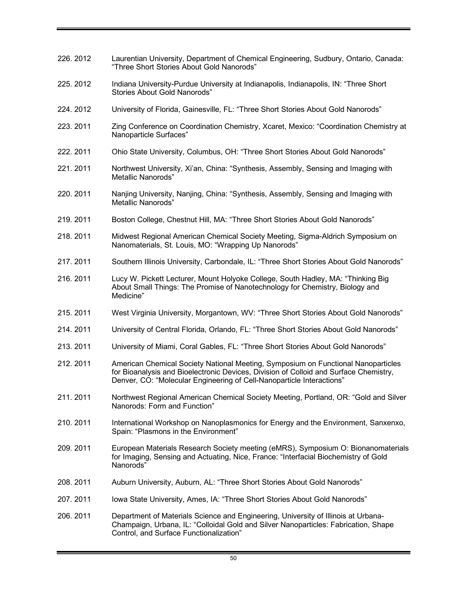| 226.2012  | Laurentian University, Department of Chemical Engineering, Sudbury, Ontario, Canada:<br>"Three Short Stories About Gold Nanorods"                                                                                                                   |
|-----------|-----------------------------------------------------------------------------------------------------------------------------------------------------------------------------------------------------------------------------------------------------|
| 225.2012  | Indiana University-Purdue University at Indianapolis, Indianapolis, IN: "Three Short<br>Stories About Gold Nanorods"                                                                                                                                |
| 224.2012  | University of Florida, Gainesville, FL: "Three Short Stories About Gold Nanorods"                                                                                                                                                                   |
| 223.2011  | Zing Conference on Coordination Chemistry, Xcaret, Mexico: "Coordination Chemistry at<br>Nanoparticle Surfaces"                                                                                                                                     |
| 222. 2011 | Ohio State University, Columbus, OH: "Three Short Stories About Gold Nanorods"                                                                                                                                                                      |
| 221.2011  | Northwest University, Xi'an, China: "Synthesis, Assembly, Sensing and Imaging with<br><b>Metallic Nanorods"</b>                                                                                                                                     |
| 220.2011  | Nanjing University, Nanjing, China: "Synthesis, Assembly, Sensing and Imaging with<br>Metallic Nanorods"                                                                                                                                            |
| 219.2011  | Boston College, Chestnut Hill, MA: "Three Short Stories About Gold Nanorods"                                                                                                                                                                        |
| 218.2011  | Midwest Regional American Chemical Society Meeting, Sigma-Aldrich Symposium on<br>Nanomaterials, St. Louis, MO: "Wrapping Up Nanorods"                                                                                                              |
| 217.2011  | Southern Illinois University, Carbondale, IL: "Three Short Stories About Gold Nanorods"                                                                                                                                                             |
| 216.2011  | Lucy W. Pickett Lecturer, Mount Holyoke College, South Hadley, MA: "Thinking Big<br>About Small Things: The Promise of Nanotechnology for Chemistry, Biology and<br>Medicine"                                                                       |
| 215.2011  | West Virginia University, Morgantown, WV: "Three Short Stories About Gold Nanorods"                                                                                                                                                                 |
| 214.2011  | University of Central Florida, Orlando, FL: "Three Short Stories About Gold Nanorods"                                                                                                                                                               |
| 213.2011  | University of Miami, Coral Gables, FL: "Three Short Stories About Gold Nanorods"                                                                                                                                                                    |
| 212.2011  | American Chemical Society National Meeting, Symposium on Functional Nanoparticles<br>for Bioanalysis and Bioelectronic Devices, Division of Colloid and Surface Chemistry,<br>Denver, CO: "Molecular Engineering of Cell-Nanoparticle Interactions" |
| 211.2011  | Northwest Regional American Chemical Society Meeting, Portland, OR: "Gold and Silver<br>Nanorods: Form and Function"                                                                                                                                |
| 210.2011  | International Workshop on Nanoplasmonics for Energy and the Environment, Sanxenxo,<br>Spain: "Plasmons in the Environment"                                                                                                                          |
| 209.2011  | European Materials Research Society meeting (eMRS), Symposium O: Bionanomaterials<br>for Imaging, Sensing and Actuating, Nice, France: "Interfacial Biochemistry of Gold<br>Nanorods"                                                               |
| 208.2011  | Auburn University, Auburn, AL: "Three Short Stories About Gold Nanorods"                                                                                                                                                                            |
| 207.2011  | lowa State University, Ames, IA: "Three Short Stories About Gold Nanorods"                                                                                                                                                                          |
| 206. 2011 | Department of Materials Science and Engineering, University of Illinois at Urbana-<br>Champaign, Urbana, IL: "Colloidal Gold and Silver Nanoparticles: Fabrication, Shape<br>Control, and Surface Functionalization"                                |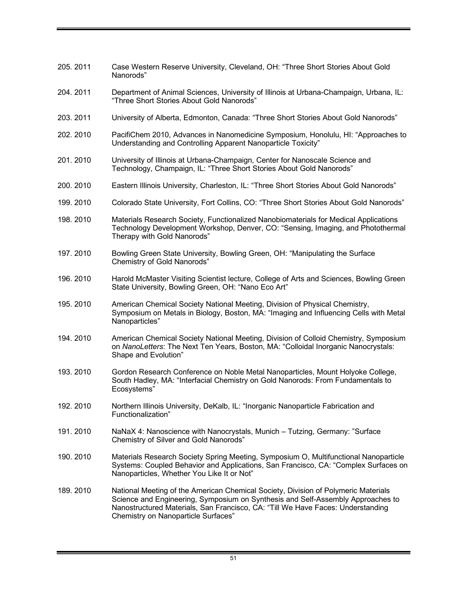- 205. 2011 Case Western Reserve University, Cleveland, OH: "Three Short Stories About Gold Nanorods"
- 204. 2011 Department of Animal Sciences, University of Illinois at Urbana-Champaign, Urbana, IL: "Three Short Stories About Gold Nanorods"
- 203. 2011 University of Alberta, Edmonton, Canada: "Three Short Stories About Gold Nanorods"
- 202. 2010 PacifiChem 2010, Advances in Nanomedicine Symposium, Honolulu, HI: "Approaches to Understanding and Controlling Apparent Nanoparticle Toxicity"
- 201. 2010 University of Illinois at Urbana-Champaign, Center for Nanoscale Science and Technology, Champaign, IL: "Three Short Stories About Gold Nanorods"
- 200. 2010 Eastern Illinois University, Charleston, IL: "Three Short Stories About Gold Nanorods"
- 199. 2010 Colorado State University, Fort Collins, CO: "Three Short Stories About Gold Nanorods"
- 198. 2010 Materials Research Society, Functionalized Nanobiomaterials for Medical Applications Technology Development Workshop, Denver, CO: "Sensing, Imaging, and Photothermal Therapy with Gold Nanorods"
- 197. 2010 Bowling Green State University, Bowling Green, OH: "Manipulating the Surface Chemistry of Gold Nanorods"
- 196. 2010 Harold McMaster Visiting Scientist lecture, College of Arts and Sciences, Bowling Green State University, Bowling Green, OH: "Nano Eco Art"
- 195. 2010 American Chemical Society National Meeting, Division of Physical Chemistry, Symposium on Metals in Biology, Boston, MA: "Imaging and Influencing Cells with Metal Nanoparticles"
- 194. 2010 American Chemical Society National Meeting, Division of Colloid Chemistry, Symposium on *NanoLetters*: The Next Ten Years, Boston, MA: "Colloidal Inorganic Nanocrystals: Shape and Evolution"
- 193. 2010 Gordon Research Conference on Noble Metal Nanoparticles, Mount Holyoke College, South Hadley, MA: "Interfacial Chemistry on Gold Nanorods: From Fundamentals to Ecosystems"
- 192. 2010 Northern Illinois University, DeKalb, IL: "Inorganic Nanoparticle Fabrication and Functionalization"
- 191. 2010 NaNaX 4: Nanoscience with Nanocrystals, Munich Tutzing, Germany: "Surface Chemistry of Silver and Gold Nanorods"
- 190. 2010 Materials Research Society Spring Meeting, Symposium O, Multifunctional Nanoparticle Systems: Coupled Behavior and Applications, San Francisco, CA: "Complex Surfaces on Nanoparticles, Whether You Like It or Not"
- 189. 2010 National Meeting of the American Chemical Society, Division of Polymeric Materials Science and Engineering, Symposium on Synthesis and Self-Assembly Approaches to Nanostructured Materials, San Francisco, CA: "Till We Have Faces: Understanding Chemistry on Nanoparticle Surfaces"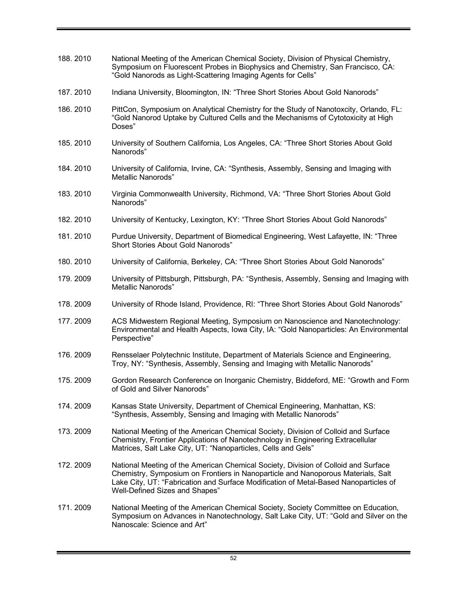| 188.2010  | National Meeting of the American Chemical Society, Division of Physical Chemistry,<br>Symposium on Fluorescent Probes in Biophysics and Chemistry, San Francisco, CA:<br>"Gold Nanorods as Light-Scattering Imaging Agents for Cells"                                                            |
|-----------|--------------------------------------------------------------------------------------------------------------------------------------------------------------------------------------------------------------------------------------------------------------------------------------------------|
| 187.2010  | Indiana University, Bloomington, IN: "Three Short Stories About Gold Nanorods"                                                                                                                                                                                                                   |
| 186.2010  | PittCon, Symposium on Analytical Chemistry for the Study of Nanotoxcity, Orlando, FL:<br>"Gold Nanorod Uptake by Cultured Cells and the Mechanisms of Cytotoxicity at High<br>Doses"                                                                                                             |
| 185.2010  | University of Southern California, Los Angeles, CA: "Three Short Stories About Gold<br>Nanorods"                                                                                                                                                                                                 |
| 184.2010  | University of California, Irvine, CA: "Synthesis, Assembly, Sensing and Imaging with<br>Metallic Nanorods"                                                                                                                                                                                       |
| 183.2010  | Virginia Commonwealth University, Richmond, VA: "Three Short Stories About Gold<br>Nanorods"                                                                                                                                                                                                     |
| 182. 2010 | University of Kentucky, Lexington, KY: "Three Short Stories About Gold Nanorods"                                                                                                                                                                                                                 |
| 181.2010  | Purdue University, Department of Biomedical Engineering, West Lafayette, IN: "Three<br>Short Stories About Gold Nanorods"                                                                                                                                                                        |
| 180.2010  | University of California, Berkeley, CA: "Three Short Stories About Gold Nanorods"                                                                                                                                                                                                                |
| 179.2009  | University of Pittsburgh, Pittsburgh, PA: "Synthesis, Assembly, Sensing and Imaging with<br>Metallic Nanorods"                                                                                                                                                                                   |
| 178.2009  | University of Rhode Island, Providence, RI: "Three Short Stories About Gold Nanorods"                                                                                                                                                                                                            |
| 177.2009  | ACS Midwestern Regional Meeting, Symposium on Nanoscience and Nanotechnology:<br>Environmental and Health Aspects, Iowa City, IA: "Gold Nanoparticles: An Environmental<br>Perspective"                                                                                                          |
| 176.2009  | Rensselaer Polytechnic Institute, Department of Materials Science and Engineering,<br>Troy, NY: "Synthesis, Assembly, Sensing and Imaging with Metallic Nanorods"                                                                                                                                |
| 175.2009  | Gordon Research Conference on Inorganic Chemistry, Biddeford, ME: "Growth and Form<br>of Gold and Silver Nanorods"                                                                                                                                                                               |
| 174.2009  | Kansas State University, Department of Chemical Engineering, Manhattan, KS:<br>"Synthesis, Assembly, Sensing and Imaging with Metallic Nanorods"                                                                                                                                                 |
| 173.2009  | National Meeting of the American Chemical Society, Division of Colloid and Surface<br>Chemistry, Frontier Applications of Nanotechnology in Engineering Extracellular<br>Matrices, Salt Lake City, UT: "Nanoparticles, Cells and Gels"                                                           |
| 172.2009  | National Meeting of the American Chemical Society, Division of Colloid and Surface<br>Chemistry, Symposium on Frontiers in Nanoparticle and Nanoporous Materials, Salt<br>Lake City, UT: "Fabrication and Surface Modification of Metal-Based Nanoparticles of<br>Well-Defined Sizes and Shapes" |
| 171.2009  | National Meeting of the American Chemical Society, Society Committee on Education,<br>Symposium on Advances in Nanotechnology, Salt Lake City, UT: "Gold and Silver on the<br>Nanoscale: Science and Art"                                                                                        |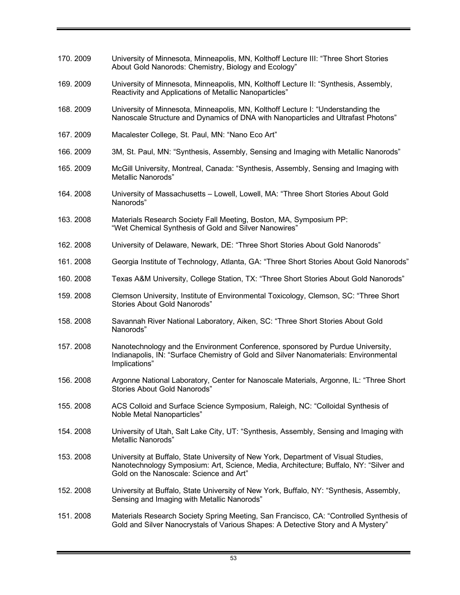| 170.2009 | University of Minnesota, Minneapolis, MN, Kolthoff Lecture III: "Three Short Stories<br>About Gold Nanorods: Chemistry, Biology and Ecology"                                                                           |
|----------|------------------------------------------------------------------------------------------------------------------------------------------------------------------------------------------------------------------------|
| 169.2009 | University of Minnesota, Minneapolis, MN, Kolthoff Lecture II: "Synthesis, Assembly,<br>Reactivity and Applications of Metallic Nanoparticles"                                                                         |
| 168.2009 | University of Minnesota, Minneapolis, MN, Kolthoff Lecture I: "Understanding the<br>Nanoscale Structure and Dynamics of DNA with Nanoparticles and Ultrafast Photons"                                                  |
| 167.2009 | Macalester College, St. Paul, MN: "Nano Eco Art"                                                                                                                                                                       |
| 166.2009 | 3M, St. Paul, MN: "Synthesis, Assembly, Sensing and Imaging with Metallic Nanorods"                                                                                                                                    |
| 165.2009 | McGill University, Montreal, Canada: "Synthesis, Assembly, Sensing and Imaging with<br>Metallic Nanorods"                                                                                                              |
| 164.2008 | University of Massachusetts - Lowell, Lowell, MA: "Three Short Stories About Gold<br>Nanorods"                                                                                                                         |
| 163.2008 | Materials Research Society Fall Meeting, Boston, MA, Symposium PP:<br>"Wet Chemical Synthesis of Gold and Silver Nanowires"                                                                                            |
| 162.2008 | University of Delaware, Newark, DE: "Three Short Stories About Gold Nanorods"                                                                                                                                          |
| 161.2008 | Georgia Institute of Technology, Atlanta, GA: "Three Short Stories About Gold Nanorods"                                                                                                                                |
| 160.2008 | Texas A&M University, College Station, TX: "Three Short Stories About Gold Nanorods"                                                                                                                                   |
| 159.2008 | Clemson University, Institute of Environmental Toxicology, Clemson, SC: "Three Short<br><b>Stories About Gold Nanorods"</b>                                                                                            |
| 158.2008 | Savannah River National Laboratory, Aiken, SC: "Three Short Stories About Gold<br>Nanorods"                                                                                                                            |
| 157.2008 | Nanotechnology and the Environment Conference, sponsored by Purdue University,<br>Indianapolis, IN: "Surface Chemistry of Gold and Silver Nanomaterials: Environmental<br>Implications"                                |
| 156.2008 | Argonne National Laboratory, Center for Nanoscale Materials, Argonne, IL: "Three Short<br><b>Stories About Gold Nanorods"</b>                                                                                          |
| 155.2008 | ACS Colloid and Surface Science Symposium, Raleigh, NC: "Colloidal Synthesis of<br>Noble Metal Nanoparticles"                                                                                                          |
| 154.2008 | University of Utah, Salt Lake City, UT: "Synthesis, Assembly, Sensing and Imaging with<br>Metallic Nanorods"                                                                                                           |
| 153.2008 | University at Buffalo, State University of New York, Department of Visual Studies,<br>Nanotechnology Symposium: Art, Science, Media, Architecture; Buffalo, NY: "Silver and<br>Gold on the Nanoscale: Science and Art" |
| 152.2008 | University at Buffalo, State University of New York, Buffalo, NY: "Synthesis, Assembly,<br>Sensing and Imaging with Metallic Nanorods"                                                                                 |
| 151.2008 | Materials Research Society Spring Meeting, San Francisco, CA: "Controlled Synthesis of<br>Gold and Silver Nanocrystals of Various Shapes: A Detective Story and A Mystery"                                             |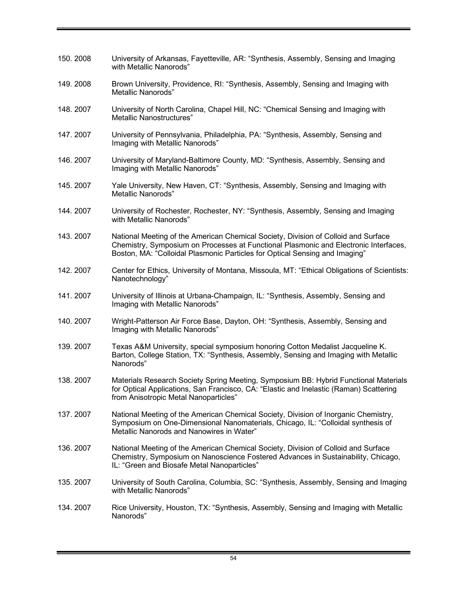| 150.2008 | University of Arkansas, Fayetteville, AR: "Synthesis, Assembly, Sensing and Imaging                                                                                                                                                                       |
|----------|-----------------------------------------------------------------------------------------------------------------------------------------------------------------------------------------------------------------------------------------------------------|
|          | with Metallic Nanorods"                                                                                                                                                                                                                                   |
| 149.2008 | Brown University, Providence, RI: "Synthesis, Assembly, Sensing and Imaging with<br><b>Metallic Nanorods"</b>                                                                                                                                             |
| 148.2007 | University of North Carolina, Chapel Hill, NC: "Chemical Sensing and Imaging with<br>Metallic Nanostructures"                                                                                                                                             |
| 147.2007 | University of Pennsylvania, Philadelphia, PA: "Synthesis, Assembly, Sensing and<br>Imaging with Metallic Nanorods"                                                                                                                                        |
| 146.2007 | University of Maryland-Baltimore County, MD: "Synthesis, Assembly, Sensing and<br>Imaging with Metallic Nanorods"                                                                                                                                         |
| 145.2007 | Yale University, New Haven, CT: "Synthesis, Assembly, Sensing and Imaging with<br>Metallic Nanorods"                                                                                                                                                      |
| 144.2007 | University of Rochester, Rochester, NY: "Synthesis, Assembly, Sensing and Imaging<br>with Metallic Nanorods"                                                                                                                                              |
| 143.2007 | National Meeting of the American Chemical Society, Division of Colloid and Surface<br>Chemistry, Symposium on Processes at Functional Plasmonic and Electronic Interfaces,<br>Boston, MA: "Colloidal Plasmonic Particles for Optical Sensing and Imaging" |
| 142.2007 | Center for Ethics, University of Montana, Missoula, MT: "Ethical Obligations of Scientists:<br>Nanotechnology"                                                                                                                                            |
| 141.2007 | University of Illinois at Urbana-Champaign, IL: "Synthesis, Assembly, Sensing and<br>Imaging with Metallic Nanorods"                                                                                                                                      |
| 140.2007 | Wright-Patterson Air Force Base, Dayton, OH: "Synthesis, Assembly, Sensing and<br>Imaging with Metallic Nanorods"                                                                                                                                         |
| 139.2007 | Texas A&M University, special symposium honoring Cotton Medalist Jacqueline K.<br>Barton, College Station, TX: "Synthesis, Assembly, Sensing and Imaging with Metallic<br>Nanorods"                                                                       |
| 138.2007 | Materials Research Society Spring Meeting, Symposium BB: Hybrid Functional Materials<br>for Optical Applications, San Francisco, CA: "Elastic and Inelastic (Raman) Scattering<br>from Anisotropic Metal Nanoparticles"                                   |
| 137.2007 | National Meeting of the American Chemical Society, Division of Inorganic Chemistry,<br>Symposium on One-Dimensional Nanomaterials, Chicago, IL: "Colloidal synthesis of<br>Metallic Nanorods and Nanowires in Water"                                      |
| 136.2007 | National Meeting of the American Chemical Society, Division of Colloid and Surface<br>Chemistry, Symposium on Nanoscience Fostered Advances in Sustainability, Chicago,<br>IL: "Green and Biosafe Metal Nanoparticles"                                    |
| 135.2007 | University of South Carolina, Columbia, SC: "Synthesis, Assembly, Sensing and Imaging<br>with Metallic Nanorods"                                                                                                                                          |
| 134.2007 | Rice University, Houston, TX: "Synthesis, Assembly, Sensing and Imaging with Metallic<br>Nanorods"                                                                                                                                                        |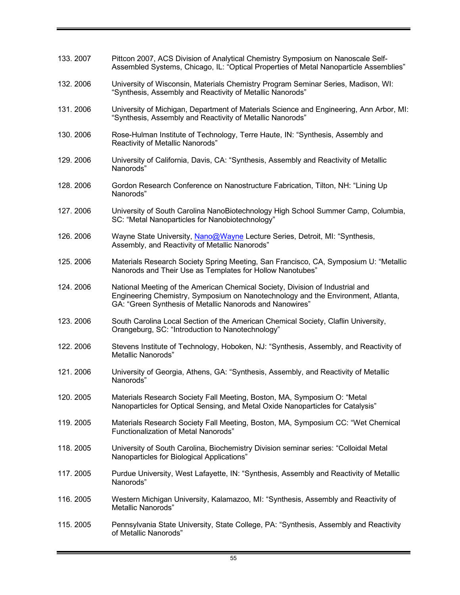| 133.2007 | Pittcon 2007, ACS Division of Analytical Chemistry Symposium on Nanoscale Self-<br>Assembled Systems, Chicago, IL: "Optical Properties of Metal Nanoparticle Assemblies"                                                      |
|----------|-------------------------------------------------------------------------------------------------------------------------------------------------------------------------------------------------------------------------------|
| 132.2006 | University of Wisconsin, Materials Chemistry Program Seminar Series, Madison, WI:<br>"Synthesis, Assembly and Reactivity of Metallic Nanorods"                                                                                |
| 131.2006 | University of Michigan, Department of Materials Science and Engineering, Ann Arbor, MI:<br>"Synthesis, Assembly and Reactivity of Metallic Nanorods"                                                                          |
| 130.2006 | Rose-Hulman Institute of Technology, Terre Haute, IN: "Synthesis, Assembly and<br>Reactivity of Metallic Nanorods"                                                                                                            |
| 129.2006 | University of California, Davis, CA: "Synthesis, Assembly and Reactivity of Metallic<br>Nanorods"                                                                                                                             |
| 128.2006 | Gordon Research Conference on Nanostructure Fabrication, Tilton, NH: "Lining Up<br>Nanorods"                                                                                                                                  |
| 127.2006 | University of South Carolina NanoBiotechnology High School Summer Camp, Columbia,<br>SC: "Metal Nanoparticles for Nanobiotechnology"                                                                                          |
| 126.2006 | Wayne State University, Nano@Wayne Lecture Series, Detroit, MI: "Synthesis,<br>Assembly, and Reactivity of Metallic Nanorods"                                                                                                 |
| 125.2006 | Materials Research Society Spring Meeting, San Francisco, CA, Symposium U: "Metallic<br>Nanorods and Their Use as Templates for Hollow Nanotubes"                                                                             |
| 124.2006 | National Meeting of the American Chemical Society, Division of Industrial and<br>Engineering Chemistry, Symposium on Nanotechnology and the Environment, Atlanta,<br>GA: "Green Synthesis of Metallic Nanorods and Nanowires" |
| 123.2006 | South Carolina Local Section of the American Chemical Society, Claflin University,<br>Orangeburg, SC: "Introduction to Nanotechnology"                                                                                        |
| 122.2006 | Stevens Institute of Technology, Hoboken, NJ: "Synthesis, Assembly, and Reactivity of<br><b>Metallic Nanorods"</b>                                                                                                            |
| 121.2006 | University of Georgia, Athens, GA: "Synthesis, Assembly, and Reactivity of Metallic<br>Nanorods"                                                                                                                              |
| 120.2005 | Materials Research Society Fall Meeting, Boston, MA, Symposium O: "Metal<br>Nanoparticles for Optical Sensing, and Metal Oxide Nanoparticles for Catalysis"                                                                   |
| 119.2005 | Materials Research Society Fall Meeting, Boston, MA, Symposium CC: "Wet Chemical<br><b>Functionalization of Metal Nanorods"</b>                                                                                               |
| 118.2005 | University of South Carolina, Biochemistry Division seminar series: "Colloidal Metal<br>Nanoparticles for Biological Applications"                                                                                            |
| 117.2005 | Purdue University, West Lafayette, IN: "Synthesis, Assembly and Reactivity of Metallic<br>Nanorods"                                                                                                                           |
| 116.2005 | Western Michigan University, Kalamazoo, MI: "Synthesis, Assembly and Reactivity of<br>Metallic Nanorods"                                                                                                                      |
| 115.2005 | Pennsylvania State University, State College, PA: "Synthesis, Assembly and Reactivity<br>of Metallic Nanorods"                                                                                                                |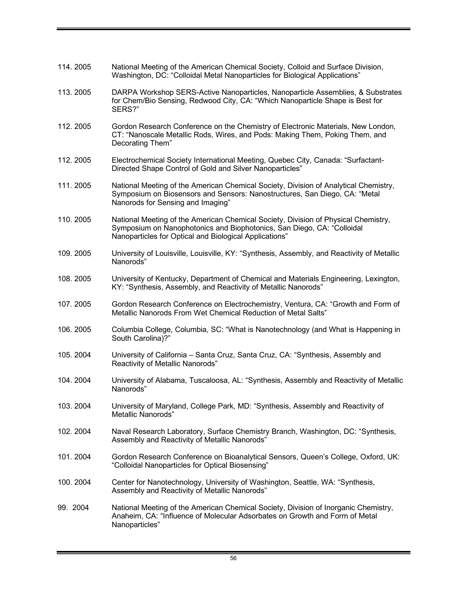| 114.2005 | National Meeting of the American Chemical Society, Colloid and Surface Division,<br>Washington, DC: "Colloidal Metal Nanoparticles for Biological Applications"                                                        |
|----------|------------------------------------------------------------------------------------------------------------------------------------------------------------------------------------------------------------------------|
| 113.2005 | DARPA Workshop SERS-Active Nanoparticles, Nanoparticle Assemblies, & Substrates<br>for Chem/Bio Sensing, Redwood City, CA: "Which Nanoparticle Shape is Best for<br>SERS?"                                             |
| 112.2005 | Gordon Research Conference on the Chemistry of Electronic Materials, New London,<br>CT: "Nanoscale Metallic Rods, Wires, and Pods: Making Them, Poking Them, and<br>Decorating Them"                                   |
| 112.2005 | Electrochemical Society International Meeting, Quebec City, Canada: "Surfactant-<br>Directed Shape Control of Gold and Silver Nanoparticles"                                                                           |
| 111.2005 | National Meeting of the American Chemical Society, Division of Analytical Chemistry,<br>Symposium on Biosensors and Sensors: Nanostructures, San Diego, CA: "Metal<br>Nanorods for Sensing and Imaging"                |
| 110.2005 | National Meeting of the American Chemical Society, Division of Physical Chemistry,<br>Symposium on Nanophotonics and Biophotonics, San Diego, CA: "Colloidal<br>Nanoparticles for Optical and Biological Applications" |
| 109.2005 | University of Louisville, Louisville, KY: "Synthesis, Assembly, and Reactivity of Metallic<br>Nanorods"                                                                                                                |
| 108.2005 | University of Kentucky, Department of Chemical and Materials Engineering, Lexington,<br>KY: "Synthesis, Assembly, and Reactivity of Metallic Nanorods"                                                                 |
| 107.2005 | Gordon Research Conference on Electrochemistry, Ventura, CA: "Growth and Form of<br>Metallic Nanorods From Wet Chemical Reduction of Metal Salts"                                                                      |
| 106.2005 | Columbia College, Columbia, SC: "What is Nanotechnology (and What is Happening in<br>South Carolina)?"                                                                                                                 |
| 105.2004 | University of California - Santa Cruz, Santa Cruz, CA: "Synthesis, Assembly and<br>Reactivity of Metallic Nanorods"                                                                                                    |
| 104.2004 | University of Alabama, Tuscaloosa, AL: "Synthesis, Assembly and Reactivity of Metallic<br>Nanorods"                                                                                                                    |
| 103.2004 | University of Maryland, College Park, MD: "Synthesis, Assembly and Reactivity of<br>Metallic Nanorods"                                                                                                                 |
| 102.2004 | Naval Research Laboratory, Surface Chemistry Branch, Washington, DC: "Synthesis,<br>Assembly and Reactivity of Metallic Nanorods"                                                                                      |
| 101.2004 | Gordon Research Conference on Bioanalytical Sensors, Queen's College, Oxford, UK:<br>"Colloidal Nanoparticles for Optical Biosensing"                                                                                  |
| 100.2004 | Center for Nanotechnology, University of Washington, Seattle, WA: "Synthesis,<br>Assembly and Reactivity of Metallic Nanorods"                                                                                         |
| 99. 2004 | National Meeting of the American Chemical Society, Division of Inorganic Chemistry,<br>Anaheim, CA: "Influence of Molecular Adsorbates on Growth and Form of Metal<br>Nanoparticles"                                   |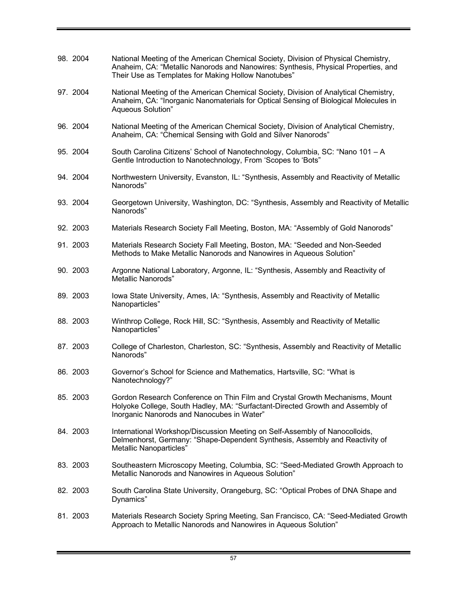| 98. 2004 | National Meeting of the American Chemical Society, Division of Physical Chemistry,<br>Anaheim, CA: "Metallic Nanorods and Nanowires: Synthesis, Physical Properties, and<br>Their Use as Templates for Making Hollow Nanotubes" |
|----------|---------------------------------------------------------------------------------------------------------------------------------------------------------------------------------------------------------------------------------|
| 97. 2004 | National Meeting of the American Chemical Society, Division of Analytical Chemistry,<br>Anaheim, CA: "Inorganic Nanomaterials for Optical Sensing of Biological Molecules in<br>Aqueous Solution"                               |
| 96. 2004 | National Meeting of the American Chemical Society, Division of Analytical Chemistry,<br>Anaheim, CA: "Chemical Sensing with Gold and Silver Nanorods"                                                                           |
| 95. 2004 | South Carolina Citizens' School of Nanotechnology, Columbia, SC: "Nano 101 - A<br>Gentle Introduction to Nanotechnology, From 'Scopes to 'Bots"                                                                                 |
| 94. 2004 | Northwestern University, Evanston, IL: "Synthesis, Assembly and Reactivity of Metallic<br>Nanorods"                                                                                                                             |
| 93. 2004 | Georgetown University, Washington, DC: "Synthesis, Assembly and Reactivity of Metallic<br>Nanorods"                                                                                                                             |
| 92. 2003 | Materials Research Society Fall Meeting, Boston, MA: "Assembly of Gold Nanorods"                                                                                                                                                |
| 91. 2003 | Materials Research Society Fall Meeting, Boston, MA: "Seeded and Non-Seeded<br>Methods to Make Metallic Nanorods and Nanowires in Aqueous Solution"                                                                             |
| 90. 2003 | Argonne National Laboratory, Argonne, IL: "Synthesis, Assembly and Reactivity of<br>Metallic Nanorods"                                                                                                                          |
| 89. 2003 | Iowa State University, Ames, IA: "Synthesis, Assembly and Reactivity of Metallic<br>Nanoparticles"                                                                                                                              |
| 88. 2003 | Winthrop College, Rock Hill, SC: "Synthesis, Assembly and Reactivity of Metallic<br>Nanoparticles"                                                                                                                              |
| 87. 2003 | College of Charleston, Charleston, SC: "Synthesis, Assembly and Reactivity of Metallic<br>Nanorods"                                                                                                                             |
| 86. 2003 | Governor's School for Science and Mathematics, Hartsville, SC: "What is<br>Nanotechnology?"                                                                                                                                     |
| 85. 2003 | Gordon Research Conference on Thin Film and Crystal Growth Mechanisms, Mount<br>Holyoke College, South Hadley, MA: "Surfactant-Directed Growth and Assembly of<br>Inorganic Nanorods and Nanocubes in Water"                    |
| 84. 2003 | International Workshop/Discussion Meeting on Self-Assembly of Nanocolloids,<br>Delmenhorst, Germany: "Shape-Dependent Synthesis, Assembly and Reactivity of<br>Metallic Nanoparticles"                                          |
| 83. 2003 | Southeastern Microscopy Meeting, Columbia, SC: "Seed-Mediated Growth Approach to<br>Metallic Nanorods and Nanowires in Aqueous Solution"                                                                                        |
| 82. 2003 | South Carolina State University, Orangeburg, SC: "Optical Probes of DNA Shape and<br>Dynamics"                                                                                                                                  |
| 81. 2003 | Materials Research Society Spring Meeting, San Francisco, CA: "Seed-Mediated Growth<br>Approach to Metallic Nanorods and Nanowires in Aqueous Solution"                                                                         |

Ξ.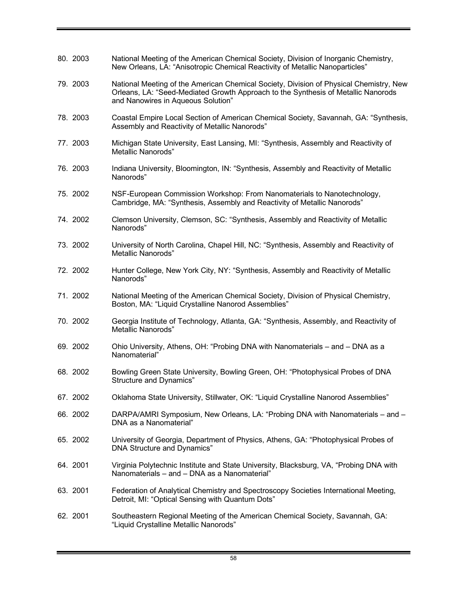| 80. 2003 | National Meeting of the American Chemical Society, Division of Inorganic Chemistry,<br>New Orleans, LA: "Anisotropic Chemical Reactivity of Metallic Nanoparticles"                                               |
|----------|-------------------------------------------------------------------------------------------------------------------------------------------------------------------------------------------------------------------|
| 79. 2003 | National Meeting of the American Chemical Society, Division of Physical Chemistry, New<br>Orleans, LA: "Seed-Mediated Growth Approach to the Synthesis of Metallic Nanorods<br>and Nanowires in Aqueous Solution" |
| 78. 2003 | Coastal Empire Local Section of American Chemical Society, Savannah, GA: "Synthesis,<br>Assembly and Reactivity of Metallic Nanorods"                                                                             |
| 77. 2003 | Michigan State University, East Lansing, MI: "Synthesis, Assembly and Reactivity of<br>Metallic Nanorods"                                                                                                         |
| 76. 2003 | Indiana University, Bloomington, IN: "Synthesis, Assembly and Reactivity of Metallic<br>Nanorods"                                                                                                                 |
| 75. 2002 | NSF-European Commission Workshop: From Nanomaterials to Nanotechnology,<br>Cambridge, MA: "Synthesis, Assembly and Reactivity of Metallic Nanorods"                                                               |
| 74. 2002 | Clemson University, Clemson, SC: "Synthesis, Assembly and Reactivity of Metallic<br>Nanorods"                                                                                                                     |
| 73. 2002 | University of North Carolina, Chapel Hill, NC: "Synthesis, Assembly and Reactivity of<br><b>Metallic Nanorods"</b>                                                                                                |
| 72. 2002 | Hunter College, New York City, NY: "Synthesis, Assembly and Reactivity of Metallic<br>Nanorods"                                                                                                                   |
| 71. 2002 | National Meeting of the American Chemical Society, Division of Physical Chemistry,<br>Boston, MA: "Liquid Crystalline Nanorod Assemblies"                                                                         |
| 70. 2002 | Georgia Institute of Technology, Atlanta, GA: "Synthesis, Assembly, and Reactivity of<br><b>Metallic Nanorods"</b>                                                                                                |
| 69. 2002 | Ohio University, Athens, OH: "Probing DNA with Nanomaterials – and – DNA as a<br>Nanomaterial"                                                                                                                    |
| 68. 2002 | Bowling Green State University, Bowling Green, OH: "Photophysical Probes of DNA<br>Structure and Dynamics"                                                                                                        |
| 67.2002  | Oklahoma State University, Stillwater, OK: "Liquid Crystalline Nanorod Assemblies"                                                                                                                                |
| 66. 2002 | DARPA/AMRI Symposium, New Orleans, LA: "Probing DNA with Nanomaterials – and –<br>DNA as a Nanomaterial"                                                                                                          |
| 65. 2002 | University of Georgia, Department of Physics, Athens, GA: "Photophysical Probes of<br>DNA Structure and Dynamics"                                                                                                 |
| 64. 2001 | Virginia Polytechnic Institute and State University, Blacksburg, VA, "Probing DNA with<br>Nanomaterials – and – DNA as a Nanomaterial"                                                                            |
| 63. 2001 | Federation of Analytical Chemistry and Spectroscopy Societies International Meeting,<br>Detroit, MI: "Optical Sensing with Quantum Dots"                                                                          |
| 62. 2001 | Southeastern Regional Meeting of the American Chemical Society, Savannah, GA:<br>"Liquid Crystalline Metallic Nanorods"                                                                                           |

÷

 $\blacksquare$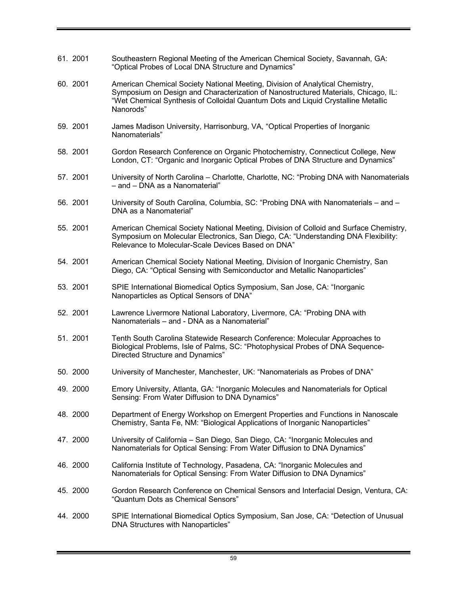| 61. 2001 | Southeastern Regional Meeting of the American Chemical Society, Savannah, GA:<br>"Optical Probes of Local DNA Structure and Dynamics"                                                                                                                                 |
|----------|-----------------------------------------------------------------------------------------------------------------------------------------------------------------------------------------------------------------------------------------------------------------------|
| 60. 2001 | American Chemical Society National Meeting, Division of Analytical Chemistry,<br>Symposium on Design and Characterization of Nanostructured Materials, Chicago, IL:<br>"Wet Chemical Synthesis of Colloidal Quantum Dots and Liquid Crystalline Metallic<br>Nanorods" |
| 59. 2001 | James Madison University, Harrisonburg, VA, "Optical Properties of Inorganic<br>Nanomaterials"                                                                                                                                                                        |
| 58. 2001 | Gordon Research Conference on Organic Photochemistry, Connecticut College, New<br>London, CT: "Organic and Inorganic Optical Probes of DNA Structure and Dynamics"                                                                                                    |
| 57. 2001 | University of North Carolina - Charlotte, Charlotte, NC: "Probing DNA with Nanomaterials<br>- and - DNA as a Nanomaterial"                                                                                                                                            |
| 56. 2001 | University of South Carolina, Columbia, SC: "Probing DNA with Nanomaterials - and -<br>DNA as a Nanomaterial"                                                                                                                                                         |
| 55. 2001 | American Chemical Society National Meeting, Division of Colloid and Surface Chemistry,<br>Symposium on Molecular Electronics, San Diego, CA: "Understanding DNA Flexibility:<br>Relevance to Molecular-Scale Devices Based on DNA"                                    |
| 54. 2001 | American Chemical Society National Meeting, Division of Inorganic Chemistry, San<br>Diego, CA: "Optical Sensing with Semiconductor and Metallic Nanoparticles"                                                                                                        |
| 53. 2001 | SPIE International Biomedical Optics Symposium, San Jose, CA: "Inorganic<br>Nanoparticles as Optical Sensors of DNA"                                                                                                                                                  |
| 52. 2001 | Lawrence Livermore National Laboratory, Livermore, CA: "Probing DNA with<br>Nanomaterials - and - DNA as a Nanomaterial"                                                                                                                                              |
| 51. 2001 | Tenth South Carolina Statewide Research Conference: Molecular Approaches to<br>Biological Problems, Isle of Palms, SC: "Photophysical Probes of DNA Sequence-<br>Directed Structure and Dynamics"                                                                     |
| 50. 2000 | University of Manchester, Manchester, UK: "Nanomaterials as Probes of DNA"                                                                                                                                                                                            |
| 49. 2000 | Emory University, Atlanta, GA: "Inorganic Molecules and Nanomaterials for Optical<br>Sensing: From Water Diffusion to DNA Dynamics"                                                                                                                                   |
| 48. 2000 | Department of Energy Workshop on Emergent Properties and Functions in Nanoscale<br>Chemistry, Santa Fe, NM: "Biological Applications of Inorganic Nanoparticles"                                                                                                      |
| 47. 2000 | University of California - San Diego, San Diego, CA: "Inorganic Molecules and<br>Nanomaterials for Optical Sensing: From Water Diffusion to DNA Dynamics"                                                                                                             |
| 46. 2000 | California Institute of Technology, Pasadena, CA: "Inorganic Molecules and<br>Nanomaterials for Optical Sensing: From Water Diffusion to DNA Dynamics"                                                                                                                |
| 45. 2000 | Gordon Research Conference on Chemical Sensors and Interfacial Design, Ventura, CA:<br>"Quantum Dots as Chemical Sensors"                                                                                                                                             |
| 44. 2000 | SPIE International Biomedical Optics Symposium, San Jose, CA: "Detection of Unusual<br>DNA Structures with Nanoparticles"                                                                                                                                             |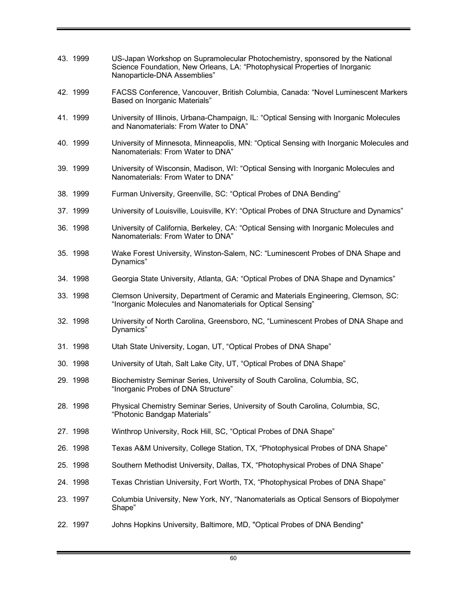| 43. 1999 | US-Japan Workshop on Supramolecular Photochemistry, sponsored by the National<br>Science Foundation, New Orleans, LA: "Photophysical Properties of Inorganic<br>Nanoparticle-DNA Assemblies" |
|----------|----------------------------------------------------------------------------------------------------------------------------------------------------------------------------------------------|
| 42. 1999 | FACSS Conference, Vancouver, British Columbia, Canada: "Novel Luminescent Markers<br>Based on Inorganic Materials"                                                                           |
| 41. 1999 | University of Illinois, Urbana-Champaign, IL: "Optical Sensing with Inorganic Molecules<br>and Nanomaterials: From Water to DNA"                                                             |
| 40. 1999 | University of Minnesota, Minneapolis, MN: "Optical Sensing with Inorganic Molecules and<br>Nanomaterials: From Water to DNA"                                                                 |
| 39. 1999 | University of Wisconsin, Madison, WI: "Optical Sensing with Inorganic Molecules and<br>Nanomaterials: From Water to DNA"                                                                     |
| 38. 1999 | Furman University, Greenville, SC: "Optical Probes of DNA Bending"                                                                                                                           |
| 37. 1999 | University of Louisville, Louisville, KY: "Optical Probes of DNA Structure and Dynamics"                                                                                                     |
| 36. 1998 | University of California, Berkeley, CA: "Optical Sensing with Inorganic Molecules and<br>Nanomaterials: From Water to DNA"                                                                   |
| 35. 1998 | Wake Forest University, Winston-Salem, NC: "Luminescent Probes of DNA Shape and<br>Dynamics"                                                                                                 |
| 34. 1998 | Georgia State University, Atlanta, GA: "Optical Probes of DNA Shape and Dynamics"                                                                                                            |
| 33. 1998 | Clemson University, Department of Ceramic and Materials Engineering, Clemson, SC:<br>"Inorganic Molecules and Nanomaterials for Optical Sensing"                                             |
| 32. 1998 | University of North Carolina, Greensboro, NC, "Luminescent Probes of DNA Shape and<br>Dynamics"                                                                                              |
| 31. 1998 | Utah State University, Logan, UT, "Optical Probes of DNA Shape"                                                                                                                              |
| 30. 1998 | University of Utah, Salt Lake City, UT, "Optical Probes of DNA Shape"                                                                                                                        |
| 29. 1998 | Biochemistry Seminar Series, University of South Carolina, Columbia, SC,<br>"Inorganic Probes of DNA Structure"                                                                              |
| 28. 1998 | Physical Chemistry Seminar Series, University of South Carolina, Columbia, SC,<br>"Photonic Bandgap Materials"                                                                               |
| 27. 1998 | Winthrop University, Rock Hill, SC, "Optical Probes of DNA Shape"                                                                                                                            |
| 26. 1998 | Texas A&M University, College Station, TX, "Photophysical Probes of DNA Shape"                                                                                                               |
| 25. 1998 | Southern Methodist University, Dallas, TX, "Photophysical Probes of DNA Shape"                                                                                                               |
| 24. 1998 | Texas Christian University, Fort Worth, TX, "Photophysical Probes of DNA Shape"                                                                                                              |
| 23. 1997 | Columbia University, New York, NY, "Nanomaterials as Optical Sensors of Biopolymer<br>Shape"                                                                                                 |
| 22. 1997 | Johns Hopkins University, Baltimore, MD, "Optical Probes of DNA Bending"                                                                                                                     |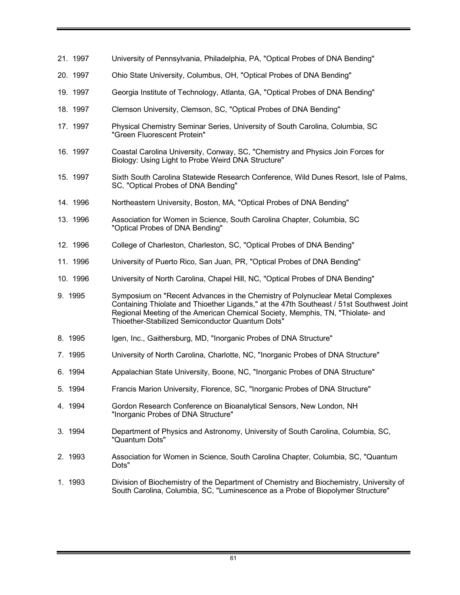- 21. 1997 University of Pennsylvania, Philadelphia, PA, "Optical Probes of DNA Bending"
- 20. 1997 Ohio State University, Columbus, OH, "Optical Probes of DNA Bending"
- 19. 1997 Georgia Institute of Technology, Atlanta, GA, "Optical Probes of DNA Bending"
- 18. 1997 Clemson University, Clemson, SC, "Optical Probes of DNA Bending"
- 17. 1997 Physical Chemistry Seminar Series, University of South Carolina, Columbia, SC "Green Fluorescent Protein"
- 16. 1997 Coastal Carolina University, Conway, SC, "Chemistry and Physics Join Forces for Biology: Using Light to Probe Weird DNA Structure"
- 15. 1997 Sixth South Carolina Statewide Research Conference, Wild Dunes Resort, Isle of Palms, SC, "Optical Probes of DNA Bending"
- 14. 1996 Northeastern University, Boston, MA, "Optical Probes of DNA Bending"
- 13. 1996 Association for Women in Science, South Carolina Chapter, Columbia, SC "Optical Probes of DNA Bending"
- 12. 1996 College of Charleston, Charleston, SC, "Optical Probes of DNA Bending"
- 11. 1996 University of Puerto Rico, San Juan, PR, "Optical Probes of DNA Bending"
- 10. 1996 University of North Carolina, Chapel Hill, NC, "Optical Probes of DNA Bending"
- 9. 1995 Symposium on "Recent Advances in the Chemistry of Polynuclear Metal Complexes Containing Thiolate and Thioether Ligands," at the 47th Southeast / 51st Southwest Joint Regional Meeting of the American Chemical Society, Memphis, TN, "Thiolate- and Thioether-Stabilized Semiconductor Quantum Dots"
- 8. 1995 Igen, Inc., Gaithersburg, MD, "Inorganic Probes of DNA Structure"
- 7. 1995 University of North Carolina, Charlotte, NC, "Inorganic Probes of DNA Structure"
- 6. 1994 Appalachian State University, Boone, NC, "Inorganic Probes of DNA Structure"
- 5. 1994 Francis Marion University, Florence, SC, "Inorganic Probes of DNA Structure"
- 4. 1994 Gordon Research Conference on Bioanalytical Sensors, New London, NH "Inorganic Probes of DNA Structure"
- 3. 1994 Department of Physics and Astronomy, University of South Carolina, Columbia, SC, "Quantum Dots"
- 2. 1993 Association for Women in Science, South Carolina Chapter, Columbia, SC, "Quantum Dots"
- 1. 1993 Division of Biochemistry of the Department of Chemistry and Biochemistry, University of South Carolina, Columbia, SC, "Luminescence as a Probe of Biopolymer Structure"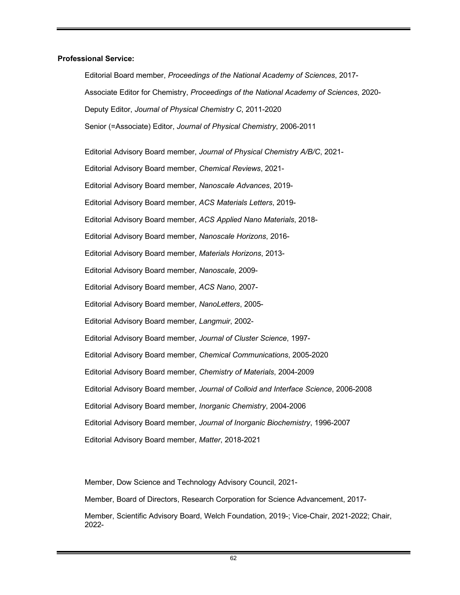## **Professional Service:**

Editorial Board member, *Proceedings of the National Academy of Sciences*, 2017- Associate Editor for Chemistry, *Proceedings of the National Academy of Sciences*, 2020- Deputy Editor, *Journal of Physical Chemistry C*, 2011-2020 Senior (=Associate) Editor, *Journal of Physical Chemistry*, 2006-2011

Editorial Advisory Board member, *Journal of Physical Chemistry A/B/C*, 2021- Editorial Advisory Board member, *Chemical Reviews*, 2021- Editorial Advisory Board member, *Nanoscale Advances*, 2019- Editorial Advisory Board member, *ACS Materials Letters*, 2019- Editorial Advisory Board member, *ACS Applied Nano Materials*, 2018- Editorial Advisory Board member, *Nanoscale Horizons*, 2016- Editorial Advisory Board member, *Materials Horizons*, 2013- Editorial Advisory Board member, *Nanoscale*, 2009- Editorial Advisory Board member, *ACS Nano*, 2007- Editorial Advisory Board member, *NanoLetters*, 2005- Editorial Advisory Board member, *Langmuir*, 2002- Editorial Advisory Board member, *Journal of Cluster Science*, 1997- Editorial Advisory Board member, *Chemical Communications*, 2005-2020 Editorial Advisory Board member, *Chemistry of Materials*, 2004-2009 Editorial Advisory Board member, *Journal of Colloid and Interface Science*, 2006-2008 Editorial Advisory Board member, *Inorganic Chemistry*, 2004-2006 Editorial Advisory Board member, *Journal of Inorganic Biochemistry*, 1996-2007 Editorial Advisory Board member, *Matter*, 2018-2021

Member, Dow Science and Technology Advisory Council, 2021-

Member, Board of Directors, Research Corporation for Science Advancement, 2017-

Member, Scientific Advisory Board, Welch Foundation, 2019-; Vice-Chair, 2021-2022; Chair, 2022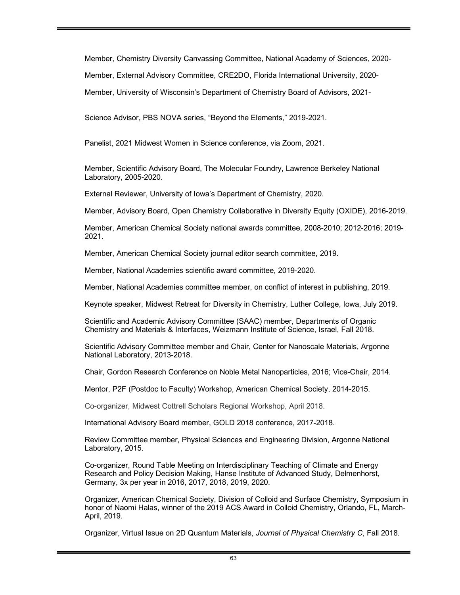Member, Chemistry Diversity Canvassing Committee, National Academy of Sciences, 2020-

Member, External Advisory Committee, CRE2DO, Florida International University, 2020-

Member, University of Wisconsin's Department of Chemistry Board of Advisors, 2021-

Science Advisor, PBS NOVA series, "Beyond the Elements," 2019-2021.

Panelist, 2021 Midwest Women in Science conference, via Zoom, 2021.

Member, Scientific Advisory Board, The Molecular Foundry, Lawrence Berkeley National Laboratory, 2005-2020.

External Reviewer, University of Iowa's Department of Chemistry, 2020.

Member, Advisory Board, Open Chemistry Collaborative in Diversity Equity (OXIDE), 2016-2019.

Member, American Chemical Society national awards committee, 2008-2010; 2012-2016; 2019- 2021.

Member, American Chemical Society journal editor search committee, 2019.

Member, National Academies scientific award committee, 2019-2020.

Member, National Academies committee member, on conflict of interest in publishing, 2019.

Keynote speaker, Midwest Retreat for Diversity in Chemistry, Luther College, Iowa, July 2019.

Scientific and Academic Advisory Committee (SAAC) member, Departments of Organic Chemistry and Materials & Interfaces, Weizmann Institute of Science, Israel, Fall 2018.

Scientific Advisory Committee member and Chair, Center for Nanoscale Materials, Argonne National Laboratory, 2013-2018.

Chair, Gordon Research Conference on Noble Metal Nanoparticles, 2016; Vice-Chair, 2014.

Mentor, P2F (Postdoc to Faculty) Workshop, American Chemical Society, 2014-2015.

Co-organizer, Midwest Cottrell Scholars Regional Workshop, April 2018.

International Advisory Board member, GOLD 2018 conference, 2017-2018.

Review Committee member, Physical Sciences and Engineering Division, Argonne National Laboratory, 2015.

Co-organizer, Round Table Meeting on Interdisciplinary Teaching of Climate and Energy Research and Policy Decision Making, Hanse Institute of Advanced Study, Delmenhorst, Germany, 3x per year in 2016, 2017, 2018, 2019, 2020.

Organizer, American Chemical Society, Division of Colloid and Surface Chemistry, Symposium in honor of Naomi Halas, winner of the 2019 ACS Award in Colloid Chemistry, Orlando, FL, March-April, 2019.

Organizer, Virtual Issue on 2D Quantum Materials, *Journal of Physical Chemistry C*, Fall 2018.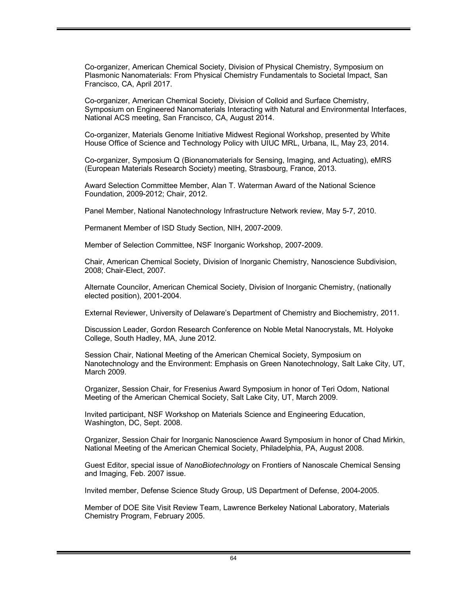Co-organizer, American Chemical Society, Division of Physical Chemistry, Symposium on Plasmonic Nanomaterials: From Physical Chemistry Fundamentals to Societal Impact, San Francisco, CA, April 2017.

Co-organizer, American Chemical Society, Division of Colloid and Surface Chemistry, Symposium on Engineered Nanomaterials Interacting with Natural and Environmental Interfaces, National ACS meeting, San Francisco, CA, August 2014.

Co-organizer, Materials Genome Initiative Midwest Regional Workshop, presented by White House Office of Science and Technology Policy with UIUC MRL, Urbana, IL, May 23, 2014.

Co-organizer, Symposium Q (Bionanomaterials for Sensing, Imaging, and Actuating), eMRS (European Materials Research Society) meeting, Strasbourg, France, 2013.

Award Selection Committee Member, Alan T. Waterman Award of the National Science Foundation, 2009-2012; Chair, 2012.

Panel Member, National Nanotechnology Infrastructure Network review, May 5-7, 2010.

Permanent Member of ISD Study Section, NIH, 2007-2009.

Member of Selection Committee, NSF Inorganic Workshop, 2007-2009.

Chair, American Chemical Society, Division of Inorganic Chemistry, Nanoscience Subdivision, 2008; Chair-Elect, 2007.

Alternate Councilor, American Chemical Society, Division of Inorganic Chemistry, (nationally elected position), 2001-2004.

External Reviewer, University of Delaware's Department of Chemistry and Biochemistry, 2011.

Discussion Leader, Gordon Research Conference on Noble Metal Nanocrystals, Mt. Holyoke College, South Hadley, MA, June 2012.

Session Chair, National Meeting of the American Chemical Society, Symposium on Nanotechnology and the Environment: Emphasis on Green Nanotechnology, Salt Lake City, UT, March 2009.

Organizer, Session Chair, for Fresenius Award Symposium in honor of Teri Odom, National Meeting of the American Chemical Society, Salt Lake City, UT, March 2009.

Invited participant, NSF Workshop on Materials Science and Engineering Education, Washington, DC, Sept. 2008.

Organizer, Session Chair for Inorganic Nanoscience Award Symposium in honor of Chad Mirkin, National Meeting of the American Chemical Society, Philadelphia, PA, August 2008.

Guest Editor, special issue of *NanoBiotechnology* on Frontiers of Nanoscale Chemical Sensing and Imaging, Feb. 2007 issue.

Invited member, Defense Science Study Group, US Department of Defense, 2004-2005.

Member of DOE Site Visit Review Team, Lawrence Berkeley National Laboratory, Materials Chemistry Program, February 2005.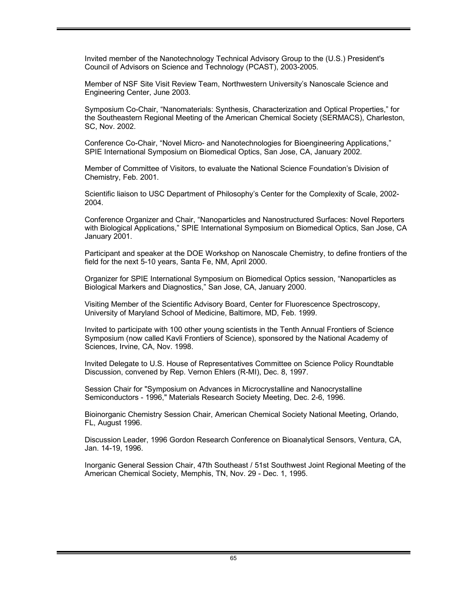Invited member of the Nanotechnology Technical Advisory Group to the (U.S.) President's Council of Advisors on Science and Technology (PCAST), 2003-2005.

Member of NSF Site Visit Review Team, Northwestern University's Nanoscale Science and Engineering Center, June 2003.

Symposium Co-Chair, "Nanomaterials: Synthesis, Characterization and Optical Properties," for the Southeastern Regional Meeting of the American Chemical Society (SERMACS), Charleston, SC, Nov. 2002.

Conference Co-Chair, "Novel Micro- and Nanotechnologies for Bioengineering Applications," SPIE International Symposium on Biomedical Optics, San Jose, CA, January 2002.

Member of Committee of Visitors, to evaluate the National Science Foundation's Division of Chemistry, Feb. 2001.

Scientific liaison to USC Department of Philosophy's Center for the Complexity of Scale, 2002- 2004.

Conference Organizer and Chair, "Nanoparticles and Nanostructured Surfaces: Novel Reporters with Biological Applications," SPIE International Symposium on Biomedical Optics, San Jose, CA January 2001.

Participant and speaker at the DOE Workshop on Nanoscale Chemistry, to define frontiers of the field for the next 5-10 years, Santa Fe, NM, April 2000.

Organizer for SPIE International Symposium on Biomedical Optics session, "Nanoparticles as Biological Markers and Diagnostics," San Jose, CA, January 2000.

Visiting Member of the Scientific Advisory Board, Center for Fluorescence Spectroscopy, University of Maryland School of Medicine, Baltimore, MD, Feb. 1999.

Invited to participate with 100 other young scientists in the Tenth Annual Frontiers of Science Symposium (now called Kavli Frontiers of Science), sponsored by the National Academy of Sciences, Irvine, CA, Nov. 1998.

Invited Delegate to U.S. House of Representatives Committee on Science Policy Roundtable Discussion, convened by Rep. Vernon Ehlers (R-MI), Dec. 8, 1997.

Session Chair for "Symposium on Advances in Microcrystalline and Nanocrystalline Semiconductors - 1996," Materials Research Society Meeting, Dec. 2-6, 1996.

Bioinorganic Chemistry Session Chair, American Chemical Society National Meeting, Orlando, FL, August 1996.

Discussion Leader, 1996 Gordon Research Conference on Bioanalytical Sensors, Ventura, CA, Jan. 14-19, 1996.

Inorganic General Session Chair, 47th Southeast / 51st Southwest Joint Regional Meeting of the American Chemical Society, Memphis, TN, Nov. 29 - Dec. 1, 1995.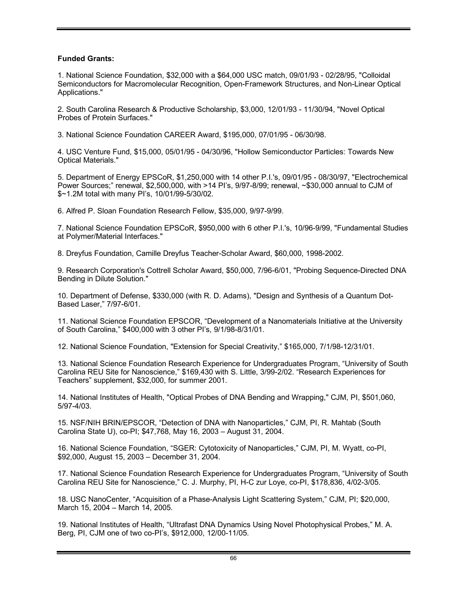# **Funded Grants:**

1. National Science Foundation, \$32,000 with a \$64,000 USC match, 09/01/93 - 02/28/95, "Colloidal Semiconductors for Macromolecular Recognition, Open-Framework Structures, and Non-Linear Optical Applications."

2. South Carolina Research & Productive Scholarship, \$3,000, 12/01/93 - 11/30/94, "Novel Optical Probes of Protein Surfaces."

3. National Science Foundation CAREER Award, \$195,000, 07/01/95 - 06/30/98.

4. USC Venture Fund, \$15,000, 05/01/95 - 04/30/96, "Hollow Semiconductor Particles: Towards New Optical Materials."

5. Department of Energy EPSCoR, \$1,250,000 with 14 other P.I.'s, 09/01/95 - 08/30/97, "Electrochemical Power Sources;" renewal, \$2,500,000, with >14 PI's, 9/97-8/99; renewal, ~\$30,000 annual to CJM of \$~1.2M total with many PI's, 10/01/99-5/30/02.

6. Alfred P. Sloan Foundation Research Fellow, \$35,000, 9/97-9/99.

7. National Science Foundation EPSCoR, \$950,000 with 6 other P.I.'s, 10/96-9/99, "Fundamental Studies at Polymer/Material Interfaces."

8. Dreyfus Foundation, Camille Dreyfus Teacher-Scholar Award, \$60,000, 1998-2002.

9. Research Corporation's Cottrell Scholar Award, \$50,000, 7/96-6/01, "Probing Sequence-Directed DNA Bending in Dilute Solution."

10. Department of Defense, \$330,000 (with R. D. Adams), "Design and Synthesis of a Quantum Dot-Based Laser," 7/97-6/01.

11. National Science Foundation EPSCOR, "Development of a Nanomaterials Initiative at the University of South Carolina," \$400,000 with 3 other PI's, 9/1/98-8/31/01.

12. National Science Foundation, "Extension for Special Creativity," \$165,000, 7/1/98-12/31/01.

13. National Science Foundation Research Experience for Undergraduates Program, "University of South Carolina REU Site for Nanoscience," \$169,430 with S. Little, 3/99-2/02. "Research Experiences for Teachers" supplement, \$32,000, for summer 2001.

14. National Institutes of Health, "Optical Probes of DNA Bending and Wrapping," CJM, PI, \$501,060, 5/97-4/03.

15. NSF/NIH BRIN/EPSCOR, "Detection of DNA with Nanoparticles," CJM, PI, R. Mahtab (South Carolina State U), co-PI; \$47,768, May 16, 2003 – August 31, 2004.

16. National Science Foundation, "SGER: Cytotoxicity of Nanoparticles," CJM, PI, M. Wyatt, co-PI, \$92,000, August 15, 2003 – December 31, 2004.

17. National Science Foundation Research Experience for Undergraduates Program, "University of South Carolina REU Site for Nanoscience," C. J. Murphy, PI, H-C zur Loye, co-PI, \$178,836, 4/02-3/05.

18. USC NanoCenter, "Acquisition of a Phase-Analysis Light Scattering System," CJM, PI; \$20,000, March 15, 2004 – March 14, 2005.

19. National Institutes of Health, "Ultrafast DNA Dynamics Using Novel Photophysical Probes," M. A. Berg, PI, CJM one of two co-PI's, \$912,000, 12/00-11/05.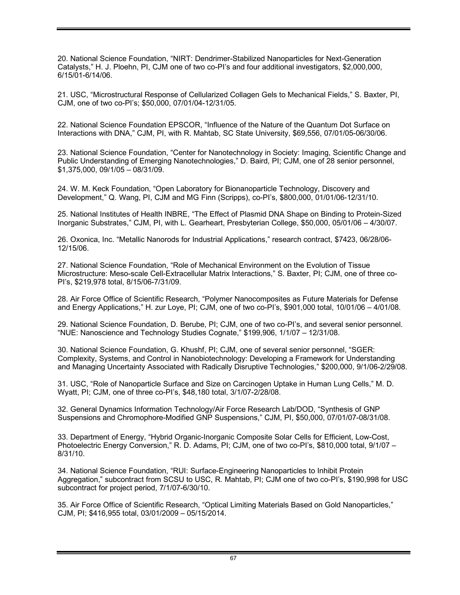20. National Science Foundation, "NIRT: Dendrimer-Stabilized Nanoparticles for Next-Generation Catalysts," H. J. Ploehn, PI, CJM one of two co-PI's and four additional investigators, \$2,000,000, 6/15/01-6/14/06.

21. USC, "Microstructural Response of Cellularized Collagen Gels to Mechanical Fields," S. Baxter, PI, CJM, one of two co-PI's; \$50,000, 07/01/04-12/31/05.

22. National Science Foundation EPSCOR, "Influence of the Nature of the Quantum Dot Surface on Interactions with DNA," CJM, PI, with R. Mahtab, SC State University, \$69,556, 07/01/05-06/30/06.

23. National Science Foundation, "Center for Nanotechnology in Society: Imaging, Scientific Change and Public Understanding of Emerging Nanotechnologies," D. Baird, PI; CJM, one of 28 senior personnel, \$1,375,000, 09/1/05 – 08/31/09.

24. W. M. Keck Foundation, "Open Laboratory for Bionanoparticle Technology, Discovery and Development," Q. Wang, PI, CJM and MG Finn (Scripps), co-PI's, \$800,000, 01/01/06-12/31/10.

25. National Institutes of Health INBRE, "The Effect of Plasmid DNA Shape on Binding to Protein-Sized Inorganic Substrates," CJM, PI, with L. Gearheart, Presbyterian College, \$50,000, 05/01/06 – 4/30/07.

26. Oxonica, Inc. "Metallic Nanorods for Industrial Applications," research contract, \$7423, 06/28/06- 12/15/06.

27. National Science Foundation, "Role of Mechanical Environment on the Evolution of Tissue Microstructure: Meso-scale Cell-Extracellular Matrix Interactions," S. Baxter, PI; CJM, one of three co-PI's, \$219,978 total, 8/15/06-7/31/09.

28. Air Force Office of Scientific Research, "Polymer Nanocomposites as Future Materials for Defense and Energy Applications," H. zur Loye, PI; CJM, one of two co-PI's, \$901,000 total, 10/01/06 – 4/01/08.

29. National Science Foundation, D. Berube, PI; CJM, one of two co-PI's, and several senior personnel. "NUE: Nanoscience and Technology Studies Cognate," \$199,906, 1/1/07 – 12/31/08.

30. National Science Foundation, G. Khushf, PI; CJM, one of several senior personnel, "SGER: Complexity, Systems, and Control in Nanobiotechnology: Developing a Framework for Understanding and Managing Uncertainty Associated with Radically Disruptive Technologies," \$200,000, 9/1/06-2/29/08.

31. USC, "Role of Nanoparticle Surface and Size on Carcinogen Uptake in Human Lung Cells," M. D. Wyatt, PI; CJM, one of three co-PI's, \$48,180 total, 3/1/07-2/28/08.

32. General Dynamics Information Technology/Air Force Research Lab/DOD, "Synthesis of GNP Suspensions and Chromophore-Modified GNP Suspensions," CJM, PI, \$50,000, 07/01/07-08/31/08.

33. Department of Energy, "Hybrid Organic-Inorganic Composite Solar Cells for Efficient, Low-Cost, Photoelectric Energy Conversion," R. D. Adams, PI; CJM, one of two co-PI's, \$810,000 total, 9/1/07 – 8/31/10.

34. National Science Foundation, "RUI: Surface-Engineering Nanoparticles to Inhibit Protein Aggregation," subcontract from SCSU to USC, R. Mahtab, PI; CJM one of two co-PI's, \$190,998 for USC subcontract for project period, 7/1/07-6/30/10.

35. Air Force Office of Scientific Research, "Optical Limiting Materials Based on Gold Nanoparticles," CJM, PI; \$416,955 total, 03/01/2009 – 05/15/2014.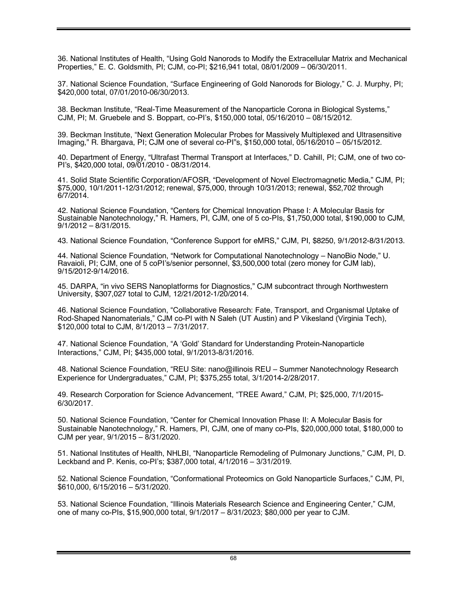36. National Institutes of Health, "Using Gold Nanorods to Modify the Extracellular Matrix and Mechanical Properties," E. C. Goldsmith, PI; CJM, co-PI; \$216,941 total, 08/01/2009 – 06/30/2011.

37. National Science Foundation, "Surface Engineering of Gold Nanorods for Biology," C. J. Murphy, PI; \$420,000 total, 07/01/2010-06/30/2013.

38. Beckman Institute, "Real-Time Measurement of the Nanoparticle Corona in Biological Systems," CJM, PI; M. Gruebele and S. Boppart, co-PI's, \$150,000 total, 05/16/2010 – 08/15/2012.

39. Beckman Institute, "Next Generation Molecular Probes for Massively Multiplexed and Ultrasensitive Imaging," R. Bhargava, PI; CJM one of several co-PI"s, \$150,000 total, 05/16/2010 – 05/15/2012.

40. Department of Energy, "Ultrafast Thermal Transport at Interfaces," D. Cahill, PI; CJM, one of two co-PI's, \$420,000 total, 09/01/2010 - 08/31/2014.

41. Solid State Scientific Corporation/AFOSR, "Development of Novel Electromagnetic Media," CJM, PI; \$75,000, 10/1/2011-12/31/2012; renewal, \$75,000, through 10/31/2013; renewal, \$52,702 through 6/7/2014.

42. National Science Foundation, "Centers for Chemical Innovation Phase I: A Molecular Basis for Sustainable Nanotechnology," R. Hamers, PI, CJM, one of 5 co-PIs, \$1,750,000 total, \$190,000 to CJM, 9/1/2012 – 8/31/2015.

43. National Science Foundation, "Conference Support for eMRS," CJM, PI, \$8250, 9/1/2012-8/31/2013.

44. National Science Foundation, "Network for Computational Nanotechnology – NanoBio Node," U. Ravaioli, PI; CJM, one of 5 coPI's/senior personnel, \$3,500,000 total (zero money for CJM lab), 9/15/2012-9/14/2016.

45. DARPA, "in vivo SERS Nanoplatforms for Diagnostics," CJM subcontract through Northwestern University, \$307,027 total to CJM, 12/21/2012-1/20/2014.

46. National Science Foundation, "Collaborative Research: Fate, Transport, and Organismal Uptake of Rod-Shaped Nanomaterials," CJM co-PI with N Saleh (UT Austin) and P Vikesland (Virginia Tech), \$120,000 total to CJM, 8/1/2013 – 7/31/2017.

47. National Science Foundation, "A 'Gold' Standard for Understanding Protein-Nanoparticle Interactions," CJM, PI; \$435,000 total, 9/1/2013-8/31/2016.

48. National Science Foundation, "REU Site: nano@illinois REU – Summer Nanotechnology Research Experience for Undergraduates," CJM, PI; \$375,255 total, 3/1/2014-2/28/2017.

49. Research Corporation for Science Advancement, "TREE Award," CJM, PI; \$25,000, 7/1/2015- 6/30/2017.

50. National Science Foundation, "Center for Chemical Innovation Phase II: A Molecular Basis for Sustainable Nanotechnology," R. Hamers, PI, CJM, one of many co-PIs, \$20,000,000 total, \$180,000 to CJM per year, 9/1/2015 – 8/31/2020.

51. National Institutes of Health, NHLBI, "Nanoparticle Remodeling of Pulmonary Junctions," CJM, PI, D. Leckband and P. Kenis, co-PI's; \$387,000 total, 4/1/2016 – 3/31/2019.

52. National Science Foundation, "Conformational Proteomics on Gold Nanoparticle Surfaces," CJM, PI, \$610,000, 6/15/2016 – 5/31/2020.

53. National Science Foundation, "Illinois Materials Research Science and Engineering Center," CJM, one of many co-PIs, \$15,900,000 total, 9/1/2017 – 8/31/2023; \$80,000 per year to CJM.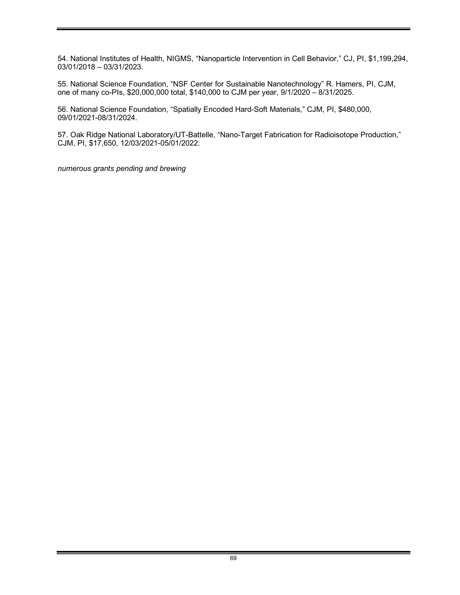54. National Institutes of Health, NIGMS, "Nanoparticle Intervention in Cell Behavior," CJ, PI, \$1,199,294, 03/01/2018 – 03/31/2023.

55. National Science Foundation, "NSF Center for Sustainable Nanotechnology" R. Hamers, PI, CJM, one of many co-PIs, \$20,000,000 total, \$140,000 to CJM per year, 9/1/2020 – 8/31/2025.

56. National Science Foundation, "Spatially Encoded Hard-Soft Materials," CJM, PI, \$480,000, 09/01/2021-08/31/2024.

57. Oak Ridge National Laboratory/UT-Battelle, "Nano-Target Fabrication for Radioisotope Production," CJM, PI, \$17,650, 12/03/2021-05/01/2022.

*numerous grants pending and brewing*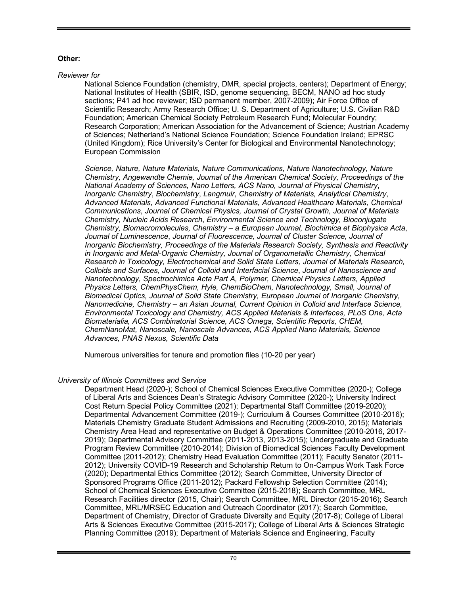# **Other:**

#### *Reviewer for*

National Science Foundation (chemistry, DMR, special projects, centers); Department of Energy; National Institutes of Health (SBIR, ISD, genome sequencing, BECM, NANO ad hoc study sections; P41 ad hoc reviewer; ISD permanent member, 2007-2009); Air Force Office of Scientific Research; Army Research Office; U. S. Department of Agriculture; U.S. Civilian R&D Foundation; American Chemical Society Petroleum Research Fund; Molecular Foundry; Research Corporation; American Association for the Advancement of Science; Austrian Academy of Sciences; Netherland's National Science Foundation; Science Foundation Ireland; EPRSC (United Kingdom); Rice University's Center for Biological and Environmental Nanotechnology; European Commission

*Science, Nature, Nature Materials, Nature Communications, Nature Nanotechnology, Nature Chemistry, Angewandte Chemie, Journal of the American Chemical Society, Proceedings of the National Academy of Sciences, Nano Letters, ACS Nano, Journal of Physical Chemistry*, *Inorganic Chemistry*, *Biochemistry*, *Langmuir*, *Chemistry of Materials, Analytical Chemistry*, *Advanced Materials, Advanced Functional Materials, Advanced Healthcare Materials, Chemical Communications*, *Journal of Chemical Physics, Journal of Crystal Growth, Journal of Materials Chemistry, Nucleic Acids Research*, *Environmental Science and Technology, Bioconjugate Chemistry, Biomacromolecules, Chemistry – a European Journal, Biochimica et Biophysica Acta*, *Journal of Luminescence*, *Journal of Fluorescence, Journal of Cluster Science, Journal of Inorganic Biochemistry, Proceedings of the Materials Research Society, Synthesis and Reactivity in Inorganic and Metal-Organic Chemistry, Journal of Organometallic Chemistry, Chemical Research in Toxicology, Electrochemical and Solid State Letters, Journal of Materials Research, Colloids and Surfaces*, *Journal of Colloid and Interfacial Science*, *Journal of Nanoscience and Nanotechnology, Spectrochimica Acta Part A, Polymer, Chemical Physics Letters, Applied Physics Letters, ChemPhysChem, Hyle, ChemBioChem, Nanotechnology, Small, Journal of Biomedical Optics, Journal of Solid State Chemistry, European Journal of Inorganic Chemistry, Nanomedicine, Chemistry – an Asian Journal, Current Opinion in Colloid and Interface Science, Environmental Toxicology and Chemistry, ACS Applied Materials & Interfaces, PLoS One, Acta Biomaterialia, ACS Combinatorial Science, ACS Omega, Scientific Reports, CHEM, ChemNanoMat, Nanoscale, Nanoscale Advances, ACS Applied Nano Materials, Science Advances, PNAS Nexus, Scientific Data*

Numerous universities for tenure and promotion files (10-20 per year)

## *University of Illinois Committees and Service*

Department Head (2020-); School of Chemical Sciences Executive Committee (2020-); College of Liberal Arts and Sciences Dean's Strategic Advisory Committee (2020-); University Indirect Cost Return Special Policy Committee (2021); Departmental Staff Committee (2019-2020); Departmental Advancement Committee (2019-); Curriculum & Courses Committee (2010-2016); Materials Chemistry Graduate Student Admissions and Recruiting (2009-2010, 2015); Materials Chemistry Area Head and representative on Budget & Operations Committee (2010-2016, 2017- 2019); Departmental Advisory Committee (2011-2013, 2013-2015); Undergraduate and Graduate Program Review Committee (2010-2014); Division of Biomedical Sciences Faculty Development Committee (2011-2012); Chemistry Head Evaluation Committee (2011); Faculty Senator (2011- 2012); University COVID-19 Research and Scholarship Return to On-Campus Work Task Force (2020); Departmental Ethics Committee (2012); Search Committee, University Director of Sponsored Programs Office (2011-2012); Packard Fellowship Selection Committee (2014); School of Chemical Sciences Executive Committee (2015-2018); Search Committee, MRL Research Facilities director (2015, Chair); Search Committee, MRL Director (2015-2016); Search Committee, MRL/MRSEC Education and Outreach Coordinator (2017); Search Committee, Department of Chemistry, Director of Graduate Diversity and Equity (2017-8); College of Liberal Arts & Sciences Executive Committee (2015-2017); College of Liberal Arts & Sciences Strategic Planning Committee (2019); Department of Materials Science and Engineering, Faculty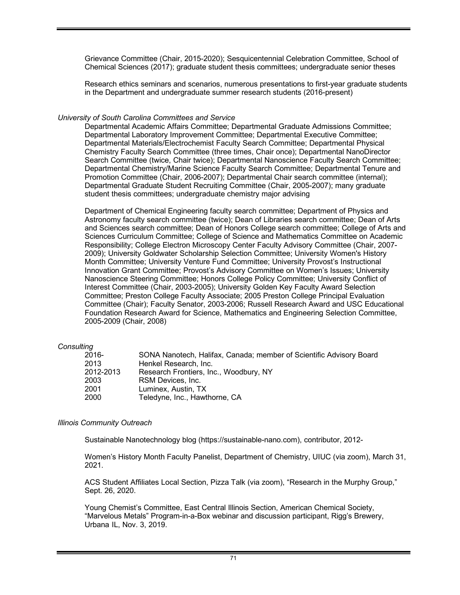Grievance Committee (Chair, 2015-2020); Sesquicentennial Celebration Committee, School of Chemical Sciences (2017); graduate student thesis committees; undergraduate senior theses

Research ethics seminars and scenarios, numerous presentations to first-year graduate students in the Department and undergraduate summer research students (2016-present)

### *University of South Carolina Committees and Service*

Departmental Academic Affairs Committee; Departmental Graduate Admissions Committee; Departmental Laboratory Improvement Committee; Departmental Executive Committee; Departmental Materials/Electrochemist Faculty Search Committee; Departmental Physical Chemistry Faculty Search Committee (three times, Chair once); Departmental NanoDirector Search Committee (twice, Chair twice); Departmental Nanoscience Faculty Search Committee; Departmental Chemistry/Marine Science Faculty Search Committee; Departmental Tenure and Promotion Committee (Chair, 2006-2007); Departmental Chair search committee (internal); Departmental Graduate Student Recruiting Committee (Chair, 2005-2007); many graduate student thesis committees; undergraduate chemistry major advising

Department of Chemical Engineering faculty search committee; Department of Physics and Astronomy faculty search committee (twice); Dean of Libraries search committee; Dean of Arts and Sciences search committee; Dean of Honors College search committee; College of Arts and Sciences Curriculum Committee; College of Science and Mathematics Committee on Academic Responsibility; College Electron Microscopy Center Faculty Advisory Committee (Chair, 2007- 2009); University Goldwater Scholarship Selection Committee; University Women's History Month Committee; University Venture Fund Committee; University Provost's Instructional Innovation Grant Committee; Provost's Advisory Committee on Women's Issues; University Nanoscience Steering Committee; Honors College Policy Committee; University Conflict of Interest Committee (Chair, 2003-2005); University Golden Key Faculty Award Selection Committee; Preston College Faculty Associate; 2005 Preston College Principal Evaluation Committee (Chair); Faculty Senator, 2003-2006; Russell Research Award and USC Educational Foundation Research Award for Science, Mathematics and Engineering Selection Committee, 2005-2009 (Chair, 2008)

#### *Consulting*

| 2016-     | SONA Nanotech, Halifax, Canada; member of Scientific Advisory Board |
|-----------|---------------------------------------------------------------------|
| 2013      | Henkel Research, Inc.                                               |
| 2012-2013 | Research Frontiers, Inc., Woodbury, NY                              |
| 2003      | RSM Devices, Inc.                                                   |
| 2001      | Luminex. Austin. TX                                                 |
| 2000      | Teledyne, Inc., Hawthorne, CA                                       |

## *Illinois Community Outreach*

Sustainable Nanotechnology blog (https://sustainable-nano.com), contributor, 2012-

Women's History Month Faculty Panelist, Department of Chemistry, UIUC (via zoom), March 31, 2021.

ACS Student Affiliates Local Section, Pizza Talk (via zoom), "Research in the Murphy Group," Sept. 26, 2020.

Young Chemist's Committee, East Central Illinois Section, American Chemical Society, "Marvelous Metals" Program-in-a-Box webinar and discussion participant, Rigg's Brewery, Urbana IL, Nov. 3, 2019.